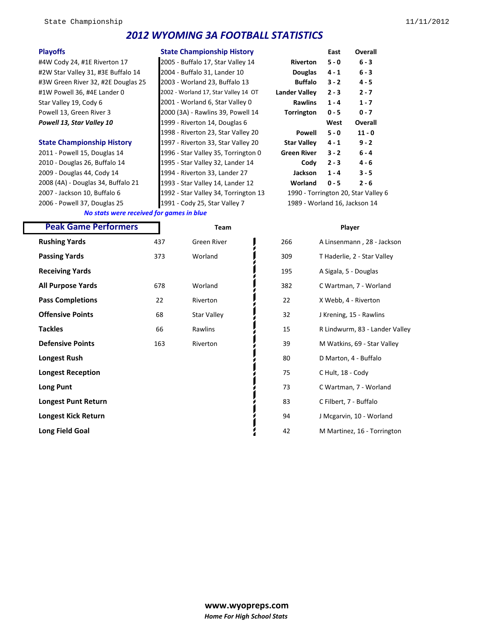## *2012 WYOMING 3A FOOTBALL STATISTICS*

2010 - Douglas 26, Buffalo 14 1995 - Star Valley 32, Lander 14 **Cody 2 - 3 4 - 6** 2009 - Douglas 44, Cody 14 1994 - Riverton 33, Lander 27 **Jackson 1 - 4 3 - 5** 2008 (4A) - Douglas 34, Buffalo 21 1993 - Star Valley 14, Lander 12 **Worland 0 - 5 2 - 6**

**Playoffs Playoffs Easter Championship History Easter Championship History** 1998 - Riverton 23, Star Valley 20 **Powell 5 - 0 11 - 0 State Championship History** 1997 - Riverton 33, Star Valley 20 2011 - Powell 15, Douglas 14 1996 - Star Valley 35, Torrington 0 **Green River 3 - 2 6 - 4** 2006 - Powell 37, Douglas 25 1991 - Cody 25, Star Valley 7 1989 - Worland 16, Jackson 14

| <b>Playoffs</b>                    | State Championship History                       |                               | East    | Overall                             |  |
|------------------------------------|--------------------------------------------------|-------------------------------|---------|-------------------------------------|--|
| #4W Cody 24, #1E Riverton 17       | 2005 - Buffalo 17, Star Valley 14                | <b>Riverton</b>               | $5 - 0$ | $6 - 3$                             |  |
| #2W Star Valley 31, #3E Buffalo 14 | 2004 - Buffalo 31, Lander 10                     | <b>Douglas</b>                | $4 - 1$ | $6 - 3$                             |  |
| #3W Green River 32, #2E Douglas 25 | 2003 - Worland 23, Buffalo 13                    | <b>Buffalo</b>                | $3 - 2$ | $4 - 5$                             |  |
| #1W Powell 36, #4E Lander 0        | 2002 - Worland 17, Star Valley 14 OT             | <b>Lander Valley</b>          | $2 - 3$ | $2 - 7$                             |  |
| Star Valley 19, Cody 6             | 2001 - Worland 6, Star Valley 0                  | <b>Rawlins</b>                | $1 - 4$ | $1 - 7$                             |  |
| Powell 13, Green River 3           | 2000 (3A) - Rawlins 39, Powell 14                | <b>Torrington</b>             | $0 - 5$ | $0 - 7$                             |  |
| Powell 13, Star Valley 10          | 1999 - Riverton 14, Douglas 6                    |                               | West    | Overall                             |  |
|                                    | 1998 - Riverton 23, Star Valley 20               | Powell                        | $5 - 0$ | $11 - 0$                            |  |
| <b>State Championship History</b>  | 1997 - Riverton 33, Star Valley 20               | <b>Star Valley</b>            | $4 - 1$ | $9 - 2$                             |  |
| 2011 - Powell 15, Douglas 14       | 1996 - Star Valley 35, Torrington 0              | <b>Green River</b>            | $3 - 2$ | $6 - 4$                             |  |
| 2010 - Douglas 26, Buffalo 14      | 1995 - Star Valley 32, Lander 14                 | Cody                          | $2 - 3$ | $4 - 6$                             |  |
| 2009 - Douglas 44, Cody 14         | 1994 - Riverton 33, Lander 27                    | <b>Jackson</b>                | $1 - 4$ | $3 - 5$                             |  |
| 2008 (4A) - Douglas 34, Buffalo 21 | 1993 - Star Valley 14, Lander 12                 | Worland                       | $0 - 5$ | $2 - 6$                             |  |
| 2007 - Jackson 10, Buffalo 6       | 1992 - Star Valley 34, Torrington 13             |                               |         | 1990 - Torrington 20, Star Valley 6 |  |
| $2006 -$ Dowell 27 Douglas 25      | $1001 - \text{Cndy } 25 - \text{Ctsr }$ Valley 7 | 1080 - Worland 16, Jackson 14 |         |                                     |  |

*No stats were received for games in blue*

#### **Peak Game Performers Team Player Peak Game Performers**

| <b>Rushing Yards</b>       | 437 | <b>Green River</b> | 266 | A Linsenmann, 28 - Jackson     |
|----------------------------|-----|--------------------|-----|--------------------------------|
| <b>Passing Yards</b>       | 373 | Worland            | 309 | T Haderlie, 2 - Star Valley    |
| <b>Receiving Yards</b>     |     |                    | 195 | A Sigala, 5 - Douglas          |
| All Purpose Yards          | 678 | Worland            | 382 | C Wartman, 7 - Worland         |
| <b>Pass Completions</b>    | 22  | Riverton           | 22  | X Webb, 4 - Riverton           |
| <b>Offensive Points</b>    | 68  | <b>Star Valley</b> | 32  | J Krening, 15 - Rawlins        |
| Tackles                    | 66  | Rawlins            | 15  | R Lindwurm, 83 - Lander Valley |
| <b>Defensive Points</b>    | 163 | Riverton           | 39  | M Watkins, 69 - Star Valley    |
| Longest Rush               |     |                    | 80  | D Marton, 4 - Buffalo          |
| <b>Longest Reception</b>   |     |                    | 75  | C Hult, 18 - Cody              |
| <b>Long Punt</b>           |     |                    | 73  | C Wartman, 7 - Worland         |
| <b>Longest Punt Return</b> |     |                    | 83  | C Filbert, 7 - Buffalo         |
| Longest Kick Return        |     |                    | 94  | J Mcgarvin, 10 - Worland       |
| Long Field Goal            |     |                    | 42  | M Martinez, 16 - Torrington    |
|                            |     |                    |     |                                |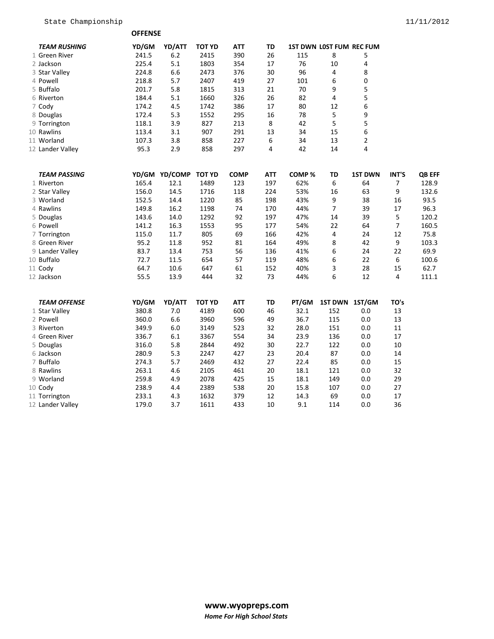**OFFENSE** 

| <b>TEAM RUSHING</b> | YD/GM | YD/ATT        | <b>TOT YD</b> | <b>ATT</b>  | TD         |       | <b>1ST DWN LOST FUM REC FUM</b> |                         |                |        |
|---------------------|-------|---------------|---------------|-------------|------------|-------|---------------------------------|-------------------------|----------------|--------|
| 1 Green River       | 241.5 | 6.2           | 2415          | 390         | 26         | 115   | 8                               | 5                       |                |        |
| 2 Jackson           | 225.4 | 5.1           | 1803          | 354         | 17         | 76    | 10                              | 4                       |                |        |
| 3 Star Valley       | 224.8 | 6.6           | 2473          | 376         | 30         | 96    | 4                               | 8                       |                |        |
| 4 Powell            | 218.8 | 5.7           | 2407          | 419         | 27         | 101   | 6                               | 0                       |                |        |
| 5 Buffalo           | 201.7 | 5.8           | 1815          | 313         | 21         | 70    | 9                               | 5                       |                |        |
| 6 Riverton          | 184.4 | 5.1           | 1660          | 326         | 26         | 82    | 4                               | 5                       |                |        |
| 7 Cody              | 174.2 | 4.5           | 1742          | 386         | 17         | 80    | 12                              | 6                       |                |        |
| 8 Douglas           | 172.4 | 5.3           | 1552          | 295         | 16         | 78    | 5                               | 9                       |                |        |
| 9 Torrington        | 118.1 | 3.9           | 827           | 213         | $\bf 8$    | 42    | 5                               | 5                       |                |        |
| 10 Rawlins          | 113.4 | 3.1           | 907           | 291         | 13         | 34    | 15                              | 6                       |                |        |
| 11 Worland          | 107.3 | 3.8           | 858           | 227         | 6          | 34    | 13                              | $\overline{\mathbf{c}}$ |                |        |
| 12 Lander Valley    | 95.3  | 2.9           | 858           | 297         | 4          | 42    | 14                              | 4                       |                |        |
| <b>TEAM PASSING</b> |       | YD/GM YD/COMP | <b>TOT YD</b> | <b>COMP</b> | <b>ATT</b> | COMP% | TD                              | 1ST DWN                 | INT'S          | QB EFF |
| 1 Riverton          | 165.4 | 12.1          | 1489          | 123         | 197        | 62%   | 6                               | 64                      | 7              | 128.9  |
| 2 Star Valley       | 156.0 | 14.5          | 1716          | 118         | 224        | 53%   | 16                              | 63                      | 9              | 132.6  |
| 3 Worland           | 152.5 | 14.4          | 1220          | 85          | 198        | 43%   | 9                               | 38                      | 16             | 93.5   |
| 4 Rawlins           | 149.8 | 16.2          | 1198          | 74          | 170        | 44%   | $\overline{7}$                  | 39                      | 17             | 96.3   |
| 5 Douglas           | 143.6 | 14.0          | 1292          | 92          | 197        | 47%   | 14                              | 39                      | 5              | 120.2  |
| 6 Powell            | 141.2 | 16.3          | 1553          | 95          | 177        | 54%   | 22                              | 64                      | $\overline{7}$ | 160.5  |
| 7 Torrington        | 115.0 | 11.7          | 805           | 69          | 166        | 42%   | 4                               | 24                      | 12             | 75.8   |
| 8 Green River       | 95.2  | 11.8          | 952           | 81          | 164        | 49%   | 8                               | 42                      | 9              | 103.3  |
| 9 Lander Valley     | 83.7  | 13.4          | 753           | 56          | 136        | 41%   | 6                               | 24                      | 22             | 69.9   |
| 10 Buffalo          | 72.7  | 11.5          | 654           | 57          | 119        | 48%   | 6                               | 22                      | 6              | 100.6  |
| 11 Cody             | 64.7  | 10.6          | 647           | 61          | 152        | 40%   | 3                               | 28                      | 15             | 62.7   |
| 12 Jackson          | 55.5  | 13.9          | 444           | 32          | 73         | 44%   | 6                               | 12                      | 4              | 111.1  |
| <b>TEAM OFFENSE</b> | YD/GM | YD/ATT        | <b>TOT YD</b> | <b>ATT</b>  | TD         | PT/GM | 1ST DWN 1ST/GM                  |                         | TO's           |        |
| 1 Star Valley       | 380.8 | $7.0$         | 4189          | 600         | 46         | 32.1  | 152                             | 0.0                     | 13             |        |
| 2 Powell            | 360.0 | 6.6           | 3960          | 596         | 49         | 36.7  | 115                             | 0.0                     | 13             |        |
| 3 Riverton          | 349.9 | 6.0           | 3149          | 523         | 32         | 28.0  | 151                             | 0.0                     | 11             |        |
| 4 Green River       | 336.7 | 6.1           | 3367          | 554         | 34         | 23.9  | 136                             | 0.0                     | 17             |        |
| 5 Douglas           | 316.0 | 5.8           | 2844          | 492         | 30         | 22.7  | 122                             | 0.0                     | 10             |        |
| 6 Jackson           | 280.9 | 5.3           | 2247          | 427         | 23         | 20.4  | 87                              | 0.0                     | 14             |        |
| 7 Buffalo           | 274.3 | 5.7           | 2469          | 432         | 27         | 22.4  | 85                              | 0.0                     | 15             |        |
| 8 Rawlins           | 263.1 | 4.6           | 2105          | 461         | 20         | 18.1  | 121                             | 0.0                     | 32             |        |
| 9 Worland           | 259.8 | 4.9           | 2078          | 425         | 15         | 18.1  | 149                             | 0.0                     | 29             |        |
| 10 Cody             | 238.9 | 4.4           | 2389          | 538         | 20         | 15.8  | 107                             | 0.0                     | 27             |        |
| 11 Torrington       | 233.1 | 4.3           | 1632          | 379         | 12         | 14.3  | 69                              | 0.0                     | 17             |        |
| 12 Lander Valley    | 179.0 | 3.7           | 1611          | 433         | 10         | 9.1   | 114                             | 0.0                     | 36             |        |
|                     |       |               |               |             |            |       |                                 |                         |                |        |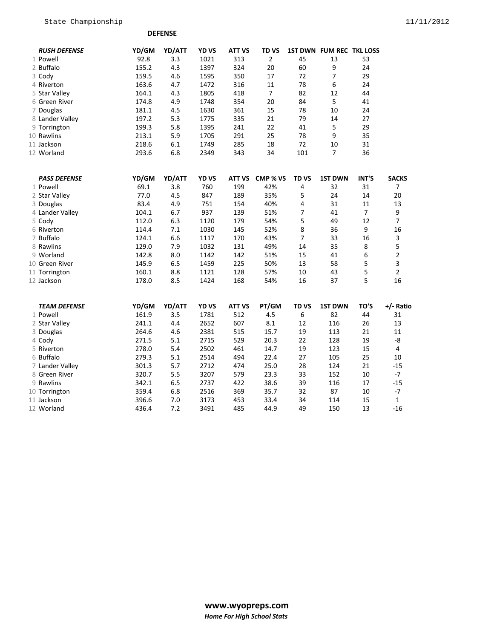**DEFENSE**

| <b>RUSH DEFENSE</b> | YD/GM | YD/ATT  | YD VS | <b>ATT VS</b> | TD <sub>VS</sub> |                         | 1ST DWN FUM REC TKL LOSS |                |                  |
|---------------------|-------|---------|-------|---------------|------------------|-------------------------|--------------------------|----------------|------------------|
| 1 Powell            | 92.8  | 3.3     | 1021  | 313           | $\overline{2}$   | 45                      | 13                       | 53             |                  |
| 2 Buffalo           | 155.2 | 4.3     | 1397  | 324           | 20               | 60                      | 9                        | 24             |                  |
| 3 Cody              | 159.5 | 4.6     | 1595  | 350           | 17               | 72                      | $\overline{7}$           | 29             |                  |
| 4 Riverton          | 163.6 | 4.7     | 1472  | 316           | 11               | 78                      | 6                        | 24             |                  |
| 5 Star Valley       | 164.1 | 4.3     | 1805  | 418           | $\overline{7}$   | 82                      | 12                       | 44             |                  |
| 6 Green River       | 174.8 | 4.9     | 1748  | 354           | 20               | 84                      | 5                        | 41             |                  |
| 7 Douglas           | 181.1 | 4.5     | 1630  | 361           | 15               | 78                      | 10                       | 24             |                  |
| 8 Lander Valley     | 197.2 | 5.3     | 1775  | 335           | 21               | 79                      | 14                       | 27             |                  |
| 9 Torrington        | 199.3 | 5.8     | 1395  | 241           | 22               | 41                      | 5                        | 29             |                  |
| 10 Rawlins          | 213.1 | 5.9     | 1705  | 291           | 25               | 78                      | 9                        | 35             |                  |
| 11 Jackson          | 218.6 | 6.1     | 1749  | 285           | 18               | 72                      | 10                       | 31             |                  |
| 12 Worland          | 293.6 | 6.8     | 2349  | 343           | 34               | 101                     | $\overline{7}$           | 36             |                  |
| <b>PASS DEFENSE</b> | YD/GM | YD/ATT  | YD VS | ATT VS        | CMP % VS         | <b>TDVS</b>             | <b>1ST DWN</b>           | INT'S          | <b>SACKS</b>     |
| 1 Powell            | 69.1  | 3.8     | 760   | 199           | 42%              | 4                       | 32                       | 31             | 7                |
| 2 Star Valley       | 77.0  | 4.5     | 847   | 189           | 35%              | 5                       | 24                       | 14             | 20               |
| 3 Douglas           | 83.4  | 4.9     | 751   | 154           | 40%              | $\overline{\mathbf{4}}$ | 31                       | 11             | 13               |
| 4 Lander Valley     | 104.1 | 6.7     | 937   | 139           | 51%              | $\overline{7}$          | 41                       | $\overline{7}$ | $\boldsymbol{9}$ |
| 5 Cody              | 112.0 | 6.3     | 1120  | 179           | 54%              | 5                       | 49                       | 12             | $\overline{7}$   |
| 6 Riverton          | 114.4 | 7.1     | 1030  | 145           | 52%              | 8                       | 36                       | 9              | 16               |
| 7 Buffalo           | 124.1 | 6.6     | 1117  | 170           | 43%              | $\overline{7}$          | 33                       | 16             | 3                |
| 8 Rawlins           | 129.0 | 7.9     | 1032  | 131           | 49%              | 14                      | 35                       | 8              | 5                |
| 9 Worland           | 142.8 | 8.0     | 1142  | 142           | 51%              | 15                      | 41                       | 6              | $\mathbf 2$      |
| 10 Green River      | 145.9 | 6.5     | 1459  | 225           | 50%              | 13                      | 58                       | 5              | 3                |
| 11 Torrington       | 160.1 | 8.8     | 1121  | 128           | 57%              | 10                      | 43                       | 5              | $\mathbf 2$      |
| 12 Jackson          | 178.0 | 8.5     | 1424  | 168           | 54%              | 16                      | 37                       | 5              | 16               |
| <b>TEAM DEFENSE</b> | YD/GM | YD/ATT  | YD VS | <b>ATT VS</b> | PT/GM            | <b>TD VS</b>            | <b>1ST DWN</b>           | TO'S           | +/- Ratio        |
| 1 Powell            | 161.9 | 3.5     | 1781  | 512           | 4.5              | 6                       | 82                       | 44             | 31               |
| 2 Star Valley       | 241.1 | 4.4     | 2652  | 607           | 8.1              | 12                      | 116                      | 26             | 13               |
| 3 Douglas           | 264.6 | $4.6\,$ | 2381  | 515           | 15.7             | 19                      | 113                      | 21             | 11               |
| 4 Cody              | 271.5 | 5.1     | 2715  | 529           | 20.3             | 22                      | 128                      | 19             | -8               |
| 5 Riverton          | 278.0 | 5.4     | 2502  | 461           | 14.7             | 19                      | 123                      | 15             | $\overline{4}$   |
| 6 Buffalo           | 279.3 | 5.1     | 2514  | 494           | 22.4             | 27                      | 105                      | 25             | 10               |
| 7 Lander Valley     | 301.3 | 5.7     | 2712  | 474           | 25.0             | 28                      | 124                      | 21             | $-15$            |
| 8 Green River       | 320.7 | 5.5     | 3207  | 579           | 23.3             | 33                      | 152                      | 10             | $-7$             |
| 9 Rawlins           | 342.1 | 6.5     | 2737  | 422           | 38.6             | 39                      | 116                      | 17             | $-15$            |
| 10 Torrington       | 359.4 | 6.8     | 2516  | 369           | 35.7             | 32                      | 87                       | 10             | $-7$             |
| 11 Jackson          | 396.6 | 7.0     | 3173  | 453           | 33.4             | 34                      | 114                      | 15             | $\mathbf 1$      |
| 12 Worland          | 436.4 | 7.2     | 3491  | 485           | 44.9             | 49                      | 150                      | 13             | $-16$            |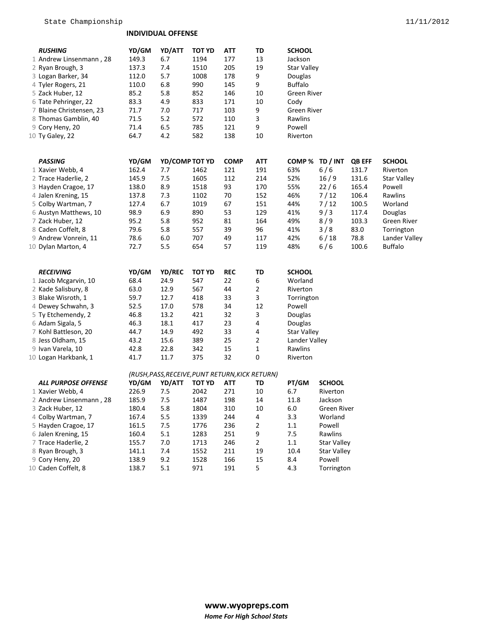#### **INDIVIDUAL OFFENSE**

| <b>RUSHING</b>             | YD/GM | YD/ATT         | TOT YD                                          | ATT         | TD             | <b>SCHOOL</b>      |                    |               |                |
|----------------------------|-------|----------------|-------------------------------------------------|-------------|----------------|--------------------|--------------------|---------------|----------------|
| 1 Andrew Linsenmann, 28    | 149.3 | 6.7            | 1194                                            | 177         | 13             | Jackson            |                    |               |                |
| 2 Ryan Brough, 3           | 137.3 | 7.4            | 1510                                            | 205         | 19             | Star Valley        |                    |               |                |
| 3 Logan Barker, 34         | 112.0 | 5.7            | 1008                                            | 178         | 9              | Douglas            |                    |               |                |
| 4 Tyler Rogers, 21         | 110.0 | 6.8            | 990                                             | 145         | 9              | <b>Buffalo</b>     |                    |               |                |
| 5 Zack Huber, 12           | 85.2  | 5.8            | 852                                             | 146         | 10             | Green River        |                    |               |                |
| 6 Tate Pehringer, 22       | 83.3  | 4.9            | 833                                             | 171         | 10             | Cody               |                    |               |                |
| 7 Blaine Christensen, 23   | 71.7  | 7.0            | 717                                             | 103         | 9              | Green River        |                    |               |                |
| 8 Thomas Gamblin, 40       | 71.5  | 5.2            | 572                                             | 110         | 3              | Rawlins            |                    |               |                |
| 9 Cory Heny, 20            | 71.4  | 6.5            | 785                                             | 121         | 9              | Powell             |                    |               |                |
| 10 Ty Galey, 22            | 64.7  | 4.2            | 582                                             | 138         | 10             | Riverton           |                    |               |                |
|                            |       |                |                                                 |             |                |                    |                    |               |                |
| <b>PASSING</b>             | YD/GM | YD/COMP TOT YD |                                                 | <b>COMP</b> | <b>ATT</b>     | COMP%              | TD / INT           | <b>QB EFF</b> | <b>SCHOOL</b>  |
| 1 Xavier Webb, 4           | 162.4 | 7.7            | 1462                                            | 121         | 191            | 63%                | 6/6                | 131.7         | Riverton       |
| 2 Trace Haderlie, 2        | 145.9 | 7.5            | 1605                                            | 112         | 214            | 52%                | 16/9               | 131.6         | Star Valley    |
| 3 Hayden Cragoe, 17        | 138.0 | 8.9            | 1518                                            | 93          | 170            | 55%                | 22/6               | 165.4         | Powell         |
| 4 Jalen Krening, 15        | 137.8 | 7.3            | 1102                                            | 70          | 152            | 46%                | 7/12               | 106.4         | Rawlins        |
| 5 Colby Wartman, 7         | 127.4 | 6.7            | 1019                                            | 67          | 151            | 44%                | 7/12               | 100.5         | Worland        |
| 6 Austyn Matthews, 10      | 98.9  | 6.9            | 890                                             | 53          | 129            | 41%                | 9/3                | 117.4         | Douglas        |
| 7 Zack Huber, 12           | 95.2  | 5.8            | 952                                             | 81          | 164            | 49%                | 8/9                | 103.3         | Green River    |
| 8 Caden Coffelt, 8         | 79.6  | 5.8            | 557                                             | 39          | 96             | 41%                | 3/8                | 83.0          | Torrington     |
| 9 Andrew Vonrein, 11       | 78.6  | 6.0            | 707                                             | 49          | 117            | 42%                | 6/18               | 78.8          | Lander Valley  |
| 10 Dylan Marton, 4         | 72.7  | 5.5            | 654                                             | 57          | 119            | 48%                | 6/6                | 100.6         | <b>Buffalo</b> |
|                            |       |                |                                                 |             |                |                    |                    |               |                |
| <b>RECEIVING</b>           | YD/GM | <b>YD/REC</b>  | <b>TOT YD</b>                                   | <b>REC</b>  | TD             | SCHOOL             |                    |               |                |
| 1 Jacob Mcgarvin, 10       | 68.4  | 24.9           | 547                                             | 22          | 6              | Worland            |                    |               |                |
| 2 Kade Salisbury, 8        | 63.0  | 12.9           | 567                                             | 44          | 2              | Riverton           |                    |               |                |
| 3 Blake Wisroth, 1         | 59.7  | 12.7           | 418                                             | 33          | 3              | Torrington         |                    |               |                |
| 4 Dewey Schwahn, 3         | 52.5  | 17.0           | 578                                             | 34          | 12             | Powell             |                    |               |                |
| 5 Ty Etchemendy, 2         | 46.8  | 13.2           | 421                                             | 32          | 3              | Douglas            |                    |               |                |
| 6 Adam Sigala, 5           | 46.3  | 18.1           | 417                                             | 23          | 4              | Douglas            |                    |               |                |
| 7 Kohl Battleson, 20       | 44.7  | 14.9           | 492                                             | 33          | 4              | <b>Star Valley</b> |                    |               |                |
| 8 Jess Oldham, 15          | 43.2  | 15.6           | 389                                             | 25          | 2              | Lander Valley      |                    |               |                |
| 9 Ivan Varela, 10          | 42.8  | 22.8           | 342                                             | 15          | 1              | Rawlins            |                    |               |                |
| 10 Logan Harkbank, 1       | 41.7  | 11.7           | 375                                             | 32          | 0              | Riverton           |                    |               |                |
|                            |       |                | (RUSH, PASS, RECEIVE, PUNT RETURN, KICK RETURN) |             |                |                    |                    |               |                |
| <b>ALL PURPOSE OFFENSE</b> | YD/GM | YD/ATT         | TOT YD                                          | ATT         | TD             | PT/GM              | <b>SCHOOL</b>      |               |                |
| 1 Xavier Webb, 4           | 226.9 | 7.5            | 2042                                            | 271         | 10             | 6.7                | Riverton           |               |                |
| 2 Andrew Linsenmann, 28    | 185.9 | 7.5            | 1487                                            | 198         | 14             | 11.8               | Jackson            |               |                |
| 3 Zack Huber, 12           | 180.4 | 5.8            | 1804                                            | 310         | 10             | $6.0\,$            | Green River        |               |                |
| 4 Colby Wartman, 7         | 167.4 | 5.5            | 1339                                            | 244         | 4              | 3.3                | Worland            |               |                |
| 5 Hayden Cragoe, 17        | 161.5 | 7.5            | 1776                                            | 236         | 2              | $1.1\,$            | Powell             |               |                |
| 6 Jalen Krening, 15        | 160.4 | 5.1            | 1283                                            | 251         | 9              | 7.5                | Rawlins            |               |                |
| 7 Trace Haderlie, 2        | 155.7 | 7.0            | 1713                                            | 246         | $\overline{2}$ | 1.1                | <b>Star Valley</b> |               |                |
| 8 Ryan Brough, 3           | 141.1 | 7.4            | 1552                                            | 211         | 19             | 10.4               | <b>Star Valley</b> |               |                |
| 9 Cory Heny, 20            | 138.9 | 9.2            | 1528                                            | 166         | 15             | 8.4                | Powell             |               |                |
| 10 Caden Coffelt, 8        | 138.7 | 5.1            | 971                                             | 191         | 5              | 4.3                | Torrington         |               |                |
|                            |       |                |                                                 |             |                |                    |                    |               |                |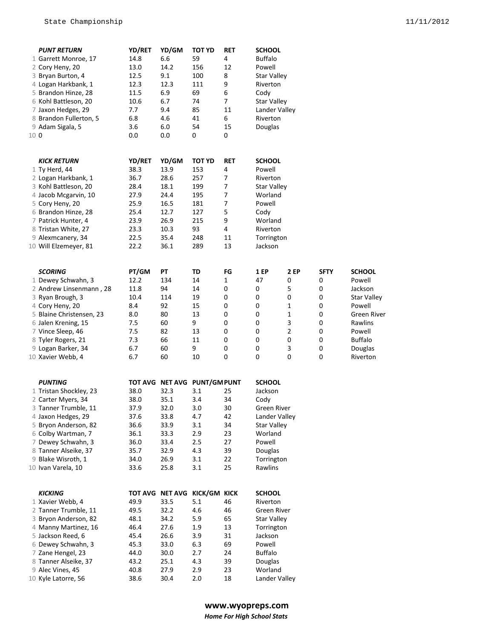|      | <b>PUNT RETURN</b>       | YD/RET        | YD/GM | TOT YD                       | RET        | <b>SCHOOL</b>      |      |             |                    |
|------|--------------------------|---------------|-------|------------------------------|------------|--------------------|------|-------------|--------------------|
|      | 1 Garrett Monroe, 17     | 14.8          | 6.6   | 59                           | 4          | <b>Buffalo</b>     |      |             |                    |
|      | 2 Cory Heny, 20          | 13.0          | 14.2  | 156                          | 12         | Powell             |      |             |                    |
|      | 3 Bryan Burton, 4        | 12.5          | 9.1   | 100                          | 8          | <b>Star Valley</b> |      |             |                    |
|      | 4 Logan Harkbank, 1      | 12.3          | 12.3  | 111                          | 9          | Riverton           |      |             |                    |
|      | 5 Brandon Hinze, 28      | 11.5          | 6.9   | 69                           | 6          | Cody               |      |             |                    |
|      | 6 Kohl Battleson, 20     | 10.6          | 6.7   | 74                           | 7          | <b>Star Valley</b> |      |             |                    |
|      |                          |               |       |                              |            |                    |      |             |                    |
|      | 7 Jaxon Hedges, 29       | 7.7           | 9.4   | 85                           | 11         | Lander Valley      |      |             |                    |
|      | 8 Brandon Fullerton, 5   | 6.8           | 4.6   | 41                           | 6          | Riverton           |      |             |                    |
|      | 9 Adam Sigala, 5         | 3.6           | 6.0   | 54                           | 15         | Douglas            |      |             |                    |
| 10 0 |                          | 0.0           | 0.0   | 0                            | 0          |                    |      |             |                    |
|      |                          |               |       |                              |            |                    |      |             |                    |
|      | <b>KICK RETURN</b>       | <b>YD/RET</b> | YD/GM | TOT YD                       | <b>RET</b> | <b>SCHOOL</b>      |      |             |                    |
|      | 1 Ty Herd, 44            | 38.3          | 13.9  | 153                          | 4          | Powell             |      |             |                    |
|      | 2 Logan Harkbank, 1      | 36.7          | 28.6  | 257                          | 7          | Riverton           |      |             |                    |
|      | 3 Kohl Battleson, 20     | 28.4          | 18.1  | 199                          | 7          | Star Valley        |      |             |                    |
|      | 4 Jacob Mcgarvin, 10     | 27.9          | 24.4  | 195                          | 7          | Worland            |      |             |                    |
|      | 5 Cory Heny, 20          | 25.9          | 16.5  | 181                          | 7          | Powell             |      |             |                    |
|      | 6 Brandon Hinze, 28      | 25.4          | 12.7  | 127                          | 5          | Cody               |      |             |                    |
|      | 7 Patrick Hunter, 4      | 23.9          | 26.9  | 215                          | 9          | Worland            |      |             |                    |
|      | 8 Tristan White, 27      | 23.3          | 10.3  | 93                           | 4          | Riverton           |      |             |                    |
|      | 9 Alexmcanery, 34        | 22.5          | 35.4  | 248                          | 11         | Torrington         |      |             |                    |
|      | 10 Will Elzemeyer, 81    | 22.2          | 36.1  | 289                          | 13         | Jackson            |      |             |                    |
|      |                          |               |       |                              |            |                    |      |             |                    |
|      |                          |               |       |                              |            |                    |      |             |                    |
|      | <b>SCORING</b>           | PT/GM         | PТ    | TD                           | FG         | 1 EP               | 2 EP | <b>SFTY</b> | <b>SCHOOL</b>      |
|      | 1 Dewey Schwahn, 3       | 12.2          | 134   | 14                           | 1          | 47                 | 0    | 0           | Powell             |
|      | 2 Andrew Linsenmann, 28  | 11.8          | 94    | 14                           | 0          | 0                  | 5    | 0           | Jackson            |
|      | 3 Ryan Brough, 3         | 10.4          | 114   | 19                           | 0          | 0                  | 0    | 0           | <b>Star Valley</b> |
|      | 4 Cory Heny, 20          | 8.4           | 92    | 15                           | 0          | 0                  | 1    | 0           | Powell             |
|      | 5 Blaine Christensen, 23 | 8.0           | 80    | 13                           | 0          | 0                  | 1    | 0           | Green River        |
|      | 6 Jalen Krening, 15      | 7.5           | 60    | 9                            | 0          | 0                  | 3    | 0           | Rawlins            |
|      | 7 Vince Sleep, 46        | 7.5           | 82    | 13                           | 0          | 0                  | 2    | 0           | Powell             |
|      | 8 Tyler Rogers, 21       | 7.3           | 66    | 11                           | 0          | 0                  | 0    | 0           | <b>Buffalo</b>     |
|      | 9 Logan Barker, 34       | 6.7           | 60    | 9                            | 0          | 0                  | 3    | 0           | Douglas            |
|      | 10 Xavier Webb, 4        | 6.7           | 60    | 10                           | 0          | 0                  | 0    | 0           | Riverton           |
|      |                          |               |       |                              |            |                    |      |             |                    |
|      | <b>PUNTING</b>           |               |       | TOT AVG NET AVG PUNT/GM PUNT |            | <b>SCHOOL</b>      |      |             |                    |
|      | 1 Tristan Shockley, 23   | 38.0          | 32.3  | 3.1                          | 25         | Jackson            |      |             |                    |
|      | 2 Carter Myers, 34       | 38.0          | 35.1  | 3.4                          | 34         | Cody               |      |             |                    |
|      | 3 Tanner Trumble, 11     | 37.9          | 32.0  | 3.0                          | 30         | Green River        |      |             |                    |
|      | 4 Jaxon Hedges, 29       | 37.6          | 33.8  | 4.7                          | 42         | Lander Valley      |      |             |                    |
|      | 5 Bryon Anderson, 82     | 36.6          | 33.9  | 3.1                          | 34         | <b>Star Valley</b> |      |             |                    |
|      |                          |               |       |                              |            |                    |      |             |                    |
|      | 6 Colby Wartman, 7       | 36.1          | 33.3  | 2.9                          | 23         | Worland            |      |             |                    |
|      | 7 Dewey Schwahn, 3       | 36.0          | 33.4  | 2.5                          | 27         | Powell             |      |             |                    |
|      | 8 Tanner Alseike, 37     | 35.7          | 32.9  | 4.3                          | 39         | Douglas            |      |             |                    |
|      | 9 Blake Wisroth, 1       | 34.0          | 26.9  | 3.1                          | 22         | Torrington         |      |             |                    |
|      | 10 Ivan Varela, 10       | 33.6          | 25.8  | 3.1                          | 25         | Rawlins            |      |             |                    |
|      |                          |               |       |                              |            |                    |      |             |                    |
|      | <b>KICKING</b>           |               |       | TOT AVG NET AVG KICK/GM KICK |            | <b>SCHOOL</b>      |      |             |                    |
|      | 1 Xavier Webb, 4         | 49.9          | 33.5  | 5.1                          | 46         | Riverton           |      |             |                    |
|      | 2 Tanner Trumble, 11     | 49.5          | 32.2  | 4.6                          | 46         | <b>Green River</b> |      |             |                    |
|      | 3 Bryon Anderson, 82     | 48.1          | 34.2  | 5.9                          | 65         | Star Valley        |      |             |                    |
|      | 4 Manny Martinez, 16     | 46.4          | 27.6  | 1.9                          | 13         | Torrington         |      |             |                    |
|      | 5 Jackson Reed, 6        | 45.4          | 26.6  | 3.9                          | 31         | Jackson            |      |             |                    |
|      | 6 Dewey Schwahn, 3       | 45.3          | 33.0  | 6.3                          | 69         | Powell             |      |             |                    |
|      | 7 Zane Hengel, 23        | 44.0          | 30.0  | 2.7                          | 24         | <b>Buffalo</b>     |      |             |                    |
|      | 8 Tanner Alseike, 37     | 43.2          | 25.1  | 4.3                          | 39         | Douglas            |      |             |                    |
|      | 9 Alec Vines, 45         | 40.8          | 27.9  | 2.9                          | 23         | Worland            |      |             |                    |
|      | 10 Kyle Latorre, 56      | 38.6          | 30.4  | 2.0                          | 18         | Lander Valley      |      |             |                    |
|      |                          |               |       |                              |            |                    |      |             |                    |

### **www.wyopreps.com**

*Home For High School Stats*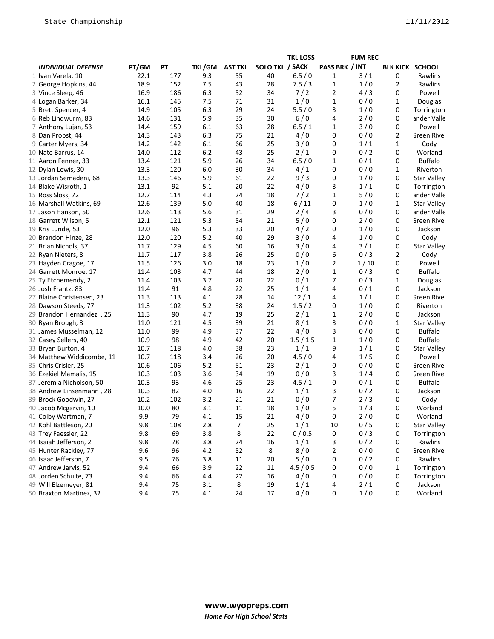|                           |       |        |               |                |                        | <b>TKL LOSS</b> |                         | <b>FUM REC</b> |                        |                    |
|---------------------------|-------|--------|---------------|----------------|------------------------|-----------------|-------------------------|----------------|------------------------|--------------------|
| <b>INDIVIDUAL DEFENSE</b> | PT/GM | ΡT     | <b>TKL/GM</b> | <b>AST TKL</b> | <b>SOLO TKL / SACK</b> |                 | PASS BRK / INT          |                | <b>BLK KICK SCHOOL</b> |                    |
| 1 Ivan Varela, 10         | 22.1  | 177    | 9.3           | 55             | 40                     | 6.5/0           | 1                       | 3/1            | 0                      | Rawlins            |
| 2 George Hopkins, 44      | 18.9  | 152    | 7.5           | 43             | 28                     | 7.5/3           | 1                       | 1/0            | 2                      | Rawlins            |
| 3 Vince Sleep, 46         | 16.9  | 186    | 6.3           | 52             | 34                     | 7/2             | 2                       | 4/3            | 0                      | Powell             |
| 4 Logan Barker, 34        | 16.1  | 145    | 7.5           | 71             | 31                     | 1/0             | $\mathbf{1}$            | 0/0            | 1                      | Douglas            |
| 5 Brett Spencer, 4        | 14.9  | 105    | 6.3           | 29             | 24                     | 5.5/0           | 3                       | 1/0            | 0                      | Torrington         |
| 6 Reb Lindwurm, 83        | 14.6  | 131    | 5.9           | 35             | 30                     | 6/0             | 4                       | 2/0            | 0                      | ander Valle        |
| 7 Anthony Lujan, 53       | 14.4  | 159    | 6.1           | 63             | 28                     | 6.5/1           | 1                       | 3/0            | 0                      | Powell             |
| 8 Dan Probst, 44          | 14.3  | 143    | 6.3           | 75             | 21                     | 4/0             | 0                       | 0/0            | 2                      | Green River        |
| 9 Carter Myers, 34        | 14.2  | 142    | 6.1           | 66             | 25                     | 3/0             | 0                       | 1/1            | 1                      | Cody               |
| 10 Nate Barrus, 14        | 14.0  | 112    | 6.2           | 43             | 25                     | 2/1             | 0                       | 0/2            | 0                      | Worland            |
| 11 Aaron Fenner, 33       | 13.4  | 121    | 5.9           | 26             | 34                     | 6.5/0           | 1                       | 0/1            | 0                      | <b>Buffalo</b>     |
| 12 Dylan Lewis, 30        | 13.3  | 120    | 6.0           | 30             | 34                     | 4/1             | 0                       | 0/0            | 1                      | Riverton           |
| 13 Jordan Semadeni, 68    | 13.3  | 146    | 5.9           | 61             | 22                     | 9/3             | 0                       | 1/0            | 0                      | <b>Star Valley</b> |
| 14 Blake Wisroth, 1       | 13.1  | 92     | 5.1           | 20             | 22                     | 4/0             | 3                       | 1/1            | 0                      | Torrington         |
| 15 Ross Sloss, 72         | 12.7  | 114    | 4.3           | 24             | 18                     | $7/2$           | 1                       | 5/0            | 0                      | ander Valle        |
| 16 Marshall Watkins, 69   | 12.6  | 139    | 5.0           | 40             | 18                     | $6/11$          | 0                       | 1/0            | 1                      | <b>Star Valley</b> |
| 17 Jason Hanson, 50       | 12.6  | 113    | 5.6           | 31             | 29                     | 2/4             | 3                       | 0/0            | 0                      | ander Valle        |
| 18 Garrett Wilson, 5      | 12.1  | 121    | 5.3           | 54             | 21                     | 5/0             | 0                       | 2/0            | 0                      | Green River        |
| 19 Kris Lunde, 53         | 12.0  | 96     | 5.3           | 33             | 20                     | 4/2             | 0                       | 1/0            | 0                      | Jackson            |
| 20 Brandon Hinze, 28      | 12.0  | 120    | 5.2           | 40             | 29                     | 3/0             | 4                       | 1/0            | 0                      | Cody               |
| 21 Brian Nichols, 37      | 11.7  | 129    | 4.5           | 60             | 16                     | 3/0             | 4                       | 3/1            | 0                      | <b>Star Valley</b> |
| 22 Ryan Nieters, 8        | 11.7  | 117    | 3.8           | 26             | 25                     | 0/0             | 6                       | 0/3            | 2                      | Cody               |
| 23 Hayden Cragoe, 17      | 11.5  | 126    | 3.0           | 18             | 23                     | 1/0             | 2                       | 1/10           | 0                      | Powell             |
| 24 Garrett Monroe, 17     | 11.4  | 103    | 4.7           | 44             | 18                     | 2/0             | 1                       | 0/3            | 0                      | <b>Buffalo</b>     |
| 25 Ty Etchemendy, 2       | 11.4  | 103    | 3.7           | 20             | 22                     | 0/1             | 7                       | 0/3            | 1                      | Douglas            |
| 26 Josh Frantz, 83        | 11.4  | 91     | 4.8           | 22             | 25                     | 1/1             | 4                       | 0/1            | 0                      | Jackson            |
| 27 Blaine Christensen, 23 | 11.3  | 113    | 4.1           | 28             | 14                     | 12/1            | 4                       | 1/1            | 0                      | Green River        |
| 28 Dawson Steeds, 77      | 11.3  | 102    | 5.2           | 38             | 24                     | 1.5/2           | 0                       | 1/0            | 0                      | Riverton           |
| 29 Brandon Hernandez, 25  | 11.3  | $90\,$ | 4.7           | 19             | 25                     | 2/1             | $\mathbf{1}$            | 2/0            | 0                      | Jackson            |
| 30 Ryan Brough, 3         | 11.0  | 121    | 4.5           | 39             | 21                     | 8/1             | 3                       | 0/0            | 1                      | <b>Star Valley</b> |
| 31 James Musselman, 12    | 11.0  | 99     | 4.9           | 37             | 22                     | 4/0             | 3                       | 0/0            | 0                      | <b>Buffalo</b>     |
| 32 Casey Sellers, 40      | 10.9  | 98     | 4.9           | 42             | 20                     | 1.5/1.5         | 1                       | 1/0            | 0                      | <b>Buffalo</b>     |
| 33 Bryan Burton, 4        | 10.7  | 118    | 4.0           | 38             | 23                     | 1/1             | 9                       | 1/1            | 0                      | <b>Star Valley</b> |
| 34 Matthew Widdicombe, 11 | 10.7  | 118    | 3.4           | 26             | 20                     | 4.5/0           | 4                       | 1/5            | 0                      | Powell             |
| 35 Chris Crisler, 25      | 10.6  | 106    | 5.2           | 51             | 23                     | 2/1             | 0                       | 0/0            | 0                      | Green River        |
| 36 Ezekiel Mamalis, 15    | 10.3  | 103    | 3.6           | 34             | 19                     | 0/0             | 3                       | 1/4            | 0                      | <b>Green River</b> |
| 37 Jeremia Nicholson, 50  | 10.3  | 93     | 4.6           | 25             | 23                     | 4.5/1           | 0                       | 0/1            | 0                      | <b>Buffalo</b>     |
| 38 Andrew Linsenmann, 28  | 10.3  | 82     | 4.0           | 16             | 22                     | 1/1             | 3                       | 0/2            | 0                      | Jackson            |
| 39 Brock Goodwin, 27      | 10.2  | 102    | 3.2           | 21             | 21                     | 0/0             | 7                       | 2/3            | 0                      | Cody               |
| 40 Jacob Mcgarvin, 10     | 10.0  | 80     | 3.1           | 11             | 18                     | 1/0             | 5                       | 1/3            | 0                      | Worland            |
| 41 Colby Wartman, 7       | 9.9   | 79     | 4.1           | 15             | 21                     | 4/0             | 0                       | 2/0            | 0                      | Worland            |
| 42 Kohl Battleson, 20     | 9.8   | 108    | 2.8           | 7              | 25                     | 1/1             | 10                      | 0/5            | 0                      | <b>Star Valley</b> |
| 43 Trey Faessler, 22      | 9.8   | 69     | 3.8           | 8              | 22                     | 0/0.5           | 0                       | 0/3            | 0                      | Torrington         |
| 44 Isaiah Jefferson, 2    | 9.8   | 78     | 3.8           | 24             | 16                     | 1/1             | 3                       | 0/2            | 0                      | Rawlins            |
| 45 Hunter Rackley, 77     | 9.6   | 96     | 4.2           | 52             | 8                      | 8/0             | $\overline{\mathbf{c}}$ | 0/0            | 0                      | Green River        |
| 46 Isaac Jefferson, 7     | 9.5   | 76     | 3.8           | 11             | 20                     | 5/0             | 0                       | 0/2            | 0                      | Rawlins            |
| 47 Andrew Jarvis, 52      | 9.4   | 66     | 3.9           | 22             | 11                     | 4.5/0.5         | 0                       | 0/0            | $\mathbf{1}$           | Torrington         |
| 48 Jorden Schulte, 73     | 9.4   | 66     | 4.4           | 22             | 16                     | 4/0             | 0                       | 0/0            | 0                      | Torrington         |
| 49 Will Elzemeyer, 81     | 9.4   | 75     | 3.1           | 8              | 19                     | 1/1             | 4                       | 2/1            | 0                      | Jackson            |
| 50 Braxton Martinez, 32   | 9.4   | 75     | 4.1           | 24             | 17                     | 4/0             | 0                       | 1/0            | 0                      | Worland            |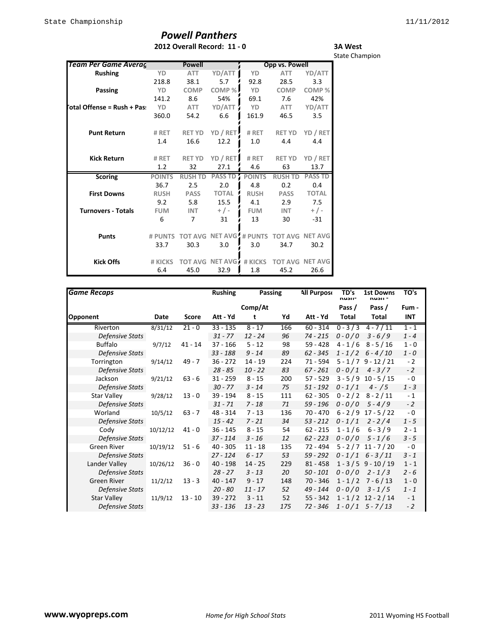## *Powell Panthers* **2012 Overall Record: 11 - 0**

**3A West** State Champion

| <b>Team Per Game Averag</b> |               | <b>Powell</b>  |                         |               | <b>Opp vs. Powell</b> |                        |
|-----------------------------|---------------|----------------|-------------------------|---------------|-----------------------|------------------------|
| <b>Rushing</b>              | YD            | <b>ATT</b>     | YD/ATT                  | YD            | <b>ATT</b>            | YD/ATT                 |
|                             | 218.8         | 38.1           | 5.7                     | 92.8          | 28.5                  | 3.3                    |
| Passing                     | YD            | <b>COMP</b>    | COMP %                  | YD            | <b>COMP</b>           | COMP%                  |
|                             | 141.2         | 8.6            | 54%                     | 69.1          | 7.6                   | 42%                    |
| otal Offense = Rush + Pas   | YD            | ATT            | YD/ATT                  | YD            | <b>ATT</b>            | YD/ATT                 |
|                             | 360.0         | 54.2           | 6.6                     | 161.9         | 46.5                  | 3.5                    |
| <b>Punt Return</b>          | # RET         | <b>RET YD</b>  | YD / RET                | # RET         | <b>RET YD</b>         | YD / RET               |
|                             | 1.4           | 16.6           | 12.2                    | 1.0           | 4.4                   | 4.4                    |
| <b>Kick Return</b>          | # RET         | <b>RET YD</b>  | YD / RET                | # RET         | <b>RET YD</b>         | YD / RET               |
|                             | 1.2           | 32             | 27.1                    | 4.6           | 63                    | 13.7                   |
| <b>Scoring</b>              | <b>POINTS</b> | <b>RUSH TD</b> | <b>PASS TD</b>          | <b>POINTS</b> | <b>RUSH TD</b>        | <b>PASS TD</b>         |
|                             | 36.7          | 2.5            | 2.0                     | 4.8           | 0.2                   | 0.4                    |
| <b>First Downs</b>          | <b>RUSH</b>   | <b>PASS</b>    | <b>TOTAL</b>            | <b>RUSH</b>   | <b>PASS</b>           | <b>TOTAL</b>           |
|                             | 9.2           | 5.8            | 15.5                    | 4.1           | 2.9                   | 7.5                    |
| <b>Turnovers - Totals</b>   | <b>FUM</b>    | <b>INT</b>     | $+/-$                   | <b>FUM</b>    | <b>INT</b>            | $+/-$                  |
|                             | 6             | 7              | 31                      | 13            | 30                    | $-31$                  |
| <b>Punts</b>                | # PUNTS       |                | TOT AVG NET AVG # PUNTS |               |                       | <b>TOT AVG NET AVG</b> |
|                             | 33.7          | 30.3           | 3.0                     | 3.0           | 34.7                  | 30.2                   |
| <b>Kick Offs</b>            | # KICKS       | <b>TOT AVG</b> | NET AVG                 | # KICKS       | <b>TOT AVG</b>        | <b>NET AVG</b>         |
|                             | 6.4           | 45.0           | 32.9                    | 1.8           | 45.2                  | 26.6                   |

| <b>Game Recaps</b>     |          |           | <b>Rushing</b> | Passing   |     | <b>All Purpose</b> | TD's<br>nusii- | <b>1st Downs</b><br>nusu - | TO's    |
|------------------------|----------|-----------|----------------|-----------|-----|--------------------|----------------|----------------------------|---------|
|                        |          |           |                | Comp/At   |     |                    | Pass /         | Pass /                     | Fum -   |
| <b>Opponent</b>        | Date     | Score     | Att - Yd       | t         | Yd  | Att - Yd           | Total          | Total                      | INT     |
| Riverton               | 8/31/12  | $21 - 0$  | $33 - 135$     | $8 - 17$  | 166 | $60 - 314$         |                | $0 - 3/3$ 4 - 7/11         | $1 - 1$ |
| Defensive Stats        |          |           | $31 - 77$      | $12 - 24$ | 96  | $74 - 215$         | $0 - 0/0$      | $3 - 6/9$                  | $1 - 4$ |
| <b>Buffalo</b>         | 9/7/12   | $41 - 14$ | $37 - 166$     | $5 - 12$  | 98  | 59 - 428           | $4 - 1/6$      | $8 - 5 / 16$               | $1 - 0$ |
| Defensive Stats        |          |           | $33 - 188$     | $9 - 14$  | 89  | $62 - 345$         |                | $1 - 1/2$ 6 - 4/10         | $1 - 0$ |
| Torrington             | 9/14/12  | 49 - 7    | $36 - 272$     | $14 - 19$ | 224 | 71 - 594           |                | $5 - 1/7$ 9 - 12/21        | $-2$    |
| <b>Defensive Stats</b> |          |           | $28 - 85$      | $10 - 22$ | 83  | $67 - 261$         | $0 - 0/1$      | $4 - 3/7$                  | $-2$    |
| Jackson                | 9/21/12  | $63 - 6$  | $31 - 259$     | $8 - 15$  | 200 | $57 - 529$         |                | $3 - 5/9$ 10 - $5/15$      | $-0$    |
| Defensive Stats        |          |           | $30 - 77$      | $3 - 14$  | 75  | $51 - 192$         | $0 - 1/1$      | $4 - 75$                   | $1 - 3$ |
| <b>Star Valley</b>     | 9/28/12  | $13 - 0$  | 39 - 194       | $8 - 15$  | 111 | $62 - 305$         | $0 - 2 / 2$    | $8 - 2 / 11$               | $-1$    |
| Defensive Stats        |          |           | $31 - 71$      | $7 - 18$  | 71  | $59 - 196$         | $0 - 0/0$      | $5 - 4/9$                  | $-2$    |
| Worland                | 10/5/12  | $63 - 7$  | 48 - 314       | $7 - 13$  | 136 | $70 - 470$         | $6 - 2/9$      | $17 - 5 / 22$              | $-0$    |
| Defensive Stats        |          |           | $15 - 42$      | $7 - 21$  | 34  | $53 - 212$         | $0 - 1/1$      | $2 - 2/4$                  | $1 - 5$ |
| Cody                   | 10/12/12 | $41 - 0$  | $36 - 145$     | $8 - 15$  | 54  | $62 - 215$         | $1 - 1/6$      | $6 - 3/9$                  | $2 - 1$ |
| Defensive Stats        |          |           | $37 - 114$     | $3 - 16$  | 12  | $62 - 223$         | $0 - 0 / 0$    | $5 - 1/6$                  | $3 - 5$ |
| <b>Green River</b>     | 10/19/12 | $51 - 6$  | $40 - 305$     | $11 - 18$ | 135 | 72 - 494           |                | $5 - 2 / 7 11 - 7 / 20$    | - 0     |
| Defensive Stats        |          |           | $27 - 124$     | $6 - 17$  | 53  | $59 - 292$         |                | $0 - 1/1$ 6 - 3/11         | $3 - 1$ |
| Lander Valley          | 10/26/12 | $36 - 0$  | $40 - 198$     | $14 - 25$ | 229 | $81 - 458$         |                | $1 - 3/5$ 9 - 10 / 19      | $1 - 1$ |
| Defensive Stats        |          |           | $28 - 27$      | $3 - 13$  | 20  | $50 - 101$         | $0 - 0/0$      | $2 - 1/3$                  | $2 - 6$ |
| <b>Green River</b>     | 11/2/12  | $13 - 3$  | $40 - 147$     | $9 - 17$  | 148 | $70 - 346$         | $1 - 1/2$      | $7 - 6 / 13$               | $1 - 0$ |
| <b>Defensive Stats</b> |          |           | $20 - 80$      | $11 - 17$ | 52  | 49 - 144           | $0 - 0/0$      | $3 - 1/5$                  | $1 - 1$ |
| <b>Star Valley</b>     | 11/9/12  | $13 - 10$ | $39 - 272$     | $3 - 11$  | 52  | $55 - 342$         |                | $1 - 1/2$ 12 - 2/14        | $-1$    |
| <b>Defensive Stats</b> |          |           | $33 - 136$     | $13 - 23$ | 175 | 72 - 346           |                | $1 - 0/1$ 5 - 7/13         | $-2$    |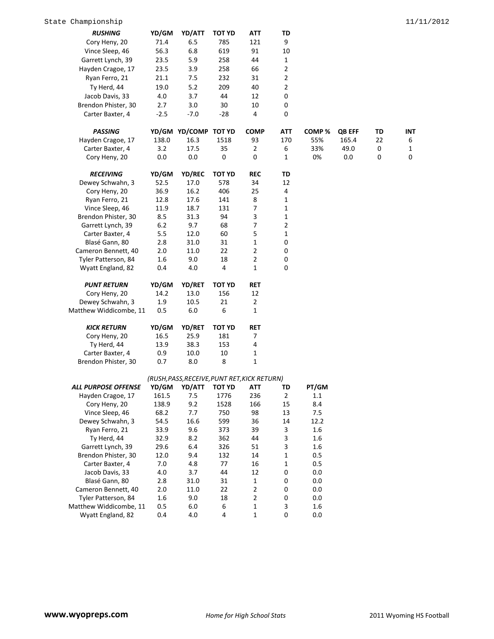| <b>RUSHING</b>             | YD/GM   | YD/ATT                                       | <b>TOT YD</b> | ATT            | TD               |         |               |    |              |
|----------------------------|---------|----------------------------------------------|---------------|----------------|------------------|---------|---------------|----|--------------|
| Cory Heny, 20              | 71.4    | 6.5                                          | 785           | 121            | 9                |         |               |    |              |
| Vince Sleep, 46            | 56.3    | 6.8                                          | 619           | 91             | 10               |         |               |    |              |
| Garrett Lynch, 39          | 23.5    | 5.9                                          | 258           | 44             | 1                |         |               |    |              |
| Hayden Cragoe, 17          | 23.5    | 3.9                                          | 258           | 66             | 2                |         |               |    |              |
| Ryan Ferro, 21             | 21.1    | 7.5                                          | 232           | 31             | 2                |         |               |    |              |
| Ty Herd, 44                | 19.0    | 5.2                                          | 209           | 40             | 2                |         |               |    |              |
| Jacob Davis, 33            | 4.0     | 3.7                                          | 44            | 12             | $\boldsymbol{0}$ |         |               |    |              |
| Brendon Phister, 30        | 2.7     | 3.0                                          | 30            | 10             | $\boldsymbol{0}$ |         |               |    |              |
| Carter Baxter, 4           | $-2.5$  | $-7.0$                                       | $-28$         | 4              | $\mathbf 0$      |         |               |    |              |
|                            |         |                                              |               |                |                  |         |               |    |              |
| <b>PASSING</b>             |         | YD/GM YD/COMP TOT YD                         |               | <b>COMP</b>    | <b>ATT</b>       | COMP%   | <b>QB EFF</b> | TD | INT          |
| Hayden Cragoe, 17          | 138.0   | 16.3                                         | 1518          | 93             | 170              | 55%     | 165.4         | 22 | 6            |
| Carter Baxter, 4           | 3.2     | 17.5                                         | 35            | $\overline{2}$ | 6                | 33%     | 49.0          | 0  | $\mathbf{1}$ |
| Cory Heny, 20              | 0.0     | 0.0                                          | 0             | 0              | 1                | 0%      | 0.0           | 0  | $\mathbf 0$  |
|                            |         |                                              |               |                |                  |         |               |    |              |
| <b>RECEIVING</b>           | YD/GM   | YD/REC                                       | <b>TOT YD</b> | <b>REC</b>     | TD               |         |               |    |              |
| Dewey Schwahn, 3           | 52.5    | 17.0                                         | 578           | 34             | 12               |         |               |    |              |
| Cory Heny, 20              | 36.9    | 16.2                                         | 406           | 25             | 4                |         |               |    |              |
| Ryan Ferro, 21             | 12.8    | 17.6                                         | 141           | 8              | $\mathbf 1$      |         |               |    |              |
| Vince Sleep, 46            | 11.9    | 18.7                                         | 131           | 7              | $\mathbf{1}$     |         |               |    |              |
| Brendon Phister, 30        | 8.5     | 31.3                                         | 94            | 3              | $\mathbf 1$      |         |               |    |              |
| Garrett Lynch, 39          | 6.2     | 9.7                                          | 68            | $\overline{7}$ | 2                |         |               |    |              |
| Carter Baxter, 4           | 5.5     | 12.0                                         | 60            | 5              | $\mathbf{1}$     |         |               |    |              |
| Blasé Gann, 80             | 2.8     | 31.0                                         | 31            | $\mathbf 1$    | 0                |         |               |    |              |
| Cameron Bennett, 40        | 2.0     | 11.0                                         | 22            | $\overline{2}$ | 0                |         |               |    |              |
| Tyler Patterson, 84        | 1.6     | 9.0                                          | 18            | $\overline{2}$ | $\boldsymbol{0}$ |         |               |    |              |
| Wyatt England, 82          | 0.4     | 4.0                                          | 4             | 1              | $\mathbf 0$      |         |               |    |              |
|                            |         |                                              |               |                |                  |         |               |    |              |
| <b>PUNT RETURN</b>         | YD/GM   | <b>YD/RET</b>                                | <b>TOT YD</b> | RET            |                  |         |               |    |              |
| Cory Heny, 20              | 14.2    | 13.0                                         | 156           | 12             |                  |         |               |    |              |
| Dewey Schwahn, 3           | 1.9     | 10.5                                         | 21            | $\overline{2}$ |                  |         |               |    |              |
| Matthew Widdicombe, 11     | 0.5     | 6.0                                          | 6             | 1              |                  |         |               |    |              |
| <b>KICK RETURN</b>         | YD/GM   | YD/RET                                       | <b>TOT YD</b> | <b>RET</b>     |                  |         |               |    |              |
| Cory Heny, 20              | 16.5    | 25.9                                         | 181           | 7              |                  |         |               |    |              |
| Ty Herd, 44                | 13.9    | 38.3                                         | 153           | 4              |                  |         |               |    |              |
| Carter Baxter, 4           | 0.9     | 10.0                                         | 10            | 1              |                  |         |               |    |              |
| Brendon Phister, 30        | 0.7     | 8.0                                          | 8             | $\mathbf{1}$   |                  |         |               |    |              |
|                            |         |                                              |               |                |                  |         |               |    |              |
|                            |         | (RUSH, PASS, RECEIVE, PUNT RET, KICK RETURN) |               |                |                  |         |               |    |              |
| <b>ALL PURPOSE OFFENSE</b> | YD/GM   | YD/ATT                                       | TOT YD        | ATT            | TD               | PT/GM   |               |    |              |
| Hayden Cragoe, 17          | 161.5   | 7.5                                          | 1776          | 236            | $\mathbf 2$      | $1.1\,$ |               |    |              |
| Cory Heny, 20              | 138.9   | 9.2                                          | 1528          | 166            | 15               | 8.4     |               |    |              |
| Vince Sleep, 46            | 68.2    | 7.7                                          | 750           | 98             | 13               | 7.5     |               |    |              |
| Dewey Schwahn, 3           | 54.5    | 16.6                                         | 599           | 36             | 14               | 12.2    |               |    |              |
| Ryan Ferro, 21             | 33.9    | 9.6                                          | 373           | 39             | 3                | 1.6     |               |    |              |
| Ty Herd, 44                | 32.9    | 8.2                                          | 362           | 44             | 3                | 1.6     |               |    |              |
| Garrett Lynch, 39          | 29.6    | 6.4                                          | 326           | 51             | 3                | 1.6     |               |    |              |
| Brendon Phister, 30        | 12.0    | 9.4                                          | 132           | 14             | $\mathbf{1}$     | 0.5     |               |    |              |
| Carter Baxter, 4           | 7.0     | 4.8                                          | 77            | 16             | $\mathbf 1$      | 0.5     |               |    |              |
| Jacob Davis, 33            | $4.0\,$ | 3.7                                          | 44            | 12             | 0                | 0.0     |               |    |              |
| Blasé Gann, 80             | 2.8     | 31.0                                         | 31            | $\mathbf{1}$   | 0                | 0.0     |               |    |              |
| Cameron Bennett, 40        | $2.0\,$ | 11.0                                         | 22            | $\overline{2}$ | 0                | 0.0     |               |    |              |
| Tyler Patterson, 84        | 1.6     | 9.0                                          | 18            | $\overline{2}$ | 0                | 0.0     |               |    |              |
| Matthew Widdicombe, 11     | 0.5     | 6.0                                          | 6             | 1              | 3                | 1.6     |               |    |              |
| Wyatt England, 82          | 0.4     | 4.0                                          | 4             | $\mathbf 1$    | 0                | $0.0\,$ |               |    |              |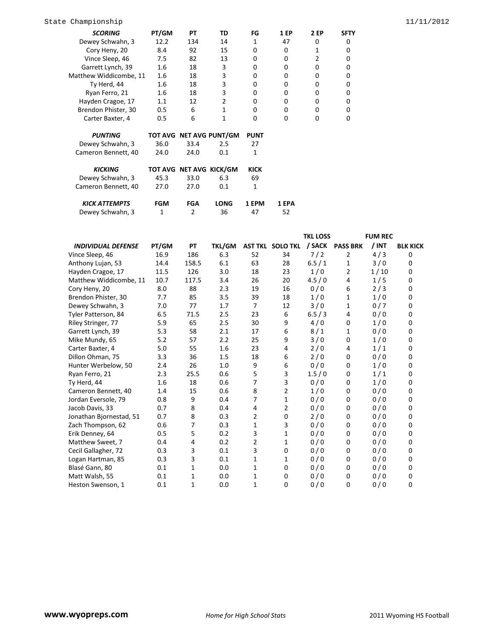| <b>SCORING</b>         | PT/GM      | PТ             | TD                      | FG           | 1 EP  | 2 EP | <b>SFTY</b> |
|------------------------|------------|----------------|-------------------------|--------------|-------|------|-------------|
| Dewey Schwahn, 3       | 12.2       | 134            | 14                      | $\mathbf{1}$ | 47    | 0    | 0           |
| Cory Heny, 20          | 8.4        | 92             | 15                      | $\Omega$     | 0     | 1    | 0           |
| Vince Sleep, 46        | 7.5        | 82             | 13                      | $\Omega$     | 0     | 2    | 0           |
| Garrett Lynch, 39      | 1.6        | 18             | 3                       | $\Omega$     | 0     | 0    | 0           |
| Matthew Widdicombe, 11 | 1.6        | 18             | 3                       | 0            | 0     | 0    | 0           |
| Ty Herd, 44            | 1.6        | 18             | 3                       | $\Omega$     | 0     | 0    | 0           |
| Ryan Ferro, 21         | 1.6        | 18             | 3                       | $\Omega$     | 0     | 0    | 0           |
| Hayden Cragoe, 17      | 1.1        | 12             | $\overline{2}$          | $\Omega$     | 0     | 0    | 0           |
| Brendon Phister, 30    | 0.5        | 6              | 1                       | $\Omega$     | 0     | 0    | 0           |
| Carter Baxter, 4       | 0.5        | 6              | 1                       | $\Omega$     | 0     | 0    | 0           |
| <b>PUNTING</b>         |            |                | TOT AVG NET AVG PUNT/GM | <b>PUNT</b>  |       |      |             |
|                        |            |                |                         |              |       |      |             |
| Dewey Schwahn, 3       | 36.0       | 33.4           | 2.5                     | 27           |       |      |             |
| Cameron Bennett, 40    | 24.0       | 24.0           | 0.1                     | $\mathbf{1}$ |       |      |             |
| <b>KICKING</b>         |            |                | TOT AVG NET AVG KICK/GM | <b>KICK</b>  |       |      |             |
| Dewey Schwahn, 3       | 45.3       | 33.0           | 6.3                     | 69           |       |      |             |
| Cameron Bennett, 40    | 27.0       | 27.0           | 0.1                     | $\mathbf{1}$ |       |      |             |
| <b>KICK ATTEMPTS</b>   | <b>FGM</b> | <b>FGA</b>     | <b>LONG</b>             | 1 EPM        | 1 EPA |      |             |
| Dewey Schwahn, 3       | 1          | $\overline{2}$ | 36                      | 47           | 52    |      |             |

|                           |       |       |               |                |                         | <b>TKL LOSS</b> |                 | <b>FUM REC</b> |                 |
|---------------------------|-------|-------|---------------|----------------|-------------------------|-----------------|-----------------|----------------|-----------------|
| <b>INDIVIDUAL DEFENSE</b> | PT/GM | PT    | <b>TKL/GM</b> |                | <b>AST TKL SOLO TKL</b> |                 | / SACK PASS BRK | / INT          | <b>BLK KICK</b> |
| Vince Sleep, 46           | 16.9  | 186   | 6.3           | 52             | 34                      | 7/2             | 2               | 4/3            | 0               |
| Anthony Lujan, 53         | 14.4  | 158.5 | 6.1           | 63             | 28                      | 6.5/1           | 1               | 3/0            | 0               |
| Hayden Cragoe, 17         | 11.5  | 126   | 3.0           | 18             | 23                      | 1/0             | $\overline{2}$  | 1/10           | $\Omega$        |
| Matthew Widdicombe, 11    | 10.7  | 117.5 | 3.4           | 26             | 20                      | 4.5/0           | 4               | 1/5            | 0               |
| Cory Heny, 20             | 8.0   | 88    | 2.3           | 19             | 16                      | 0/0             | 6               | 2/3            | 0               |
| Brendon Phister, 30       | 7.7   | 85    | 3.5           | 39             | 18                      | 1/0             | 1               | 1/0            | 0               |
| Dewey Schwahn, 3          | 7.0   | 77    | 1.7           | $\overline{7}$ | 12                      | 3/0             | $\mathbf{1}$    | 0/7            | $\Omega$        |
| Tyler Patterson, 84       | 6.5   | 71.5  | 2.5           | 23             | 6                       | 6.5/3           | 4               | 0/0            | 0               |
| Riley Stringer, 77        | 5.9   | 65    | 2.5           | 30             | 9                       | 4/0             | 0               | 1/0            | 0               |
| Garrett Lynch, 39         | 5.3   | 58    | 2.1           | 17             | 6                       | 8/1             | 1               | 0/0            | 0               |
| Mike Mundy, 65            | 5.2   | 57    | 2.2           | 25             | 9                       | 3/0             | 0               | 1/0            | $\Omega$        |
| Carter Baxter, 4          | 5.0   | 55    | 1.6           | 23             | 4                       | 2/0             | 4               | 1/1            | 0               |
| Dillon Ohman, 75          | 3.3   | 36    | 1.5           | 18             | 6                       | 2/0             | 0               | 0/0            | 0               |
| Hunter Werbelow, 50       | 2.4   | 26    | 1.0           | 9              | 6                       | 0/0             | 0               | 1/0            | 0               |
| Ryan Ferro, 21            | 2.3   | 25.5  | 0.6           | 5              | $\overline{3}$          | 1.5/0           | 0               | 1/1            | $\Omega$        |
| Ty Herd, 44               | 1.6   | 18    | 0.6           | 7              | 3                       | 0/0             | 0               | 1/0            | 0               |
| Cameron Bennett, 40       | 1.4   | 15    | 0.6           | 8              | $\overline{2}$          | 1/0             | 0               | 0/0            | 0               |
| Jordan Eversole, 79       | 0.8   | 9     | 0.4           | 7              | $\mathbf{1}$            | 0/0             | 0               | 0/0            | 0               |
| Jacob Davis, 33           | 0.7   | 8     | 0.4           | 4              | 2                       | 0/0             | 0               | 0/0            | $\Omega$        |
| Jonathan Bjornestad, 51   | 0.7   | 8     | 0.3           | 2              | 0                       | 2/0             | 0               | 0/0            | 0               |
| Zach Thompson, 62         | 0.6   | 7     | 0.3           | 1              | 3                       | 0/0             | 0               | 0/0            | 0               |
| Erik Denney, 64           | 0.5   | 5     | 0.2           | 3              | 1                       | 0/0             | 0               | 0/0            | 0               |
| Matthew Sweet, 7          | 0.4   | 4     | 0.2           | $\overline{2}$ | 1                       | 0/0             | 0               | 0/0            | $\Omega$        |
| Cecil Gallagher, 72       | 0.3   | 3     | 0.1           | 3              | $\mathbf 0$             | 0/0             | 0               | 0/0            | 0               |
| Logan Hartman, 85         | 0.3   | 3     | 0.1           | 1              | 1                       | 0/0             | 0               | 0/0            | 0               |
| Blasé Gann, 80            | 0.1   | 1     | 0.0           | 1              | $\mathbf 0$             | 0/0             | 0               | 0/0            | 0               |
| Matt Walsh, 55            | 0.1   | 1     | 0.0           | 1              | $\mathbf 0$             | 0/0             | 0               | 0/0            | 0               |
| Heston Swenson, 1         | 0.1   | 1     | 0.0           | 1              | 0                       | 0/0             | 0               | 0/0            | 0               |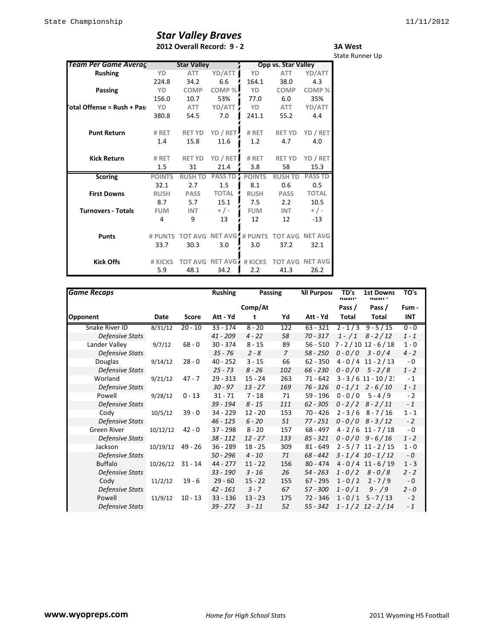## *Star Valley Braves* **2012 Overall Record: 9 - 2**

**3A West** State Runner Up

| <u>Team Per Game Averaç</u> |               | <b>Star Valley</b> |                                 | Opp vs. Star Valley |                |                        |  |
|-----------------------------|---------------|--------------------|---------------------------------|---------------------|----------------|------------------------|--|
| <b>Rushing</b>              | YD            | <b>ATT</b>         | YD/ATT                          | YD                  | <b>ATT</b>     | YD/ATT                 |  |
|                             | 224.8         | 34.2               | 6.6                             | 164.1               | 38.0           | 4.3                    |  |
| Passing                     | <b>YD</b>     | <b>COMP</b>        | COMP%                           | YD                  | <b>COMP</b>    | COMP <sup>%</sup>      |  |
|                             | 156.0         | 10.7               |                                 | 77.0                | 6.0            |                        |  |
|                             |               |                    | 53%                             |                     |                | 35%                    |  |
| otal Offense = Rush + Pas:  | YD            | <b>ATT</b>         | YD/ATT                          | YD                  | ATT            | YD/ATT                 |  |
|                             | 380.8         | 54.5               | 7.0                             | 241.1               | 55.2           | 4.4                    |  |
|                             |               |                    |                                 |                     |                |                        |  |
| <b>Punt Return</b>          | # RET         | <b>RET YD</b>      | YD / RET                        | # RET               | <b>RET YD</b>  | YD / RET               |  |
|                             | 1.4           | 15.8               | 11.6                            | 1.2                 | 4.7            | 4.0                    |  |
|                             |               |                    |                                 |                     |                |                        |  |
| <b>Kick Return</b>          | # RET         | <b>RET YD</b>      | YD / RET                        | # RET               | <b>RET YD</b>  | YD / RET               |  |
|                             | 1.5           | 31                 | 21.4                            | 3.8                 | 58             | 15.3                   |  |
| <b>Scoring</b>              | <b>POINTS</b> | <b>RUSH TD</b>     | <b>PASS TD</b>                  | <b>POINTS</b>       | <b>RUSH TD</b> | <b>PASS TD</b>         |  |
|                             | 32.1          | 2.7                | 1.5                             | 8.1                 | 0.6            | 0.5                    |  |
| <b>First Downs</b>          | <b>RUSH</b>   | <b>PASS</b>        | <b>TOTAL</b>                    | <b>RUSH</b>         | <b>PASS</b>    | <b>TOTAL</b>           |  |
|                             | 8.7           | 5.7                | 15.1                            | 7.5                 | 2.2            | 10.5                   |  |
| <b>Turnovers - Totals</b>   | <b>FUM</b>    | <b>INT</b>         | $+$ / -                         | <b>FUM</b>          | <b>INT</b>     | $+$ / -                |  |
|                             | 4             | 9                  | 13                              | 12                  | 12             | $-13$                  |  |
|                             |               |                    |                                 |                     |                |                        |  |
| <b>Punts</b>                | # PUNTS       |                    | <b>TOT AVG NET AVG, # PUNTS</b> |                     |                | <b>TOT AVG NET AVG</b> |  |
|                             | 33.7          | 30.3               | 3.0                             | 3.0                 | 37.2           | 32.1                   |  |
|                             |               |                    |                                 |                     |                |                        |  |
| <b>Kick Offs</b>            | # KICKS       | <b>TOT AVG</b>     | NET AVG                         | # KICKS             |                | <b>TOT AVG NET AVG</b> |  |
|                             | 5.9           | 48.1               | 34.2                            | 2.2                 | 41.3           | 26.2                   |  |

| <b>Game Recaps</b>     |          |           | <b>Rushing</b> | Passing   |                | <b>All Purpose</b> | TD's<br>nusii- | <b>1st Downs</b><br>nusii - | TO's       |
|------------------------|----------|-----------|----------------|-----------|----------------|--------------------|----------------|-----------------------------|------------|
|                        |          |           |                | Comp/At   |                |                    | Pass /         | Pass /                      | Fum -      |
| Opponent               | Date     | Score     | Att - Yd       | t         | Yd             | Att - Yd           | Total          | Total                       | <b>INT</b> |
| Snake River ID         | 8/31/12  | $20 - 10$ | $33 - 174$     | $8 - 20$  | 122            | $63 - 321$         |                | $2 - 1/3$ 9 - 5/15          | $0 - 0$    |
| <b>Defensive Stats</b> |          |           | $41 - 209$     | $4 - 22$  | 58             | $70 - 317$         | $1 - / 1$      | $8 - 2/12$                  | $1 - 1$    |
| Lander Valley          | 9/7/12   | $68 - 0$  | $30 - 374$     | $8 - 15$  | 89             | $56 - 510$         |                | $7 - 2 / 10 12 - 6 / 18$    | $1 - 0$    |
| <b>Defensive Stats</b> |          |           | $35 - 76$      | $2 - 8$   | $\overline{7}$ | $58 - 250$         |                | $0 - 0/0$ 3-0/4             | $4 - 2$    |
| <b>Douglas</b>         | 9/14/12  | $28 - 0$  | $40 - 252$     | $3 - 15$  | 66             | $62 - 350$         |                | $4 - 0/4$ 11 - 2/13         | $-0$       |
| <b>Defensive Stats</b> |          |           | $25 - 73$      | $8 - 26$  | 102            | $66 - 230$         |                | $0 - 0/0$ 5 - 2/8           | $1 - 2$    |
| Worland                | 9/21/12  | $47 - 7$  | $29 - 313$     | $15 - 24$ | 263            | $71 - 642$         |                | $3 - 3 / 6 11 - 10 / 21$    | $-1$       |
| <b>Defensive Stats</b> |          |           | $30 - 97$      | $13 - 27$ | 169            | 76 - 326           |                | $0 - 1/1$ 2 - 6/10          | $1 - 1$    |
| Powell                 | 9/28/12  | $0 - 13$  | $31 - 71$      | $7 - 18$  | 71             | 59 - 196           | $0 - 0 / 0$    | $5 - 4/9$                   | $-2$       |
| Defensive Stats        |          |           | $39 - 194$     | $8 - 15$  | 111            | $62 - 305$         |                | $0 - 2/2$ 8 - 2/11          | $-1$       |
| Cody                   | 10/5/12  | $39 - 0$  | 34 - 229       | $12 - 20$ | 153            | $70 - 426$         |                | $2 - 3/6$ 8 - 7/16          | $1 - 1$    |
| Defensive Stats        |          |           | $46 - 125$     | $6 - 20$  | 51             | $77 - 251$         |                | $0 - 0/0$ 8 - 3/12          | $-2$       |
| Green River            | 10/12/12 | $42 - 0$  | $37 - 298$     | $8 - 20$  | 157            | 68 - 497           |                | $4 - 2 / 6$ 11 - 7/18       | $-0$       |
| Defensive Stats        |          |           | $38 - 112$     | $12 - 27$ | 133            | $85 - 321$         |                | $0 - 0/0$ 9-6/16            | $1 - 2$    |
| Jackson                | 10/19/12 | $49 - 26$ | $36 - 289$     | $18 - 25$ | 309            | $81 - 649$         |                | $2 - 5/7$ 11 - 2/15         | $1 - 0$    |
| Defensive Stats        |          |           | $50 - 296$     | $4 - 10$  | 71             | $68 - 442$         |                | $3 - 1/4$ 10 - 1/12         | $-0$       |
| <b>Buffalo</b>         | 10/26/12 | $31 - 14$ | 44 - 277       | $11 - 22$ | 156            | $80 - 474$         |                | $4 - 0/4$ 11 - 6/19         | $1 - 3$    |
| <b>Defensive Stats</b> |          |           | $33 - 190$     | $3 - 16$  | 26             | $54 - 263$         | $1 - 0/2$      | $8 - 0/8$                   | $2 - 2$    |
| Cody                   | 11/2/12  | $19 - 6$  | $29 - 60$      | $15 - 22$ | 155            | $67 - 295$         | $1 - 0/2$      | $2 - 7/9$                   | $-0$       |
| <b>Defensive Stats</b> |          |           | $42 - 161$     | $3 - 7$   | 67             | $57 - 300$         | $1 - 0/1$      | $9 - 9$                     | $2 - 0$    |
| Powell                 | 11/9/12  | $10 - 13$ | $33 - 136$     | $13 - 23$ | 175            | $72 - 346$         |                | $1 - 0/1$ 5 - 7/13          | $-2$       |
| <b>Defensive Stats</b> |          |           | $39 - 272$     | $3 - 11$  | 52             | $55 - 342$         |                | $1 - 1/2$ 12 - 2/14         | $-1$       |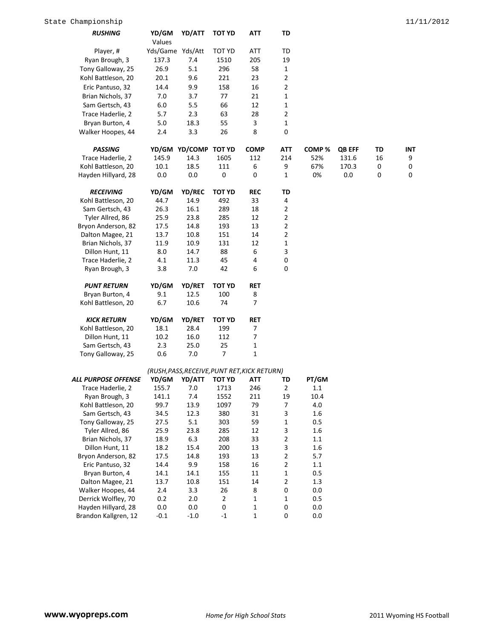| <b>RUSHING</b>                       | YD/GM            | YD/ATT                                       | TOT YD         | ATT         | TD                  |            |        |    |             |
|--------------------------------------|------------------|----------------------------------------------|----------------|-------------|---------------------|------------|--------|----|-------------|
|                                      | Values           |                                              |                |             |                     |            |        |    |             |
| Player, #                            | Yds/Game Yds/Att |                                              | TOT YD         | ATT         | TD                  |            |        |    |             |
| Ryan Brough, 3                       | 137.3            | 7.4                                          | 1510           | 205         | 19                  |            |        |    |             |
| Tony Galloway, 25                    | 26.9             | 5.1                                          | 296            | 58          | $\mathbf{1}$        |            |        |    |             |
| Kohl Battleson, 20                   | 20.1             | 9.6                                          | 221            | 23          | $\overline{2}$      |            |        |    |             |
| Eric Pantuso, 32                     | 14.4             | 9.9                                          | 158            | 16          | $\overline{2}$      |            |        |    |             |
| Brian Nichols, 37                    | 7.0              | 3.7                                          | 77             | 21          | $\mathbf{1}$        |            |        |    |             |
| Sam Gertsch, 43                      | 6.0              | 5.5                                          | 66             | 12          | $\mathbf{1}$        |            |        |    |             |
| Trace Haderlie, 2                    | 5.7              | 2.3                                          | 63             | 28          | $\overline{2}$      |            |        |    |             |
| Bryan Burton, 4                      | 5.0              | 18.3                                         | 55             | 3           | 1                   |            |        |    |             |
| Walker Hoopes, 44                    | 2.4              | 3.3                                          | 26             | 8           | $\mathbf 0$         |            |        |    |             |
|                                      |                  |                                              |                |             |                     |            |        |    |             |
| <b>PASSING</b>                       |                  | YD/GM YD/COMP TOT YD                         |                | <b>COMP</b> | <b>ATT</b>          | COMP%      | QB EFF | TD | INT         |
| Trace Haderlie, 2                    | 145.9            | 14.3                                         | 1605           | 112         | 214                 | 52%        | 131.6  | 16 | 9           |
| Kohl Battleson, 20                   | 10.1             | 18.5                                         | 111            | 6           | 9                   | 67%        | 170.3  | 0  | 0           |
| Hayden Hillyard, 28                  | 0.0              | 0.0                                          | $\pmb{0}$      | 0           | $\mathbf{1}$        | 0%         | 0.0    | 0  | $\mathbf 0$ |
|                                      |                  |                                              |                |             |                     |            |        |    |             |
| <b>RECEIVING</b>                     | YD/GM            | YD/REC                                       | <b>TOT YD</b>  | <b>REC</b>  | TD                  |            |        |    |             |
| Kohl Battleson, 20                   | 44.7             | 14.9                                         | 492            | 33          | 4                   |            |        |    |             |
| Sam Gertsch, 43                      | 26.3             | 16.1                                         | 289            | 18          | 2                   |            |        |    |             |
| Tyler Allred, 86                     | 25.9             | 23.8                                         | 285            | 12          | $\overline{2}$      |            |        |    |             |
| Bryon Anderson, 82                   | 17.5             | 14.8                                         | 193            | 13          | $\overline{2}$      |            |        |    |             |
| Dalton Magee, 21                     | 13.7             | 10.8                                         | 151            | 14          | 2                   |            |        |    |             |
| Brian Nichols, 37                    | 11.9             | 10.9                                         | 131            | 12          | 1                   |            |        |    |             |
| Dillon Hunt, 11                      | 8.0              | 14.7                                         | 88             | 6           | 3                   |            |        |    |             |
| Trace Haderlie, 2                    | 4.1              | 11.3                                         | 45             | 4           | 0                   |            |        |    |             |
| Ryan Brough, 3                       | 3.8              | 7.0                                          | 42             | 6           | 0                   |            |        |    |             |
|                                      |                  |                                              |                |             |                     |            |        |    |             |
| <b>PUNT RETURN</b>                   | YD/GM            | <b>YD/RET</b>                                | <b>TOT YD</b>  | <b>RET</b>  |                     |            |        |    |             |
| Bryan Burton, 4                      | 9.1              | 12.5                                         | 100            | 8           |                     |            |        |    |             |
| Kohl Battleson, 20                   | 6.7              | 10.6                                         | 74             | 7           |                     |            |        |    |             |
|                                      |                  |                                              |                |             |                     |            |        |    |             |
| <b>KICK RETURN</b>                   | YD/GM            | <b>YD/RET</b>                                | <b>TOT YD</b>  | RET         |                     |            |        |    |             |
| Kohl Battleson, 20                   | 18.1             | 28.4                                         | 199            | 7           |                     |            |        |    |             |
| Dillon Hunt, 11                      | 10.2             | 16.0                                         | 112            | 7           |                     |            |        |    |             |
| Sam Gertsch, 43                      | 2.3              | 25.0                                         | 25             | 1           |                     |            |        |    |             |
| Tony Galloway, 25                    | 0.6              | 7.0                                          | 7              | 1           |                     |            |        |    |             |
|                                      |                  |                                              |                |             |                     |            |        |    |             |
|                                      |                  | (RUSH, PASS, RECEIVE, PUNT RET, KICK RETURN) |                |             |                     |            |        |    |             |
| <b>ALL PURPOSE OFFENSE</b>           | YD/GM            | YD/ATT                                       | TOT YD         | ATT         | TD                  | PT/GM      |        |    |             |
| Trace Haderlie, 2                    | 155.7            | 7.0                                          | 1713           | 246         | 2                   | 1.1        |        |    |             |
| Ryan Brough, 3                       | 141.1            | 7.4                                          | 1552           | 211         | 19                  | 10.4       |        |    |             |
| Kohl Battleson, 20                   | 99.7             | 13.9                                         | 1097           | 79          | $\overline{7}$      | $4.0\,$    |        |    |             |
| Sam Gertsch, 43                      | 34.5             | 12.3                                         | 380            | 31          | 3                   | 1.6        |        |    |             |
| Tony Galloway, 25                    | 27.5             | 5.1                                          | 303            | 59          | $\mathbf{1}$        | 0.5        |        |    |             |
| Tyler Allred, 86                     | 25.9             | 23.8                                         | 285            | 12          | 3                   | 1.6        |        |    |             |
| Brian Nichols, 37<br>Dillon Hunt, 11 | 18.9             | 6.3                                          | 208            | 33          | $\mathbf{2}$        | 1.1        |        |    |             |
|                                      | 18.2             | 15.4                                         | 200            | 13          | 3<br>$\overline{2}$ | 1.6        |        |    |             |
| Bryon Anderson, 82                   | 17.5             | 14.8<br>9.9                                  | 193<br>158     | 13<br>16    | $\mathbf{2}$        | 5.7<br>1.1 |        |    |             |
| Eric Pantuso, 32                     | 14.4             |                                              |                |             | $\mathbf 1$         | 0.5        |        |    |             |
| Bryan Burton, 4<br>Dalton Magee, 21  | 14.1<br>13.7     | 14.1<br>10.8                                 | 155<br>151     | 11          | $\overline{2}$      | 1.3        |        |    |             |
| Walker Hoopes, 44                    | 2.4              | 3.3                                          | 26             | 14<br>8     | 0                   | 0.0        |        |    |             |
| Derrick Wolfley, 70                  | 0.2              | $2.0\,$                                      | $\overline{2}$ | $\mathbf 1$ | $\mathbf{1}$        | 0.5        |        |    |             |
| Hayden Hillyard, 28                  | 0.0              | 0.0                                          | $\pmb{0}$      | 1           | $\boldsymbol{0}$    | $0.0\,$    |        |    |             |
|                                      |                  |                                              |                |             |                     |            |        |    |             |

Brandon Kallgren, 12 -0.1 -1.0 -1 1 0 0.0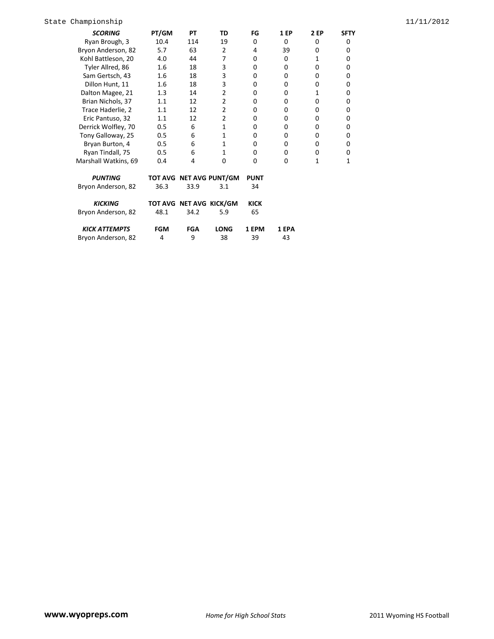| <b>SCORING</b>       | PT/GM      | PТ         | TD                      | FG          | <b>1 EP</b> | 2 EP | <b>SFTY</b> |
|----------------------|------------|------------|-------------------------|-------------|-------------|------|-------------|
| Ryan Brough, 3       | 10.4       | 114        | 19                      | 0           | $\Omega$    | 0    | 0           |
| Bryon Anderson, 82   | 5.7        | 63         | 2                       | 4           | 39          | 0    | 0           |
| Kohl Battleson, 20   | 4.0        | 44         | 7                       | 0           | 0           | 1    | 0           |
| Tyler Allred, 86     | 1.6        | 18         | 3                       | 0           | 0           | 0    | 0           |
| Sam Gertsch, 43      | 1.6        | 18         | 3                       | 0           | 0           | 0    | 0           |
| Dillon Hunt, 11      | 1.6        | 18         | 3                       | 0           | 0           | 0    | 0           |
| Dalton Magee, 21     | 1.3        | 14         | $\overline{2}$          | 0           | 0           | 1    | 0           |
| Brian Nichols, 37    | 1.1        | 12         | $\overline{2}$          | 0           | 0           | 0    | 0           |
| Trace Haderlie, 2    | 1.1        | 12         | $\overline{2}$          | 0           | 0           | 0    | 0           |
| Eric Pantuso, 32     | 1.1        | 12         | $\overline{2}$          | 0           | 0           | 0    | 0           |
| Derrick Wolfley, 70  | 0.5        | 6          | 1                       | 0           | 0           | 0    | 0           |
| Tony Galloway, 25    | 0.5        | 6          | 1                       | 0           | 0           | 0    | 0           |
| Bryan Burton, 4      | 0.5        | 6          | 1                       | 0           | 0           | 0    | 0           |
| Ryan Tindall, 75     | 0.5        | 6          | 1                       | 0           | 0           | 0    | 0           |
| Marshall Watkins, 69 | 0.4        | 4          | 0                       | 0           | 0           | 1    | 1           |
| <b>PUNTING</b>       |            |            | TOT AVG NET AVG PUNT/GM | <b>PUNT</b> |             |      |             |
| Bryon Anderson, 82   | 36.3       | 33.9       | 3.1                     | 34          |             |      |             |
| <b>KICKING</b>       |            |            | TOT AVG NET AVG KICK/GM | <b>KICK</b> |             |      |             |
| Bryon Anderson, 82   | 48.1       | 34.2       | 5.9                     | 65          |             |      |             |
| <b>KICK ATTEMPTS</b> | <b>FGM</b> | <b>FGA</b> | <b>LONG</b>             | 1 EPM       | 1 EPA       |      |             |

Bryon Anderson, 82 4 9 38 39 43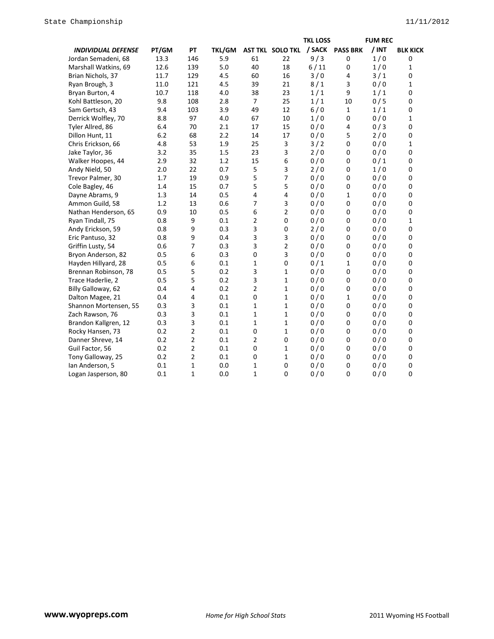|                           |       |                |               |                |                  | <b>TKL LOSS</b> |                 | <b>FUM REC</b> |                 |
|---------------------------|-------|----------------|---------------|----------------|------------------|-----------------|-----------------|----------------|-----------------|
| <b>INDIVIDUAL DEFENSE</b> | PT/GM | PT             | <b>TKL/GM</b> |                | AST TKL SOLO TKL | / SACK          | <b>PASS BRK</b> | $/$ INT        | <b>BLK KICK</b> |
| Jordan Semadeni, 68       | 13.3  | 146            | 5.9           | 61             | 22               | 9/3             | $\mathbf 0$     | 1/0            | 0               |
| Marshall Watkins, 69      | 12.6  | 139            | 5.0           | 40             | 18               | 6/11            | 0               | 1/0            | 1               |
| Brian Nichols, 37         | 11.7  | 129            | 4.5           | 60             | 16               | 3/0             | 4               | 3/1            | 0               |
| Ryan Brough, 3            | 11.0  | 121            | 4.5           | 39             | 21               | 8/1             | 3               | 0/0            | 1               |
| Bryan Burton, 4           | 10.7  | 118            | 4.0           | 38             | 23               | 1/1             | 9               | 1/1            | 0               |
| Kohl Battleson, 20        | 9.8   | 108            | 2.8           | $\overline{7}$ | 25               | 1/1             | 10              | 0/5            | 0               |
| Sam Gertsch, 43           | 9.4   | 103            | 3.9           | 49             | 12               | 6/0             | $\mathbf{1}$    | 1/1            | 0               |
| Derrick Wolfley, 70       | 8.8   | 97             | 4.0           | 67             | 10               | 1/0             | 0               | 0/0            | 1               |
| Tyler Allred, 86          | 6.4   | 70             | 2.1           | 17             | 15               | 0/0             | 4               | 0/3            | 0               |
| Dillon Hunt, 11           | 6.2   | 68             | 2.2           | 14             | 17               | 0/0             | 5               | 2/0            | 0               |
| Chris Erickson, 66        | 4.8   | 53             | 1.9           | 25             | $\mathsf 3$      | 3/2             | $\mathbf 0$     | 0/0            | $\mathbf 1$     |
| Jake Taylor, 36           | 3.2   | 35             | 1.5           | 23             | 3                | 2/0             | 0               | 0/0            | 0               |
| Walker Hoopes, 44         | 2.9   | 32             | 1.2           | 15             | 6                | 0/0             | 0               | 0/1            | 0               |
| Andy Nield, 50            | 2.0   | 22             | 0.7           | 5              | 3                | 2/0             | 0               | 1/0            | 0               |
| Trevor Palmer, 30         | 1.7   | 19             | 0.9           | 5              | 7                | 0/0             | 0               | 0/0            | 0               |
| Cole Bagley, 46           | 1.4   | 15             | 0.7           | 5              | 5                | 0/0             | $\mathbf 0$     | 0/0            | 0               |
| Dayne Abrams, 9           | 1.3   | 14             | 0.5           | 4              | 4                | 0/0             | $\mathbf{1}$    | 0/0            | 0               |
| Ammon Guild, 58           | 1.2   | 13             | 0.6           | 7              | 3                | 0/0             | 0               | 0/0            | 0               |
| Nathan Henderson, 65      | 0.9   | 10             | 0.5           | 6              | $\overline{2}$   | 0/0             | 0               | 0/0            | 0               |
| Ryan Tindall, 75          | 0.8   | 9              | 0.1           | $\overline{2}$ | 0                | 0/0             | 0               | 0/0            | 1               |
| Andy Erickson, 59         | 0.8   | 9              | 0.3           | 3              | $\mathbf 0$      | 2/0             | 0               | 0/0            | 0               |
| Eric Pantuso, 32          | 0.8   | 9              | 0.4           | 3              | 3                | 0/0             | 0               | 0/0            | 0               |
| Griffin Lusty, 54         | 0.6   | $\overline{7}$ | 0.3           | 3              | $\overline{2}$   | 0/0             | $\mathbf 0$     | 0/0            | 0               |
| Bryon Anderson, 82        | 0.5   | 6              | 0.3           | $\mathbf 0$    | 3                | 0/0             | 0               | 0/0            | 0               |
| Hayden Hillyard, 28       | 0.5   | 6              | 0.1           | 1              | $\mathbf 0$      | 0/1             | 1               | 0/0            | 0               |
| Brennan Robinson, 78      | 0.5   | 5              | 0.2           | 3              | $\mathbf{1}$     | 0/0             | 0               | 0/0            | 0               |
| Trace Haderlie, 2         | 0.5   | 5              | 0.2           | 3              | $\mathbf 1$      | 0/0             | 0               | 0/0            | 0               |
| Billy Galloway, 62        | 0.4   | 4              | 0.2           | $\overline{2}$ | $\mathbf{1}$     | 0/0             | 0               | 0/0            | 0               |
| Dalton Magee, 21          | 0.4   | 4              | 0.1           | $\mathbf 0$    | $\mathbf{1}$     | 0/0             | $\mathbf{1}$    | 0/0            | 0               |
| Shannon Mortensen, 55     | 0.3   | 3              | 0.1           | $\mathbf{1}$   | $\mathbf{1}$     | 0/0             | 0               | 0/0            | 0               |
| Zach Rawson, 76           | 0.3   | 3              | 0.1           | $\mathbf{1}$   | $\mathbf{1}$     | 0/0             | 0               | 0/0            | 0               |
| Brandon Kallgren, 12      | 0.3   | 3              | 0.1           | $\mathbf{1}$   | $\mathbf{1}$     | 0/0             | 0               | 0/0            | 0               |
| Rocky Hansen, 73          | 0.2   | 2              | 0.1           | $\mathbf 0$    | $\mathbf{1}$     | 0/0             | $\mathbf 0$     | 0/0            | 0               |
| Danner Shreve, 14         | 0.2   | 2              | 0.1           | $\overline{2}$ | 0                | 0/0             | $\mathbf 0$     | 0/0            | 0               |
| Guil Factor, 56           | 0.2   | $\overline{2}$ | 0.1           | $\mathbf 0$    | $\mathbf{1}$     | 0/0             | $\mathbf 0$     | 0/0            | 0               |
| Tony Galloway, 25         | 0.2   | 2              | 0.1           | $\mathbf 0$    | $\mathbf{1}$     | 0/0             | 0               | 0/0            | 0               |
| Ian Anderson, 5           | 0.1   | 1              | 0.0           | 1              | $\pmb{0}$        | 0/0             | 0               | 0/0            | 0               |
| Logan Jasperson, 80       | 0.1   | $\mathbf{1}$   | 0.0           | $\mathbf 1$    | $\mathbf 0$      | 0/0             | $\mathbf 0$     | 0/0            | 0               |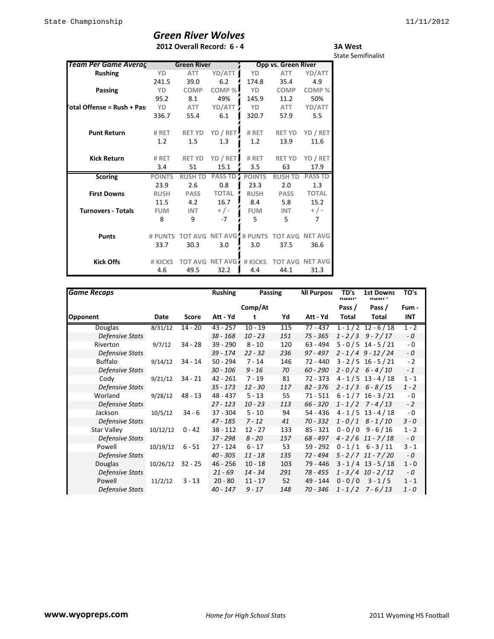## *Green River Wolves* **2012 Overall Record: 6 - 4**

**3A West** State Semifinalist

| Team Per Game Averag        |               | <b>Green River</b>     |                                |               | Opp vs. Green River |                |
|-----------------------------|---------------|------------------------|--------------------------------|---------------|---------------------|----------------|
| <b>Rushing</b>              | YD            | <b>ATT</b>             | YD/ATT                         | YD            | <b>ATT</b>          | YD/ATT         |
|                             | 241.5         | 39.0                   | 6.2                            | 174.8         | 35.4                | 4.9            |
| Passing                     | YD            | <b>COMP</b>            | COMP %                         | YD            | <b>COMP</b>         | COMP%          |
|                             | 95.2          | 8.1                    | 49%                            | 145.9         | 11.2                | 50%            |
| 'otal Offense = Rush + Pas: | YD            | <b>ATT</b>             | YD/ATT                         | YD            | ATT                 | YD/ATT         |
|                             | 336.7         | 55.4                   | 6.1                            | 320.7         | 57.9                | 5.5            |
| <b>Punt Return</b>          | # RET         | <b>RET YD</b>          | YD / RET                       | # RET         | <b>RET YD</b>       | YD / RET       |
|                             | 1.2           | 1.5                    | 1.3                            | 1.2           | 13.9                | 11.6           |
|                             |               |                        |                                |               |                     |                |
| <b>Kick Return</b>          | # RET         | <b>RET YD</b>          | YD / RET                       | # RET         | <b>RET YD</b>       | YD / RET       |
|                             | 3.4           | 51                     | 15.1                           | 3.5           | 63                  | 17.9           |
| <b>Scoring</b>              | <b>POINTS</b> | <b>RUSH TD PASS TD</b> |                                | <b>POINTS</b> | <b>RUSH TD</b>      | <b>PASS TD</b> |
|                             | 23.9          | 2.6                    | 0.8                            | 23.3          | 2.0                 | 1.3            |
| <b>First Downs</b>          | <b>RUSH</b>   | <b>PASS</b>            | <b>TOTAL</b>                   | <b>RUSH</b>   | <b>PASS</b>         | <b>TOTAL</b>   |
|                             | 11.5          | 4.2                    | 16.7                           | 8.4           | 5.8                 | 15.2           |
| <b>Turnovers - Totals</b>   | <b>FUM</b>    | <b>INT</b>             | $+$ / -                        | <b>FUM</b>    | <b>INT</b>          | $+$ / -        |
|                             | 8             | 9                      | $-7$                           | 5             | 5.                  | 7              |
| <b>Punts</b>                | # PUNTS       |                        | <b>TOT AVG NET AVG # PUNTS</b> |               | <b>TOT AVG</b>      | <b>NET AVG</b> |
|                             | 33.7          | 30.3                   | 3.0                            | 3.0           | 37.5                | 36.6           |
| <b>Kick Offs</b>            | # KICKS       | <b>TOT AVG</b>         | NET AVG                        | # KICKS       | <b>TOT AVG</b>      | <b>NET AVG</b> |
|                             | 4.6           | 49.5                   | 32.2                           | 4.4           | 44.1                | 31.3           |

| <b>Game Recaps</b>     |          |           | <b>Rushing</b> | Passing   |     | <b>All Purpose</b> | TD's<br>nusii- | <b>1st Downs</b><br>nusii - | TO's    |
|------------------------|----------|-----------|----------------|-----------|-----|--------------------|----------------|-----------------------------|---------|
|                        |          |           |                | Comp/At   |     |                    | Pass /         | Pass /                      | Fum -   |
| <b>Opponent</b>        | Date     | Score     | Att - Yd       | t         | Yd  | Att - Yd           | Total          | Total                       | INT     |
| Douglas                | 8/31/12  | $14 - 20$ | $43 - 257$     | $10 - 19$ | 115 | $77 - 437$         |                | $1 - 1/2$ 12 - 6/18         | $1 - 2$ |
| Defensive Stats        |          |           | $38 - 168$     | $10 - 23$ | 151 | $75 - 365$         |                | $1 - 2/3$ 9 - 7/17          | - 0     |
| Riverton               | 9/7/12   | 34 - 28   | 39 - 290       | $8 - 10$  | 120 | 63 - 494           |                | $5 - 0/5$ 14 - $5/21$       | $-0$    |
| Defensive Stats        |          |           | 39 - 174       | $22 - 32$ | 236 | $97 - 497$         |                | $2 - 1/4$ 9 - 12/24         | - 0     |
| <b>Buffalo</b>         | 9/14/12  | 34 - 14   | $50 - 294$     | $7 - 14$  | 146 | $72 - 440$         |                | $3 - 2/5$ 16 - 5/21         | $-2$    |
| Defensive Stats        |          |           | $30 - 106$     | $9 - 16$  | 70  | $60 - 290$         |                | $2 - 0/2$ 6 - 4/10          | $-1$    |
| Cody                   | 9/21/12  | $34 - 21$ | $42 - 261$     | 7 - 19    | 81  | 72 - 373           |                | $4 - 1/5$ 13 - 4/18         | $1 - 1$ |
| Defensive Stats        |          |           | $35 - 173$     | $12 - 30$ | 117 | $82 - 376$         |                | $2 - 1/3$ 6 - 8/15          | $1 - 2$ |
| Worland                | 9/28/12  | $48 - 13$ | 48 - 437       | $5 - 13$  | 55  | $71 - 511$         |                | $6 - 1/7$ 16 - 3/21         | $-0$    |
| Defensive Stats        |          |           | $27 - 123$     | $10 - 23$ | 113 | $66 - 320$         |                | $1 - 1/2$ 7 - 4/13          | $-2$    |
| Jackson                | 10/5/12  | $34 - 6$  | $37 - 304$     | $5 - 10$  | 94  | 54 - 436           |                | $4 - 1/5$ 13 - 4/18         | $-0$    |
| Defensive Stats        |          |           | $47 - 185$     | $7 - 12$  | 41  | $70 - 332$         |                | $1 - 0/1$ 8 - 1/10          | $3 - 0$ |
| Star Valley            | 10/12/12 | $0 - 42$  | $38 - 112$     | $12 - 27$ | 133 | $85 - 321$         |                | $0 - 0/0$ 9 - 6/16          | $1 - 2$ |
| <b>Defensive Stats</b> |          |           | $37 - 298$     | $8 - 20$  | 157 | $68 - 497$         |                | $4 - 2/6$ 11 - 7/18         | $-0$    |
| Powell                 | 10/19/12 | $6 - 51$  | $27 - 124$     | $6 - 17$  | 53  | 59 - 292           |                | $0 - 1/1$ 6 - 3/11          | $3 - 1$ |
| Defensive Stats        |          |           | $40 - 305$     | $11 - 18$ | 135 | 72 - 494           |                | $5 - 2/7$ 11 - 7/20         | $-0$    |
| <b>Douglas</b>         | 10/26/12 | $32 - 25$ | $46 - 256$     | $10 - 18$ | 103 | 79 - 446           |                | $3 - 1/4$ 13 - 5/18         | $1 - 0$ |
| Defensive Stats        |          |           | $21 - 69$      | $14 - 34$ | 291 | $78 - 455$         |                | $1 - 3/4$ 10 - 2/12         | - 0     |
| Powell                 | 11/2/12  | $3 - 13$  | $20 - 80$      | $11 - 17$ | 52  | 49 - 144           | $0 - 0 / 0$    | $3 - 1/5$                   | $1 - 1$ |
| Defensive Stats        |          |           | $40 - 147$     | $9 - 17$  | 148 | 70 - 346           |                | $1 - 1/2$ 7 - 6/13          | 1 - 0   |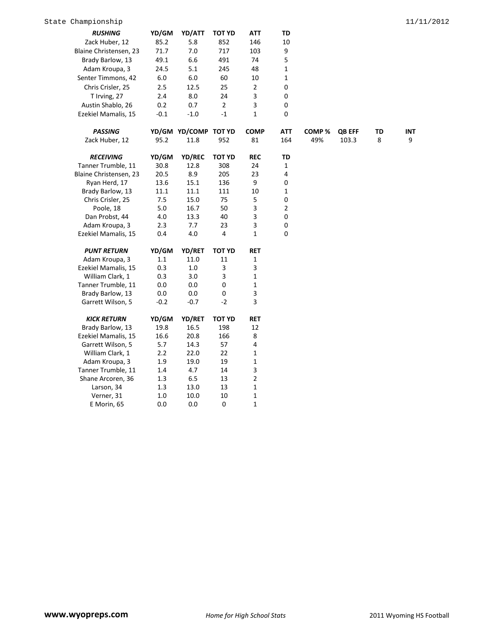| <b>RUSHING</b>         | YD/GM   | YD/ATT               | <b>TOT YD</b>  | ATT          | TD           |                   |               |    |     |
|------------------------|---------|----------------------|----------------|--------------|--------------|-------------------|---------------|----|-----|
| Zack Huber, 12         | 85.2    | 5.8                  | 852            | 146          | 10           |                   |               |    |     |
| Blaine Christensen, 23 | 71.7    | 7.0                  | 717            | 103          | 9            |                   |               |    |     |
| Brady Barlow, 13       | 49.1    | 6.6                  | 491            | 74           | 5            |                   |               |    |     |
| Adam Kroupa, 3         | 24.5    | 5.1                  | 245            | 48           | $\mathbf 1$  |                   |               |    |     |
| Senter Timmons, 42     | $6.0\,$ | $6.0\,$              | 60             | 10           | $\mathbf{1}$ |                   |               |    |     |
| Chris Crisler, 25      | 2.5     | 12.5                 | 25             | 2            | 0            |                   |               |    |     |
| T Irving, 27           | 2.4     | $8.0\,$              | 24             | 3            | $\pmb{0}$    |                   |               |    |     |
| Austin Shablo, 26      | 0.2     | 0.7                  | $\overline{2}$ | 3            | 0            |                   |               |    |     |
| Ezekiel Mamalis, 15    | $-0.1$  | $-1.0$               | $^{\rm -1}$    | 1            | 0            |                   |               |    |     |
| <b>PASSING</b>         |         | YD/GM YD/COMP TOT YD |                | <b>COMP</b>  | ATT          | COMP <sup>%</sup> | <b>QB EFF</b> | TD | INT |
| Zack Huber, 12         | 95.2    | 11.8                 | 952            | 81           | 164          | 49%               | 103.3         | 8  | 9   |
| <b>RECEIVING</b>       | YD/GM   | YD/REC               | <b>TOT YD</b>  | <b>REC</b>   | TD           |                   |               |    |     |
| Tanner Trumble, 11     | 30.8    | 12.8                 | 308            | 24           | $\mathbf 1$  |                   |               |    |     |
| Blaine Christensen, 23 | 20.5    | 8.9                  | 205            | 23           | 4            |                   |               |    |     |
| Ryan Herd, 17          | 13.6    | 15.1                 | 136            | 9            | 0            |                   |               |    |     |
| Brady Barlow, 13       | 11.1    | 11.1                 | 111            | 10           | $\mathbf{1}$ |                   |               |    |     |
| Chris Crisler, 25      | 7.5     | 15.0                 | 75             | 5            | 0            |                   |               |    |     |
| Poole, 18              | $5.0\,$ | 16.7                 | 50             | 3            | 2            |                   |               |    |     |
| Dan Probst, 44         | 4.0     | 13.3                 | 40             | 3            | 0            |                   |               |    |     |
| Adam Kroupa, 3         | 2.3     | 7.7                  | 23             | 3            | $\pmb{0}$    |                   |               |    |     |
| Ezekiel Mamalis, 15    | 0.4     | 4.0                  | 4              | $\mathbf{1}$ | 0            |                   |               |    |     |
| <b>PUNT RETURN</b>     | YD/GM   | YD/RET               | <b>TOT YD</b>  | <b>RET</b>   |              |                   |               |    |     |
| Adam Kroupa, 3         | 1.1     | 11.0                 | 11             | 1            |              |                   |               |    |     |
| Ezekiel Mamalis, 15    | 0.3     | $1.0\,$              | 3              | 3            |              |                   |               |    |     |
| William Clark, 1       | 0.3     | 3.0                  | 3              | $\mathbf{1}$ |              |                   |               |    |     |
| Tanner Trumble, 11     | 0.0     | 0.0                  | $\pmb{0}$      | 1            |              |                   |               |    |     |
| Brady Barlow, 13       | 0.0     | $0.0\,$              | 0              | 3            |              |                   |               |    |     |
| Garrett Wilson, 5      | $-0.2$  | $-0.7$               | $-2$           | 3            |              |                   |               |    |     |
| <b>KICK RETURN</b>     | YD/GM   | YD/RET               | <b>TOT YD</b>  | <b>RET</b>   |              |                   |               |    |     |
| Brady Barlow, 13       | 19.8    | 16.5                 | 198            | 12           |              |                   |               |    |     |
| Ezekiel Mamalis, 15    | 16.6    | 20.8                 | 166            | 8            |              |                   |               |    |     |
| Garrett Wilson, 5      | 5.7     | 14.3                 | 57             | 4            |              |                   |               |    |     |
| William Clark, 1       | 2.2     | 22.0                 | 22             | $\mathbf{1}$ |              |                   |               |    |     |
| Adam Kroupa, 3         | 1.9     | 19.0                 | 19             | 1            |              |                   |               |    |     |
| Tanner Trumble, 11     | 1.4     | 4.7                  | 14             | 3            |              |                   |               |    |     |
| Shane Arcoren, 36      | $1.3\,$ | 6.5                  | 13             | $\mathbf 2$  |              |                   |               |    |     |
| Larson, 34             | $1.3\,$ | 13.0                 | 13             | $\mathbf{1}$ |              |                   |               |    |     |
| Verner, 31             | 1.0     | 10.0                 | 10             | 1            |              |                   |               |    |     |
| E Morin, 65            | 0.0     | 0.0                  | 0              | 1            |              |                   |               |    |     |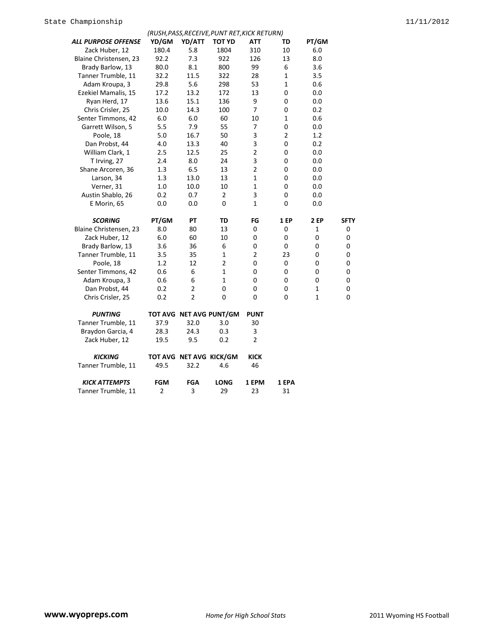|                        |                |                         | (RUSH, PASS, RECEIVE, PUNT RET, KICK RETURN) |                |                |              |             |
|------------------------|----------------|-------------------------|----------------------------------------------|----------------|----------------|--------------|-------------|
| ALL PURPOSE OFFENSE    | YD/GM          | YD/ATT                  | TOT YD                                       | ATT            | TD             | PT/GM        |             |
| Zack Huber, 12         | 180.4          | 5.8                     | 1804                                         | 310            | 10             | 6.0          |             |
| Blaine Christensen, 23 | 92.2           | 7.3                     | 922                                          | 126            | 13             | 8.0          |             |
| Brady Barlow, 13       | 80.0           | 8.1                     | 800                                          | 99             | 6              | 3.6          |             |
| Tanner Trumble, 11     | 32.2           | 11.5                    | 322                                          | 28             | $\mathbf{1}$   | 3.5          |             |
| Adam Kroupa, 3         | 29.8           | 5.6                     | 298                                          | 53             | 1              | 0.6          |             |
| Ezekiel Mamalis, 15    | 17.2           | 13.2                    | 172                                          | 13             | 0              | 0.0          |             |
| Ryan Herd, 17          | 13.6           | 15.1                    | 136                                          | 9              | 0              | 0.0          |             |
| Chris Crisler, 25      | 10.0           | 14.3                    | 100                                          | 7              | 0              | 0.2          |             |
| Senter Timmons, 42     | 6.0            | 6.0                     | 60                                           | 10             | $\mathbf{1}$   | 0.6          |             |
| Garrett Wilson, 5      | 5.5            | 7.9                     | 55                                           | 7              | 0              | 0.0          |             |
| Poole, 18              | 5.0            | 16.7                    | 50                                           | 3              | $\overline{2}$ | 1.2          |             |
| Dan Probst, 44         | 4.0            | 13.3                    | 40                                           | 3              | 0              | 0.2          |             |
| William Clark, 1       | 2.5            | 12.5                    | 25                                           | $\overline{2}$ | 0              | 0.0          |             |
| T Irving, 27           | 2.4            | 8.0                     | 24                                           | 3              | 0              | 0.0          |             |
| Shane Arcoren, 36      | 1.3            | 6.5                     | 13                                           | $\overline{2}$ | 0              | 0.0          |             |
| Larson, 34             | 1.3            | 13.0                    | 13                                           | $\mathbf 1$    | 0              | 0.0          |             |
| Verner, 31             | 1.0            | 10.0                    | 10                                           | $\mathbf{1}$   | 0              | 0.0          |             |
| Austin Shablo, 26      | 0.2            | 0.7                     | $\overline{2}$                               | 3              | 0              | 0.0          |             |
| E Morin, 65            | 0.0            | 0.0                     | 0                                            | 1              | 0              | 0.0          |             |
| <b>SCORING</b>         | PT/GM          | PΤ                      | TD                                           | FG             | 1 EP           | 2 EP         | <b>SFTY</b> |
| Blaine Christensen, 23 | 8.0            | 80                      | 13                                           | 0              | 0              | 1            | 0           |
| Zack Huber, 12         | 6.0            | 60                      | 10                                           | 0              | 0              | 0            | 0           |
| Brady Barlow, 13       | 3.6            | 36                      | 6                                            | 0              | 0              | 0            | 0           |
| Tanner Trumble, 11     | 3.5            | 35                      | $\mathbf{1}$                                 | $\overline{2}$ | 23             | 0            | $\mathbf 0$ |
| Poole, 18              | 1.2            | 12                      | $\overline{2}$                               | 0              | 0              | 0            | 0           |
| Senter Timmons, 42     | 0.6            | 6                       | 1                                            | 0              | 0              | 0            | 0           |
| Adam Kroupa, 3         | 0.6            | 6                       | 1                                            | 0              | 0              | 0            | 0           |
| Dan Probst, 44         | 0.2            | $\overline{\mathbf{c}}$ | 0                                            | 0              | 0              | 1            | $\mathbf 0$ |
| Chris Crisler, 25      | 0.2            | $\overline{2}$          | 0                                            | 0              | 0              | $\mathbf{1}$ | $\Omega$    |
| <b>PUNTING</b>         |                |                         | TOT AVG NET AVG PUNT/GM                      | <b>PUNT</b>    |                |              |             |
| Tanner Trumble, 11     | 37.9           | 32.0                    | 3.0                                          | 30             |                |              |             |
| Braydon Garcia, 4      | 28.3           | 24.3                    | 0.3                                          | 3              |                |              |             |
| Zack Huber, 12         | 19.5           | 9.5                     | 0.2                                          | $\overline{2}$ |                |              |             |
| <b>KICKING</b>         |                |                         | TOT AVG NET AVG KICK/GM                      | <b>KICK</b>    |                |              |             |
| Tanner Trumble, 11     | 49.5           | 32.2                    | 4.6                                          | 46             |                |              |             |
| <b>KICK ATTEMPTS</b>   | <b>FGM</b>     | <b>FGA</b>              | <b>LONG</b>                                  | 1 EPM          | 1 EPA          |              |             |
| Tanner Trumble, 11     | $\overline{2}$ | 3                       | 29                                           | 23             | 31             |              |             |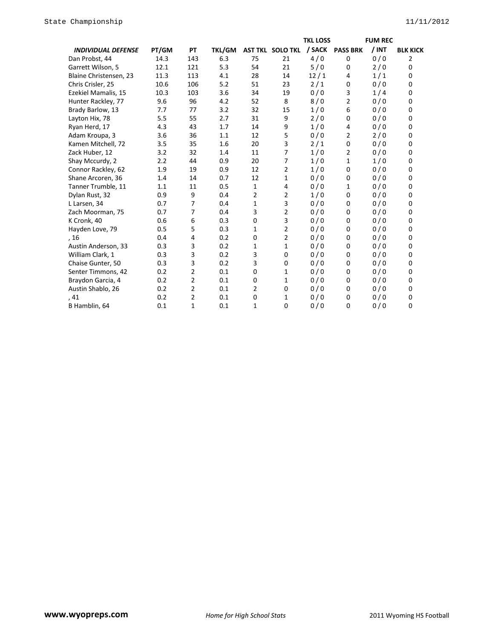|                           |       |                |               |                |                         | <b>TKL LOSS</b> |                 | <b>FUM REC</b> |                 |
|---------------------------|-------|----------------|---------------|----------------|-------------------------|-----------------|-----------------|----------------|-----------------|
| <b>INDIVIDUAL DEFENSE</b> | PT/GM | PT             | <b>TKL/GM</b> |                | <b>AST TKL SOLO TKL</b> | / SACK          | <b>PASS BRK</b> | $/$ INT        | <b>BLK KICK</b> |
| Dan Probst, 44            | 14.3  | 143            | 6.3           | 75             | 21                      | 4/0             | 0               | 0/0            | 2               |
| Garrett Wilson, 5         | 12.1  | 121            | 5.3           | 54             | 21                      | 5/0             | 0               | 2/0            | 0               |
| Blaine Christensen, 23    | 11.3  | 113            | 4.1           | 28             | 14                      | 12/1            | 4               | 1/1            | 0               |
| Chris Crisler, 25         | 10.6  | 106            | 5.2           | 51             | 23                      | 2/1             | 0               | 0/0            | $\Omega$        |
| Ezekiel Mamalis, 15       | 10.3  | 103            | 3.6           | 34             | 19                      | 0/0             | 3               | 1/4            | $\Omega$        |
| Hunter Rackley, 77        | 9.6   | 96             | 4.2           | 52             | 8                       | 8/0             | 2               | 0/0            | 0               |
| Brady Barlow, 13          | 7.7   | 77             | 3.2           | 32             | 15                      | 1/0             | 6               | 0/0            | 0               |
| Layton Hix, 78            | 5.5   | 55             | 2.7           | 31             | 9                       | 2/0             | 0               | 0/0            | 0               |
| Ryan Herd, 17             | 4.3   | 43             | 1.7           | 14             | 9                       | 1/0             | 4               | 0/0            | 0               |
| Adam Kroupa, 3            | 3.6   | 36             | 1.1           | 12             | 5                       | 0/0             | $\overline{2}$  | 2/0            | 0               |
| Kamen Mitchell, 72        | 3.5   | 35             | 1.6           | 20             | 3                       | 2/1             | 0               | 0/0            | $\Omega$        |
| Zack Huber, 12            | 3.2   | 32             | 1.4           | 11             | 7                       | 1/0             | 2               | 0/0            | 0               |
| Shay Mccurdy, 2           | 2.2   | 44             | 0.9           | 20             | 7                       | 1/0             | 1               | 1/0            | 0               |
| Connor Rackley, 62        | 1.9   | 19             | 0.9           | 12             | $\overline{2}$          | 1/0             | $\mathbf 0$     | 0/0            | 0               |
| Shane Arcoren, 36         | 1.4   | 14             | 0.7           | 12             | 1                       | 0/0             | $\mathbf 0$     | 0/0            | 0               |
| Tanner Trumble, 11        | 1.1   | 11             | 0.5           | $\mathbf{1}$   | 4                       | 0/0             | 1               | 0/0            | 0               |
| Dylan Rust, 32            | 0.9   | 9              | 0.4           | 2              | 2                       | 1/0             | 0               | 0/0            | $\Omega$        |
| L Larsen, 34              | 0.7   | 7              | 0.4           | 1              | 3                       | 0/0             | 0               | 0/0            | 0               |
| Zach Moorman, 75          | 0.7   | 7              | 0.4           | 3              | 2                       | 0/0             | 0               | 0/0            | 0               |
| K Cronk, 40               | 0.6   | 6              | 0.3           | 0              | 3                       | 0/0             | $\mathbf 0$     | 0/0            | 0               |
| Hayden Love, 79           | 0.5   | 5              | 0.3           | 1              | 2                       | 0/0             | 0               | 0/0            | 0               |
| , 16                      | 0.4   | 4              | 0.2           | 0              | 2                       | 0/0             | 0               | 0/0            | $\Omega$        |
| Austin Anderson, 33       | 0.3   | 3              | 0.2           | 1              | 1                       | 0/0             | 0               | 0/0            | 0               |
| William Clark, 1          | 0.3   | 3              | 0.2           | 3              | 0                       | 0/0             | $\mathbf 0$     | 0/0            | 0               |
| Chaise Gunter, 50         | 0.3   | 3              | 0.2           | 3              | 0                       | 0/0             | 0               | 0/0            | 0               |
| Senter Timmons, 42        | 0.2   | $\overline{2}$ | 0.1           | 0              | 1                       | 0/0             | $\mathbf 0$     | 0/0            | 0               |
| Braydon Garcia, 4         | 0.2   | 2              | 0.1           | 0              | 1                       | 0/0             | 0               | 0/0            | 0               |
| Austin Shablo, 26         | 0.2   | 2              | 0.1           | $\overline{2}$ | $\mathbf 0$             | 0/0             | $\mathbf 0$     | 0/0            | 0               |
| , 41                      | 0.2   | $\overline{2}$ | 0.1           | 0              | 1                       | 0/0             | 0               | 0/0            | 0               |
| B Hamblin, 64             | 0.1   | $\mathbf{1}$   | 0.1           | 1              | 0                       | 0/0             | $\mathbf 0$     | 0/0            | $\Omega$        |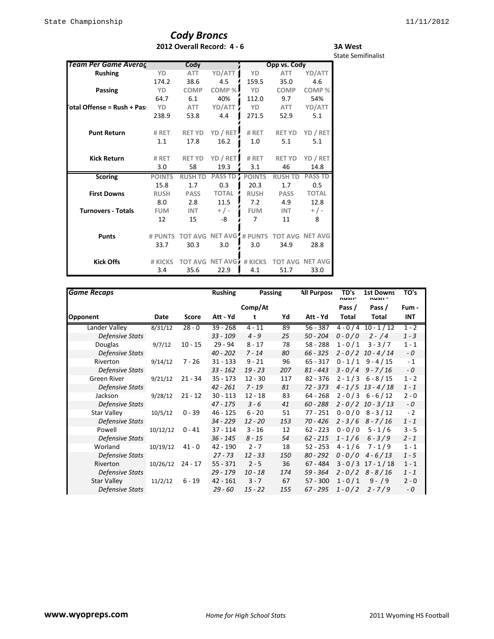## *Cody Broncs* **2012 Overall Record: 4 - 6**

#### **3A West** State Semifinalist

| Team Per Game Averag       |               | Cody           |                                |               | Opp vs. Cody   |                        |
|----------------------------|---------------|----------------|--------------------------------|---------------|----------------|------------------------|
| <b>Rushing</b>             | YD            | <b>ATT</b>     | YD/ATT                         | YD            | <b>ATT</b>     | YD/ATT                 |
|                            | 174.2         | 38.6           | 4.5                            | 159.5         | 35.0           | 4.6                    |
| Passing                    | YD            | <b>COMP</b>    | COMP %                         | <b>YD</b>     | <b>COMP</b>    | COMP <sub>%</sub>      |
|                            | 64.7          | 6.1            | 40%                            | 112.0         | 9.7            | 54%                    |
| otal Offense = Rush + Pas: | YD            | <b>ATT</b>     | YD/ATT                         | <b>YD</b>     | <b>ATT</b>     | YD/ATT                 |
|                            | 238.9         | 53.8           | 4.4                            | 271.5         | 52.9           | 5.1                    |
| <b>Punt Return</b>         | # RET         | <b>RET YD</b>  | YD / RET                       | # RET         | <b>RET YD</b>  | YD / RET               |
|                            | 1.1           | 17.8           | 16.2                           | 1.0           | 5.1            | 5.1                    |
| <b>Kick Return</b>         | # RET         | <b>RET YD</b>  | YD / RET                       | # RET         | <b>RET YD</b>  | YD / RET               |
|                            | 3.0           | 58             | 19.3                           | 3.1           | 46             | 14.8                   |
| <b>Scoring</b>             | <b>POINTS</b> | <b>RUSH TD</b> | <b>PASS TD</b>                 | <b>POINTS</b> | <b>RUSH TD</b> | <b>PASS TD</b>         |
|                            | 15.8          | 1.7            | 0.3                            | 20.3          | 1.7            | 0.5                    |
| <b>First Downs</b>         | <b>RUSH</b>   | <b>PASS</b>    | <b>TOTAL</b>                   | <b>RUSH</b>   | <b>PASS</b>    | <b>TOTAL</b>           |
|                            | 8.0           | 2.8            | 11.5                           | 7.2           | 4.9            | 12.8                   |
| <b>Turnovers - Totals</b>  | <b>FUM</b>    | <b>INT</b>     | $+$ / -                        | <b>FUM</b>    | <b>INT</b>     | $+/-$                  |
|                            | 12            | 15             | -8                             | 7             | 11             | 8                      |
| <b>Punts</b>               | # PUNTS       |                | <b>TOT AVG NET AVG # PUNTS</b> |               |                | <b>TOT AVG NET AVG</b> |
|                            | 33.7          | 30.3           | 3.0                            | 3.0           | 34.9           | 28.8                   |
| <b>Kick Offs</b>           | # KICKS       | <b>TOT AVG</b> | NET AVG                        | # KICKS       |                | <b>TOT AVG NET AVG</b> |
|                            | 3.4           | 35.6           | 22.9                           | 4.1           | 51.7           | 33.0                   |

| <b>Game Recaps</b>     |          |           | <b>Rushing</b> | <b>Passing</b> |     | <b>All Purpose</b> | TD's<br>nusii- | <b>1st Downs</b><br>nusii - | TO's       |
|------------------------|----------|-----------|----------------|----------------|-----|--------------------|----------------|-----------------------------|------------|
|                        |          |           |                | Comp/At        |     |                    | Pass /         | Pass /                      | Fum -      |
| Opponent               | Date     | Score     | Att - Yd       | t              | Yd  | Att - Yd           | Total          | Total                       | <b>INT</b> |
| Lander Valley          | 8/31/12  | $28 - 0$  | $39 - 268$     | $4 - 11$       | 89  | $56 - 387$         |                | $4 - 0/4$ 10 - 1/12         | $1 - 2$    |
| <b>Defensive Stats</b> |          |           | $33 - 109$     | $4 - 9$        | 25  | $50 - 204$         | $0 - 0 / 0$    | $2 - 4$                     | $1 - 3$    |
| Douglas                | 9/7/12   | $10 - 15$ | $29 - 94$      | $8 - 17$       | 78  | $58 - 288$         | $1 - 0/1$      | $3 - 3 / 7$                 | $1 - 1$    |
| Defensive Stats        |          |           | $40 - 202$     | $7 - 14$       | 80  | $66 - 325$         |                | $2 - 0/2$ 10 - 4/14         | - 0        |
| Riverton               | 9/14/12  | $7 - 26$  | $31 - 133$     | $9 - 21$       | 96  | $65 - 317$         | $0 - 1/1$      | $9 - 4 / 15$                | $-1$       |
| <b>Defensive Stats</b> |          |           | $33 - 162$     | $19 - 23$      | 207 | $81 - 443$         | $3 - 0/4$      | 9 - 7 / 16                  | $-0$       |
| <b>Green River</b>     | 9/21/12  | $21 - 34$ | $35 - 173$     | $12 - 30$      | 117 | $82 - 376$         |                | $2 - 1/3$ 6 - 8/15          | $1 - 2$    |
| Defensive Stats        |          |           | 42 - 261       | $7 - 19$       | 81  | 72 - 373           |                | $4 - 1/5$ 13 - 4/18         | $1 - 1$    |
| Jackson                | 9/28/12  | $21 - 12$ | $30 - 113$     | $12 - 18$      | 83  | $64 - 268$         |                | $2 - 0/3$ 6 - 6/12          | $2 - 0$    |
| Defensive Stats        |          |           | $47 - 175$     | $3 - 6$        | 41  | $60 - 288$         |                | $2 - 0/2$ 10 - 3/13         | $-0$       |
| <b>Star Valley</b>     | 10/5/12  | $0 - 39$  | 46 - 125       | $6 - 20$       | 51  | $77 - 251$         |                | $0 - 0/0$ 8 - 3/12          | $-2$       |
| <b>Defensive Stats</b> |          |           | $34 - 229$     | $12 - 20$      | 153 | 70 - 426           |                | $2 - 3/6$ 8 - 7/16          | $1 - 1$    |
| Powell                 | 10/12/12 | $0 - 41$  | $37 - 114$     | $3 - 16$       | 12  | $62 - 223$         | $0 - 0 / 0$    | $5 - 1/6$                   | $3 - 5$    |
| Defensive Stats        |          |           | $36 - 145$     | $8 - 15$       | 54  | $62 - 215$         | $1 - 1/6$      | $6 - 3/9$                   | $2 - 1$    |
| Worland                | 10/19/12 | $41 - 0$  | 42 - 190       | $2 - 7$        | 18  | $52 - 253$         | $4 - 1/6$      | $7 - 1/9$                   | $1 - 1$    |
| Defensive Stats        |          |           | $27 - 73$      | $12 - 33$      | 150 | $80 - 292$         | $0 - 0/0$      | $4 - 6/13$                  | $1 - 5$    |
| Riverton               | 10/26/12 | $24 - 17$ | $55 - 371$     | $2 - 5$        | 36  | $67 - 484$         |                | $3 - 0/3$ 17 - 1/18         | $1 - 1$    |
| <b>Defensive Stats</b> |          |           | $29 - 179$     | $10 - 18$      | 174 | $59 - 364$         |                | $2 - 0/2$ 8 - 8/16          | $1 - 1$    |
| <b>Star Valley</b>     | 11/2/12  | $6 - 19$  | $42 - 161$     | $3 - 7$        | 67  | $57 - 300$         | $1 - 0/1$      | $9 - 9$                     | $2 - 0$    |
| <b>Defensive Stats</b> |          |           | $29 - 60$      | $15 - 22$      | 155 | $67 - 295$         | $1 - 0/2$      | $2 - 7/9$                   | - 0        |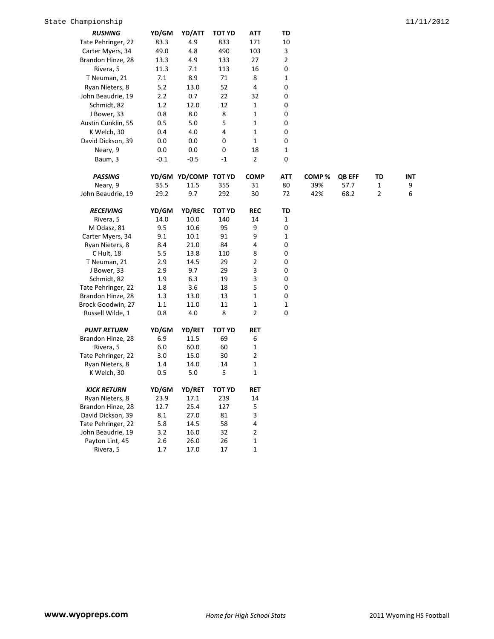| <b>RUSHING</b>     | YD/GM  | YD/ATT               | <b>TOT YD</b> | <b>ATT</b>     | <b>TD</b>      |                   |               |                |            |
|--------------------|--------|----------------------|---------------|----------------|----------------|-------------------|---------------|----------------|------------|
| Tate Pehringer, 22 | 83.3   | 4.9                  | 833           | 171            | 10             |                   |               |                |            |
| Carter Myers, 34   | 49.0   | 4.8                  | 490           | 103            | 3              |                   |               |                |            |
| Brandon Hinze, 28  | 13.3   | 4.9                  | 133           | 27             | $\overline{2}$ |                   |               |                |            |
| Rivera, 5          | 11.3   | 7.1                  | 113           | 16             | 0              |                   |               |                |            |
| T Neuman, 21       | 7.1    | 8.9                  | 71            | 8              | 1              |                   |               |                |            |
| Ryan Nieters, 8    | 5.2    | 13.0                 | 52            | 4              | 0              |                   |               |                |            |
| John Beaudrie, 19  | 2.2    | 0.7                  | 22            | 32             | 0              |                   |               |                |            |
| Schmidt, 82        | 1.2    | 12.0                 | 12            | 1              | 0              |                   |               |                |            |
| J Bower, 33        | 0.8    | 8.0                  | 8             | 1              | 0              |                   |               |                |            |
| Austin Cunklin, 55 | 0.5    | 5.0                  | 5             | 1              | 0              |                   |               |                |            |
| K Welch, 30        | 0.4    | 4.0                  | 4             | 1              | 0              |                   |               |                |            |
| David Dickson, 39  | 0.0    | 0.0                  | 0             | 1              | 0              |                   |               |                |            |
| Neary, 9           | 0.0    | 0.0                  | 0             | 18             | 1              |                   |               |                |            |
| Baum, 3            | $-0.1$ | $-0.5$               | $-1$          | $\overline{2}$ | 0              |                   |               |                |            |
| <b>PASSING</b>     |        | YD/GM YD/COMP TOT YD |               | <b>COMP</b>    | <b>ATT</b>     | COMP <sub>%</sub> | <b>QB EFF</b> | TD             | <b>INT</b> |
| Neary, 9           | 35.5   | 11.5                 | 355           | 31             | 80             | 39%               | 57.7          | $\mathbf{1}$   | 9          |
| John Beaudrie, 19  | 29.2   | 9.7                  | 292           | 30             | 72             | 42%               | 68.2          | $\overline{2}$ | 6          |
| <b>RECEIVING</b>   | YD/GM  | <b>YD/REC</b>        | <b>TOT YD</b> | <b>REC</b>     | TD             |                   |               |                |            |
| Rivera, 5          | 14.0   | 10.0                 | 140           | 14             | 1              |                   |               |                |            |
| M Odasz, 81        | 9.5    | 10.6                 | 95            | 9              | 0              |                   |               |                |            |
| Carter Myers, 34   | 9.1    | 10.1                 | 91            | 9              | 1              |                   |               |                |            |
| Ryan Nieters, 8    | 8.4    | 21.0                 | 84            | 4              | 0              |                   |               |                |            |
| C Hult, 18         | 5.5    | 13.8                 | 110           | 8              | 0              |                   |               |                |            |

| C Hult, 18         | 5.5   | 13.8          | 110           | 8              | $\mathbf 0$  |  |
|--------------------|-------|---------------|---------------|----------------|--------------|--|
| T Neuman, 21       | 2.9   | 14.5          | 29            | $\overline{2}$ | 0            |  |
| J Bower, 33        | 2.9   | 9.7           | 29            | 3              | 0            |  |
| Schmidt, 82        | 1.9   | 6.3           | 19            | 3              | 0            |  |
| Tate Pehringer, 22 | 1.8   | 3.6           | 18            | 5              | 0            |  |
| Brandon Hinze, 28  | 1.3   | 13.0          | 13            | $\mathbf{1}$   | 0            |  |
| Brock Goodwin, 27  | 1.1   | 11.0          | 11            | $\mathbf{1}$   | $\mathbf{1}$ |  |
| Russell Wilde, 1   | 0.8   | 4.0           | 8             | $\overline{2}$ | 0            |  |
| <b>PUNT RETURN</b> | YD/GM | <b>YD/RET</b> | <b>TOT YD</b> | <b>RET</b>     |              |  |
| Brandon Hinze, 28  | 6.9   | 11.5          | 69            | 6              |              |  |
| Rivera, 5          | 6.0   | 60.0          | 60            | 1              |              |  |
| Tate Pehringer, 22 | 3.0   | 15.0          | 30            | 2              |              |  |
| Ryan Nieters, 8    | 1.4   | 14.0          | 14            | $\mathbf{1}$   |              |  |
| K Welch, 30        | 0.5   | 5.0           | 5             | 1              |              |  |
| <b>KICK RETURN</b> | YD/GM | <b>YD/RET</b> | TOT YD        | <b>RET</b>     |              |  |
| Ryan Nieters, 8    | 23.9  | 17.1          | 239           | 14             |              |  |
| Brandon Hinze, 28  | 12.7  | 25.4          | 127           | 5              |              |  |
| David Dickson, 39  | 8.1   | 27.0          | 81            | 3              |              |  |
| Tate Pehringer, 22 | 5.8   | 14.5          | 58            | 4              |              |  |
| John Beaudrie, 19  | 3.2   | 16.0          | 32            | 2              |              |  |
| Payton Lint, 45    | 2.6   | 26.0          | 26            | 1              |              |  |
| Rivera, 5          | 1.7   | 17.0          | 17            | 1              |              |  |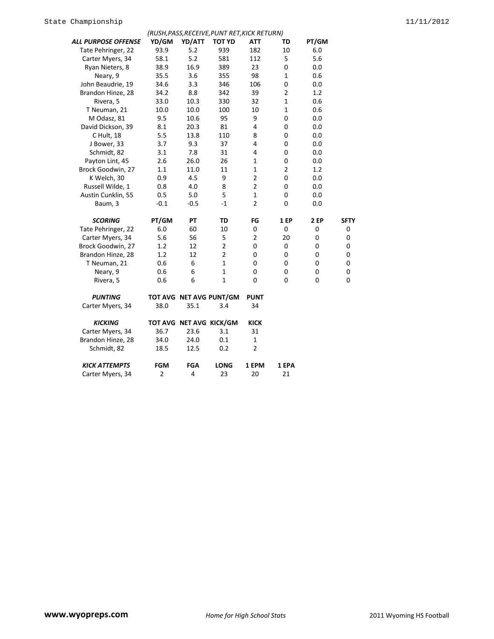|                      |                |        | (RUSH, PASS, RECEIVE, PUNT RET, KICK RETURN) |                |                |                |                |
|----------------------|----------------|--------|----------------------------------------------|----------------|----------------|----------------|----------------|
| ALL PURPOSE OFFENSE  | YD/GM          | YD/ATT | <b>TOT YD</b>                                | ATT            | TD             | PT/GM          |                |
| Tate Pehringer, 22   | 93.9           | 5.2    | 939                                          | 182            | 10             | 6.0            |                |
| Carter Myers, 34     | 58.1           | 5.2    | 581                                          | 112            | 5              | 5.6            |                |
| Ryan Nieters, 8      | 38.9           | 16.9   | 389                                          | 23             | 0              | 0.0            |                |
| Neary, 9             | 35.5           | 3.6    | 355                                          | 98             | $\mathbf{1}$   | 0.6            |                |
| John Beaudrie, 19    | 34.6           | 3.3    | 346                                          | 106            | 0              | 0.0            |                |
| Brandon Hinze, 28    | 34.2           | 8.8    | 342                                          | 39             | $\overline{2}$ | 1.2            |                |
| Rivera, 5            | 33.0           | 10.3   | 330                                          | 32             | $\mathbf{1}$   | 0.6            |                |
| T Neuman, 21         | 10.0           | 10.0   | 100                                          | 10             | $\mathbf{1}$   | 0.6            |                |
| M Odasz, 81          | 9.5            | 10.6   | 95                                           | 9              | 0              | 0.0            |                |
| David Dickson, 39    | 8.1            | 20.3   | 81                                           | 4              | 0              | 0.0            |                |
| C Hult, 18           | 5.5            | 13.8   | 110                                          | 8              | 0              | 0.0            |                |
| J Bower, 33          | 3.7            | 9.3    | 37                                           | 4              | 0              | 0.0            |                |
| Schmidt, 82          | 3.1            | 7.8    | 31                                           | 4              | 0              | 0.0            |                |
| Payton Lint, 45      | 2.6            | 26.0   | 26                                           | $\mathbf 1$    | 0              | 0.0            |                |
| Brock Goodwin, 27    | 1.1            | 11.0   | 11                                           | $\mathbf 1$    | $\overline{2}$ | 1.2            |                |
| K Welch, 30          | 0.9            | 4.5    | 9                                            | $\overline{2}$ | 0              | 0.0            |                |
| Russell Wilde, 1     | 0.8            | 4.0    | 8                                            | $\overline{2}$ | 0              | 0.0            |                |
| Austin Cunklin, 55   | 0.5            | 5.0    | 5                                            | $\mathbf{1}$   | 0              | 0.0            |                |
| Baum, 3              | $-0.1$         | $-0.5$ | $^{\rm -1}$                                  | $\overline{2}$ | 0              | 0.0            |                |
| <b>SCORING</b>       | PT/GM          | PT     | TD                                           | FG             | <b>1 EP</b>    | 2 EP           | <b>SFTY</b>    |
| Tate Pehringer, 22   | 6.0            | 60     | 10                                           | 0              | 0              | 0              | 0              |
| Carter Myers, 34     | 5.6            | 56     | 5                                            | $\overline{2}$ | 20             | $\mathbf 0$    | 0              |
| Brock Goodwin, 27    | 1.2            | 12     | $\mathbf 2$                                  | $\mathbf 0$    | 0              | 0              | 0              |
| Brandon Hinze, 28    | 1.2            | 12     | $\overline{2}$                               | $\mathbf 0$    | 0              | $\mathbf 0$    | 0              |
| T Neuman, 21         | 0.6            | 6      | $\mathbf{1}$                                 | 0              | 0              | $\mathbf 0$    | 0              |
| Neary, 9             | 0.6            | 6      | $\mathbf{1}$                                 | 0              | 0              | $\mathbf 0$    | $\mathbf 0$    |
| Rivera, 5            | 0.6            | 6      | $\mathbf{1}$                                 | $\mathbf 0$    | 0              | $\overline{0}$ | $\overline{0}$ |
| <b>PUNTING</b>       |                |        | TOT AVG NET AVG PUNT/GM                      | <b>PUNT</b>    |                |                |                |
| Carter Myers, 34     | 38.0           | 35.1   | 3.4                                          | 34             |                |                |                |
| <b>KICKING</b>       |                |        | TOT AVG NET AVG KICK/GM                      | <b>KICK</b>    |                |                |                |
| Carter Myers, 34     | 36.7           | 23.6   | 3.1                                          | 31             |                |                |                |
| Brandon Hinze, 28    | 34.0           | 24.0   | 0.1                                          | $\mathbf{1}$   |                |                |                |
| Schmidt, 82          | 18.5           | 12.5   | 0.2                                          | $\overline{2}$ |                |                |                |
| <b>KICK ATTEMPTS</b> | <b>FGM</b>     | FGA    | <b>LONG</b>                                  | 1 EPM          | 1 EPA          |                |                |
| Carter Myers, 34     | $\overline{2}$ | 4      | 23                                           | 20             | 21             |                |                |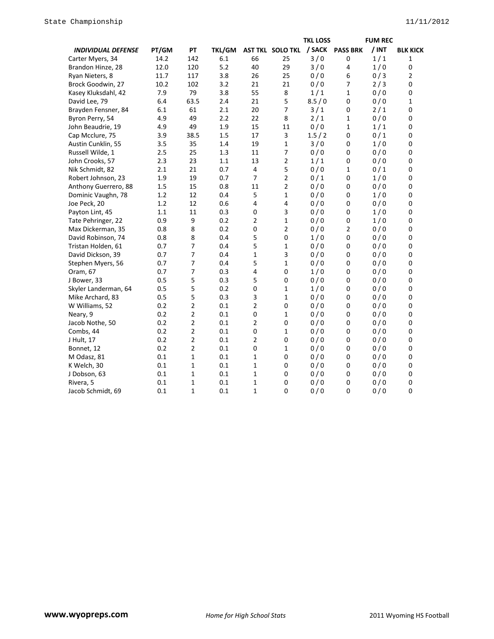|                           |       |                |        |                |                  | <b>TKL LOSS</b> |                 | <b>FUM REC</b> |                 |
|---------------------------|-------|----------------|--------|----------------|------------------|-----------------|-----------------|----------------|-----------------|
| <b>INDIVIDUAL DEFENSE</b> | PT/GM | PT             | TKL/GM |                | AST TKL SOLO TKL | / SACK          | <b>PASS BRK</b> | / INT          | <b>BLK KICK</b> |
| Carter Myers, 34          | 14.2  | 142            | 6.1    | 66             | 25               | 3/0             | 0               | 1/1            | 1               |
| Brandon Hinze, 28         | 12.0  | 120            | 5.2    | 40             | 29               | 3/0             | 4               | 1/0            | 0               |
| Ryan Nieters, 8           | 11.7  | 117            | 3.8    | 26             | 25               | 0/0             | 6               | 0/3            | 2               |
| Brock Goodwin, 27         | 10.2  | 102            | 3.2    | 21             | 21               | 0/0             | 7               | 2/3            | 0               |
| Kasey Kluksdahl, 42       | 7.9   | 79             | 3.8    | 55             | 8                | 1/1             | 1               | 0/0            | 0               |
| David Lee, 79             | 6.4   | 63.5           | 2.4    | 21             | 5                | 8.5/0           | 0               | 0/0            | 1               |
| Brayden Fensner, 84       | 6.1   | 61             | 2.1    | 20             | $\overline{7}$   | 3/1             | 0               | 2/1            | 0               |
| Byron Perry, 54           | 4.9   | 49             | 2.2    | 22             | 8                | 2/1             | 1               | 0/0            | 0               |
| John Beaudrie, 19         | 4.9   | 49             | 1.9    | 15             | 11               | 0/0             | 1               | 1/1            | 0               |
| Cap Mcclure, 75           | 3.9   | 38.5           | 1.5    | 17             | 3                | 1.5/2           | 0               | 0/1            | 0               |
| Austin Cunklin, 55        | 3.5   | 35             | 1.4    | 19             | $\mathbf{1}$     | 3/0             | 0               | 1/0            | 0               |
| Russell Wilde, 1          | 2.5   | 25             | 1.3    | 11             | $\overline{7}$   | 0/0             | $\pmb{0}$       | 0/0            | 0               |
| John Crooks, 57           | 2.3   | 23             | 1.1    | 13             | $\overline{2}$   | 1/1             | 0               | 0/0            | 0               |
| Nik Schmidt, 82           | 2.1   | 21             | 0.7    | $\overline{4}$ | 5                | 0/0             | 1               | 0/1            | 0               |
| Robert Johnson, 23        | 1.9   | 19             | 0.7    | $\overline{7}$ | $\overline{2}$   | 0/1             | 0               | 1/0            | 0               |
| Anthony Guerrero, 88      | 1.5   | 15             | 0.8    | 11             | $\overline{2}$   | 0/0             | 0               | 0/0            | 0               |
| Dominic Vaughn, 78        | 1.2   | 12             | 0.4    | 5              | $\mathbf{1}$     | 0/0             | $\pmb{0}$       | 1/0            | 0               |
| Joe Peck, 20              | 1.2   | 12             | 0.6    | 4              | 4                | 0/0             | 0               | 0/0            | 0               |
| Payton Lint, 45           | 1.1   | 11             | 0.3    | $\mathbf 0$    | 3                | 0/0             | $\mathbf 0$     | 1/0            | 0               |
| Tate Pehringer, 22        | 0.9   | 9              | 0.2    | 2              | $\mathbf{1}$     | 0/0             | 0               | 1/0            | 0               |
| Max Dickerman, 35         | 0.8   | 8              | 0.2    | $\mathbf 0$    | $\overline{2}$   | 0/0             | 2               | 0/0            | 0               |
| David Robinson, 74        | 0.8   | 8              | 0.4    | 5              | 0                | 1/0             | 0               | 0/0            | 0               |
| Tristan Holden, 61        | 0.7   | $\overline{7}$ | 0.4    | 5              | $\mathbf{1}$     | 0/0             | 0               | 0/0            | 0               |
| David Dickson, 39         | 0.7   | 7              | 0.4    | $\mathbf 1$    | 3                | 0/0             | 0               | 0/0            | 0               |
| Stephen Myers, 56         | 0.7   | 7              | 0.4    | 5              | $\mathbf{1}$     | 0/0             | 0               | 0/0            | 0               |
| Oram, 67                  | 0.7   | $\overline{7}$ | 0.3    | 4              | 0                | 1/0             | $\mathbf 0$     | 0/0            | 0               |
| J Bower, 33               | 0.5   | 5              | 0.3    | 5              | 0                | 0/0             | $\mathbf 0$     | 0/0            | 0               |
| Skyler Landerman, 64      | 0.5   | 5              | 0.2    | $\mathbf 0$    | $\mathbf{1}$     | 1/0             | 0               | 0/0            | 0               |
| Mike Archard, 83          | 0.5   | 5              | 0.3    | 3              | $\mathbf{1}$     | 0/0             | 0               | 0/0            | 0               |
| W Williams, 52            | 0.2   | 2              | 0.1    | $\overline{2}$ | 0                | 0/0             | 0               | 0/0            | 0               |
| Neary, 9                  | 0.2   | $\overline{2}$ | 0.1    | $\pmb{0}$      | $\mathbf{1}$     | 0/0             | 0               | 0/0            | 0               |
| Jacob Nothe, 50           | 0.2   | 2              | 0.1    | $\overline{2}$ | 0                | 0/0             | $\mathbf 0$     | 0/0            | 0               |
| Combs, 44                 | 0.2   | 2              | 0.1    | $\mathbf 0$    | $\mathbf{1}$     | 0/0             | 0               | 0/0            | 0               |
| J Hult, 17                | 0.2   | 2              | 0.1    | 2              | 0                | 0/0             | 0               | 0/0            | 0               |
| Bonnet, 12                | 0.2   | 2              | 0.1    | $\mathbf 0$    | $\mathbf{1}$     | 0/0             | 0               | 0/0            | 0               |
| M Odasz, 81               | 0.1   | $\mathbf{1}$   | 0.1    | 1              | 0                | 0/0             | $\mathbf 0$     | 0/0            | 0               |
| K Welch, 30               | 0.1   | $\mathbf{1}$   | 0.1    | 1              | 0                | 0/0             | $\pmb{0}$       | 0/0            | 0               |
| J Dobson, 63              | 0.1   | 1              | 0.1    | 1              | 0                | 0/0             | 0               | 0/0            | 0               |
| Rivera, 5                 | 0.1   | $\mathbf{1}$   | 0.1    | 1              | 0                | 0/0             | 0               | 0/0            | 0               |
| Jacob Schmidt, 69         | 0.1   | $\mathbf{1}$   | 0.1    | 1              | 0                | 0/0             | 0               | 0/0            | 0               |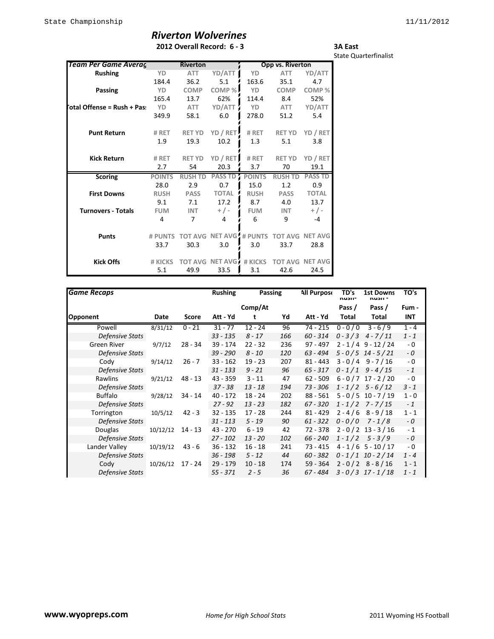# *Riverton Wolverines*

### **2012 Overall Record: 6 - 3**

State Quarterfinalist

**3A East**

| Team Per Game Averaç       |               | <b>Riverton</b> |                          |               | Opp vs. Riverton |                |
|----------------------------|---------------|-----------------|--------------------------|---------------|------------------|----------------|
| <b>Rushing</b>             | YD            | <b>ATT</b>      | YD/ATT                   | YD            | <b>ATT</b>       | YD/ATT         |
|                            | 184.4         | 36.2            | 5.1                      | 163.6         | 35.1             | 4.7            |
| Passing                    | YD            | <b>COMP</b>     | COMP%                    | YD            | <b>COMP</b>      | COMP%          |
|                            | 165.4         | 13.7            | 62%                      | 114.4         | 8.4              | 52%            |
| otal Offense = Rush + Pas: | YD            | <b>ATT</b>      | YD/ATT                   | YD            | <b>ATT</b>       | YD/ATT         |
|                            | 349.9         | 58.1            | 6.0                      | 278.0         | 51.2             | 5.4            |
| <b>Punt Return</b>         | # RET         | <b>RET YD</b>   | YD / RET                 | # RET         | <b>RET YD</b>    | YD / RET       |
|                            | 1.9           | 19.3            | 10.2                     | 1.3           | 5.1              | 3.8            |
| <b>Kick Return</b>         | # RET         | <b>RET YD</b>   | YD / RET                 | # RET         | <b>RET YD</b>    | YD / RET       |
|                            | 2.7           | 54              | 20.3                     | 3.7           | 70               | 19.1           |
| <b>Scoring</b>             | <b>POINTS</b> | <b>RUSH TD</b>  | <b>PASS TD</b>           | <b>POINTS</b> | <b>RUSH TD</b>   | <b>PASS TD</b> |
|                            | 28.0          | 2.9             | 0.7                      | 15.0          | 1.2              | 0.9            |
| <b>First Downs</b>         | <b>RUSH</b>   | <b>PASS</b>     | <b>TOTAL</b>             | <b>RUSH</b>   | <b>PASS</b>      | <b>TOTAL</b>   |
|                            | 9.1           | 7.1             | 17.2                     | 8.7           | 4.0              | 13.7           |
| <b>Turnovers - Totals</b>  | <b>FUM</b>    | <b>INT</b>      | $+$ / -                  | <b>FUM</b>    | <b>INT</b>       | $+/-$          |
|                            | 4             | 7               | 4                        | 6             | 9                | $-4$           |
| <b>Punts</b>               | # PUNTS       | <b>TOT AVG</b>  | <b>NET AVG</b> : # PUNTS |               | <b>TOT AVG</b>   | <b>NET AVG</b> |
|                            | 33.7          | 30.3            | 3.0                      | 3.0           | 33.7             | 28.8           |
| <b>Kick Offs</b>           | # KICKS       | <b>TOT AVG</b>  | NET AVG                  | # KICKS       | <b>TOT AVG</b>   | <b>NET AVG</b> |
|                            | 5.1           | 49.9            | 33.5                     | 3.1           | 42.6             | 24.5           |

| <b>Game Recaps</b>     |          |           | <b>Rushing</b> | Passing   |     | <b>All Purpose</b> | TD's<br>nusii- | <b>1st Downs</b><br>nusu - | TO's    |
|------------------------|----------|-----------|----------------|-----------|-----|--------------------|----------------|----------------------------|---------|
|                        |          |           |                | Comp/At   |     |                    | Pass /         | Pass /                     | Fum -   |
| <b>Opponent</b>        | Date     | Score     | Att - Yd       |           | Yd  | Att - Yd           | Total          | Total                      | INT     |
| Powell                 | 8/31/12  | $0 - 21$  | $31 - 77$      | $12 - 24$ | 96  | 74 - 215           |                | $0 - 0/0$ 3 - 6/9          | $1 - 4$ |
| Defensive Stats        |          |           | 33 - 135       | $8 - 17$  | 166 | $60 - 314$         |                | $0 - 3/3$ 4 - 7/11         | $1 - 1$ |
| Green River            | 9/7/12   | 28 - 34   | 39 - 174       | $22 - 32$ | 236 | $97 - 497$         |                | $2 - 1/4$ 9 - 12/24        | $-0$    |
| Defensive Stats        |          |           | $39 - 290$     | $8 - 10$  | 120 | 63 - 494           |                | $5 - 0/5$ 14 - $5/21$      | - 0     |
| Cody                   | 9/14/12  | $26 - 7$  | $33 - 162$     | $19 - 23$ | 207 | $81 - 443$         |                | $3 - 0/4$ 9 - 7/16         | - 0     |
| Defensive Stats        |          |           | 31 - 133       | $9 - 21$  | 96  | $65 - 317$         |                | $0 - 1/1$ 9 - 4/15         | $-1$    |
| Rawlins                | 9/21/12  | 48 - 13   | $43 - 359$     | $3 - 11$  | 47  | $62 - 509$         |                | $6 - 0 / 7 17 - 2 / 20$    | - 0     |
| Defensive Stats        |          |           | $37 - 38$      | $13 - 18$ | 194 | 73 - 306           |                | $1 - 1/2$ 5 - 6/12         | $3 - 1$ |
| <b>Buffalo</b>         | 9/28/12  | 34 - 14   | $40 - 172$     | $18 - 24$ | 202 | $88 - 561$         |                | $5 - 0/5$ 10 - 7/19        | $1 - 0$ |
| Defensive Stats        |          |           | $27 - 92$      | $13 - 23$ | 182 | $67 - 320$         |                | $1 - 1/2$ 7 - 7/15         | $-1$    |
| Torrington             | 10/5/12  | $42 - 3$  | $32 - 135$     | $17 - 28$ | 244 | $81 - 429$         |                | $2 - 4/6$ 8 - 9/18         | $1 - 1$ |
| Defensive Stats        |          |           | $31 - 113$     | $5 - 19$  | 90  | $61 - 322$         | $0 - 0/0$      | $7 - 1/8$                  | - 0     |
| Douglas                | 10/12/12 | $14 - 13$ | 43 - 270       | $6 - 19$  | 42  | 72 - 378           |                | $2 - 0 / 2$ 13 - 3/16      | $-1$    |
| <b>Defensive Stats</b> |          |           | $27 - 102$     | $13 - 20$ | 102 | 66 - 240           |                | $1 - 1/2$ 5 - 3/9          | - 0     |
| Lander Valley          | 10/19/12 | $43 - 6$  | $36 - 132$     | $16 - 18$ | 241 | 73 - 415           |                | $4 - 1/6$ 5 - 10 / 17      | - 0     |
| <b>Defensive Stats</b> |          |           | 36 - 198       | $5 - 12$  | 44  | $60 - 382$         |                | $0 - 1/1$ 10 - 2/14        | $1 - 4$ |
| Cody                   | 10/26/12 | 17 - 24   | $29 - 179$     | $10 - 18$ | 174 | $59 - 364$         |                | $2 - 0/2$ 8 - 8/16         | $1 - 1$ |
| Defensive Stats        |          |           | 55 - 371       | $2 - 5$   | 36  | 67 - 484           |                | $3 - 0/3$ 17 - 1/18        | $1 - 1$ |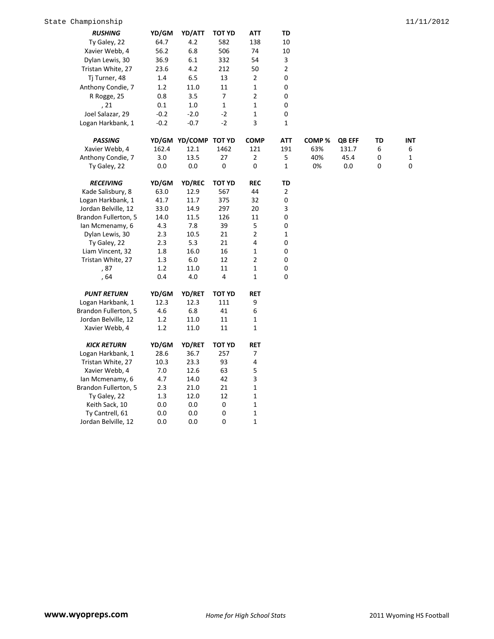| <b>RUSHING</b>       | YD/GM  | YD/ATT               | TOT YD                   | ATT            | TD               |       |               |    |            |
|----------------------|--------|----------------------|--------------------------|----------------|------------------|-------|---------------|----|------------|
| Ty Galey, 22         | 64.7   | 4.2                  | 582                      | 138            | 10               |       |               |    |            |
| Xavier Webb, 4       | 56.2   | 6.8                  | 506                      | 74             | 10               |       |               |    |            |
| Dylan Lewis, 30      | 36.9   | 6.1                  | 332                      | 54             | 3                |       |               |    |            |
| Tristan White, 27    | 23.6   | 4.2                  | 212                      | 50             | $\mathbf{2}$     |       |               |    |            |
| Tj Turner, 48        | 1.4    | 6.5                  | 13                       | $\mathbf 2$    | 0                |       |               |    |            |
| Anthony Condie, 7    | 1.2    | 11.0                 | 11                       | $\mathbf 1$    | 0                |       |               |    |            |
| R Rogge, 25          | 0.8    | 3.5                  | $\overline{\phantom{a}}$ | $\overline{2}$ | 0                |       |               |    |            |
| , 21                 | 0.1    | 1.0                  | 1                        | $\mathbf{1}$   | 0                |       |               |    |            |
| Joel Salazar, 29     | $-0.2$ | $-2.0$               | $-2$                     | $\mathbf 1$    | 0                |       |               |    |            |
| Logan Harkbank, 1    | $-0.2$ | $-0.7$               | $-2$                     | 3              | $\mathbf{1}$     |       |               |    |            |
|                      |        |                      |                          |                |                  |       |               |    |            |
| <b>PASSING</b>       |        | YD/GM YD/COMP TOT YD |                          | <b>COMP</b>    | <b>ATT</b>       | COMP% | <b>QB EFF</b> | TD | <b>INT</b> |
| Xavier Webb, 4       | 162.4  | 12.1                 | 1462                     | 121            | 191              | 63%   | 131.7         | 6  | 6          |
| Anthony Condie, 7    | 3.0    | 13.5                 | 27                       | 2              | 5                | 40%   | 45.4          | 0  | 1          |
| Ty Galey, 22         | 0.0    | $0.0\,$              | 0                        | 0              | $\mathbf{1}$     | 0%    | 0.0           | 0  | 0          |
| <b>RECEIVING</b>     | YD/GM  | YD/REC               | <b>TOT YD</b>            | <b>REC</b>     | TD               |       |               |    |            |
| Kade Salisbury, 8    | 63.0   | 12.9                 | 567                      | 44             | 2                |       |               |    |            |
| Logan Harkbank, 1    | 41.7   | 11.7                 | 375                      | 32             | 0                |       |               |    |            |
| Jordan Belville, 12  | 33.0   | 14.9                 | 297                      | 20             | 3                |       |               |    |            |
| Brandon Fullerton, 5 | 14.0   | 11.5                 | 126                      | 11             | 0                |       |               |    |            |
| lan Mcmenamy, 6      | 4.3    | 7.8                  | 39                       | 5              | 0                |       |               |    |            |
| Dylan Lewis, 30      | 2.3    | 10.5                 | 21                       | $\overline{2}$ | $\mathbf{1}$     |       |               |    |            |
| Ty Galey, 22         | 2.3    | 5.3                  | 21                       | 4              | 0                |       |               |    |            |
| Liam Vincent, 32     | 1.8    | 16.0                 | 16                       | 1              | $\boldsymbol{0}$ |       |               |    |            |
| Tristan White, 27    | 1.3    | 6.0                  | 12                       | 2              | 0                |       |               |    |            |
| , 87                 | 1.2    | 11.0                 | 11                       | $\mathbf 1$    | $\boldsymbol{0}$ |       |               |    |            |
| , 64                 | 0.4    | 4.0                  | 4                        | $\mathbf{1}$   | 0                |       |               |    |            |
| <b>PUNT RETURN</b>   | YD/GM  | <b>YD/RET</b>        | <b>TOT YD</b>            | RET            |                  |       |               |    |            |
| Logan Harkbank, 1    | 12.3   | 12.3                 | 111                      | 9              |                  |       |               |    |            |
| Brandon Fullerton, 5 | 4.6    | 6.8                  | 41                       | 6              |                  |       |               |    |            |
| Jordan Belville, 12  | 1.2    | 11.0                 | 11                       | $\mathbf{1}$   |                  |       |               |    |            |
| Xavier Webb, 4       | 1.2    | 11.0                 | 11                       | $\mathbf 1$    |                  |       |               |    |            |
|                      |        |                      |                          |                |                  |       |               |    |            |
| <b>KICK RETURN</b>   | YD/GM  | YD/RET               | <b>TOT YD</b>            | <b>RET</b>     |                  |       |               |    |            |
| Logan Harkbank, 1    | 28.6   | 36.7                 | 257                      | 7              |                  |       |               |    |            |
| Tristan White, 27    | 10.3   | 23.3                 | 93                       | 4              |                  |       |               |    |            |
| Xavier Webb, 4       | 7.0    | 12.6                 | 63                       | 5              |                  |       |               |    |            |
| lan Mcmenamy, 6      | 4.7    | 14.0                 | 42                       | 3              |                  |       |               |    |            |
| Brandon Fullerton, 5 | 2.3    | 21.0                 | 21                       | $\mathbf 1$    |                  |       |               |    |            |
| Ty Galey, 22         | 1.3    | 12.0                 | 12                       | $\mathbf 1$    |                  |       |               |    |            |
| Keith Sack, 10       | 0.0    | $0.0\,$              | $\pmb{0}$                | $\mathbf 1$    |                  |       |               |    |            |
| Ty Cantrell, 61      | 0.0    | 0.0                  | $\pmb{0}$                | $\mathbf 1$    |                  |       |               |    |            |
| Jordan Belville, 12  | 0.0    | 0.0                  | $\mathbf 0$              | $\mathbf{1}$   |                  |       |               |    |            |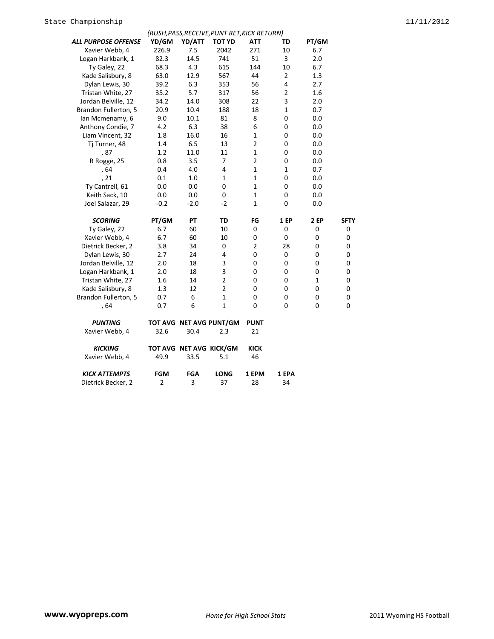| YD/GM          | YD/ATT                                                                                                    | <b>TOT YD</b>                                                               | ATT                                                                                                                                                                        | TD                                                                                                                                | PT/GM                                                                                                                                          |                                                                                                                                                   |
|----------------|-----------------------------------------------------------------------------------------------------------|-----------------------------------------------------------------------------|----------------------------------------------------------------------------------------------------------------------------------------------------------------------------|-----------------------------------------------------------------------------------------------------------------------------------|------------------------------------------------------------------------------------------------------------------------------------------------|---------------------------------------------------------------------------------------------------------------------------------------------------|
| 226.9          | 7.5                                                                                                       | 2042                                                                        | 271                                                                                                                                                                        | 10                                                                                                                                | 6.7                                                                                                                                            |                                                                                                                                                   |
| 82.3           | 14.5                                                                                                      | 741                                                                         | 51                                                                                                                                                                         | 3                                                                                                                                 | 2.0                                                                                                                                            |                                                                                                                                                   |
| 68.3           | 4.3                                                                                                       | 615                                                                         | 144                                                                                                                                                                        | 10                                                                                                                                | 6.7                                                                                                                                            |                                                                                                                                                   |
| 63.0           | 12.9                                                                                                      | 567                                                                         | 44                                                                                                                                                                         | $\overline{2}$                                                                                                                    | 1.3                                                                                                                                            |                                                                                                                                                   |
| 39.2           | 6.3                                                                                                       | 353                                                                         | 56                                                                                                                                                                         | 4                                                                                                                                 | 2.7                                                                                                                                            |                                                                                                                                                   |
| 35.2           | 5.7                                                                                                       | 317                                                                         | 56                                                                                                                                                                         | 2                                                                                                                                 | 1.6                                                                                                                                            |                                                                                                                                                   |
| 34.2           | 14.0                                                                                                      | 308                                                                         | 22                                                                                                                                                                         | 3                                                                                                                                 | 2.0                                                                                                                                            |                                                                                                                                                   |
| 20.9           | 10.4                                                                                                      | 188                                                                         | 18                                                                                                                                                                         | $\mathbf{1}$                                                                                                                      | 0.7                                                                                                                                            |                                                                                                                                                   |
| 9.0            | 10.1                                                                                                      | 81                                                                          | 8                                                                                                                                                                          | 0                                                                                                                                 | 0.0                                                                                                                                            |                                                                                                                                                   |
| 4.2            | 6.3                                                                                                       | 38                                                                          | 6                                                                                                                                                                          | 0                                                                                                                                 | 0.0                                                                                                                                            |                                                                                                                                                   |
| 1.8            | 16.0                                                                                                      | 16                                                                          | $\mathbf{1}$                                                                                                                                                               | 0                                                                                                                                 | 0.0                                                                                                                                            |                                                                                                                                                   |
| 1.4            | 6.5                                                                                                       | 13                                                                          |                                                                                                                                                                            | 0                                                                                                                                 | 0.0                                                                                                                                            |                                                                                                                                                   |
| 1.2            | 11.0                                                                                                      | 11                                                                          | $\mathbf 1$                                                                                                                                                                | 0                                                                                                                                 | 0.0                                                                                                                                            |                                                                                                                                                   |
| 0.8            | 3.5                                                                                                       | 7                                                                           | $\overline{2}$                                                                                                                                                             | 0                                                                                                                                 | 0.0                                                                                                                                            |                                                                                                                                                   |
| 0.4            | 4.0                                                                                                       | 4                                                                           | $\mathbf 1$                                                                                                                                                                | 1                                                                                                                                 | 0.7                                                                                                                                            |                                                                                                                                                   |
| 0.1            | $1.0\,$                                                                                                   | $\mathbf{1}$                                                                | $\mathbf 1$                                                                                                                                                                | 0                                                                                                                                 | 0.0                                                                                                                                            |                                                                                                                                                   |
| 0.0            | 0.0                                                                                                       | $\mathbf 0$                                                                 | $\mathbf{1}$                                                                                                                                                               | 0                                                                                                                                 | 0.0                                                                                                                                            |                                                                                                                                                   |
| 0.0            | 0.0                                                                                                       | 0                                                                           | $\mathbf 1$                                                                                                                                                                | 0                                                                                                                                 | 0.0                                                                                                                                            |                                                                                                                                                   |
| $-0.2$         | $-2.0$                                                                                                    | $-2$                                                                        | $\mathbf 1$                                                                                                                                                                | $\overline{0}$                                                                                                                    | 0.0                                                                                                                                            |                                                                                                                                                   |
|                |                                                                                                           |                                                                             |                                                                                                                                                                            |                                                                                                                                   |                                                                                                                                                |                                                                                                                                                   |
|                |                                                                                                           |                                                                             |                                                                                                                                                                            |                                                                                                                                   |                                                                                                                                                | <b>SFTY</b>                                                                                                                                       |
|                |                                                                                                           |                                                                             |                                                                                                                                                                            |                                                                                                                                   |                                                                                                                                                | 0                                                                                                                                                 |
|                |                                                                                                           |                                                                             |                                                                                                                                                                            |                                                                                                                                   |                                                                                                                                                | 0                                                                                                                                                 |
|                |                                                                                                           |                                                                             |                                                                                                                                                                            |                                                                                                                                   |                                                                                                                                                | 0                                                                                                                                                 |
|                |                                                                                                           |                                                                             |                                                                                                                                                                            |                                                                                                                                   |                                                                                                                                                | 0                                                                                                                                                 |
|                |                                                                                                           |                                                                             |                                                                                                                                                                            |                                                                                                                                   |                                                                                                                                                | 0                                                                                                                                                 |
|                |                                                                                                           |                                                                             |                                                                                                                                                                            |                                                                                                                                   |                                                                                                                                                | 0                                                                                                                                                 |
|                |                                                                                                           |                                                                             |                                                                                                                                                                            |                                                                                                                                   |                                                                                                                                                | 0                                                                                                                                                 |
|                |                                                                                                           |                                                                             |                                                                                                                                                                            |                                                                                                                                   |                                                                                                                                                | 0                                                                                                                                                 |
|                |                                                                                                           |                                                                             |                                                                                                                                                                            |                                                                                                                                   |                                                                                                                                                | 0                                                                                                                                                 |
|                |                                                                                                           |                                                                             |                                                                                                                                                                            |                                                                                                                                   |                                                                                                                                                | $\mathbf 0$                                                                                                                                       |
|                |                                                                                                           |                                                                             |                                                                                                                                                                            |                                                                                                                                   |                                                                                                                                                |                                                                                                                                                   |
|                |                                                                                                           |                                                                             |                                                                                                                                                                            |                                                                                                                                   |                                                                                                                                                |                                                                                                                                                   |
|                |                                                                                                           |                                                                             |                                                                                                                                                                            |                                                                                                                                   |                                                                                                                                                |                                                                                                                                                   |
|                |                                                                                                           |                                                                             | <b>KICK</b>                                                                                                                                                                |                                                                                                                                   |                                                                                                                                                |                                                                                                                                                   |
|                | 33.5                                                                                                      | 5.1                                                                         |                                                                                                                                                                            |                                                                                                                                   |                                                                                                                                                |                                                                                                                                                   |
|                |                                                                                                           |                                                                             |                                                                                                                                                                            |                                                                                                                                   |                                                                                                                                                |                                                                                                                                                   |
| $\overline{2}$ | 3                                                                                                         | 37                                                                          | 28                                                                                                                                                                         | 34                                                                                                                                |                                                                                                                                                |                                                                                                                                                   |
|                | PT/GM<br>6.7<br>6.7<br>3.8<br>2.7<br>2.0<br>2.0<br>1.6<br>1.3<br>0.7<br>0.7<br>32.6<br>49.9<br><b>FGM</b> | PT<br>60<br>60<br>34<br>24<br>18<br>18<br>14<br>12<br>6<br>6<br>30.4<br>FGA | TD<br>10<br>10<br>0<br>4<br>3<br>3<br>$\mathbf 2$<br>$\mathbf 2$<br>$\mathbf 1$<br>$\mathbf 1$<br>TOT AVG NET AVG PUNT/GM<br>2.3<br>TOT AVG NET AVG KICK/GM<br><b>LONG</b> | $\overline{2}$<br>FG<br>0<br>0<br>$\overline{2}$<br>0<br>0<br>0<br>0<br>0<br>0<br>$\mathbf 0$<br><b>PUNT</b><br>21<br>46<br>1 EPM | (RUSH, PASS, RECEIVE, PUNT RET, KICK RETURN)<br><b>1 EP</b><br>0<br>0<br>28<br>$\mathbf 0$<br>0<br>0<br>0<br>0<br>0<br>$\overline{0}$<br>1 EPA | 2 EP<br>0<br>$\boldsymbol{0}$<br>$\mathbf 0$<br>$\mathbf 0$<br>0<br>$\boldsymbol{0}$<br>$\mathbf{1}$<br>$\mathbf 0$<br>$\mathbf 0$<br>$\mathbf 0$ |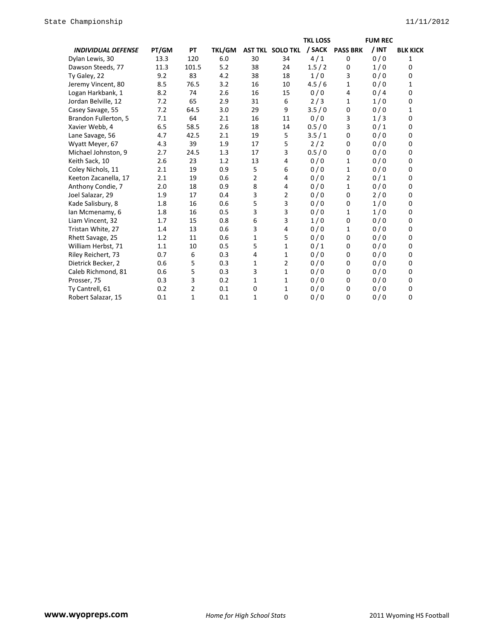|                           |       |       |               |    |                         | <b>TKL LOSS</b> |                 | <b>FUM REC</b> |                 |
|---------------------------|-------|-------|---------------|----|-------------------------|-----------------|-----------------|----------------|-----------------|
| <b>INDIVIDUAL DEFENSE</b> | PT/GM | PT    | <b>TKL/GM</b> |    | <b>AST TKL SOLO TKL</b> | / SACK          | <b>PASS BRK</b> | / INT          | <b>BLK KICK</b> |
| Dylan Lewis, 30           | 13.3  | 120   | 6.0           | 30 | 34                      | 4/1             | 0               | 0/0            | 1               |
| Dawson Steeds, 77         | 11.3  | 101.5 | 5.2           | 38 | 24                      | 1.5/2           | 0               | 1/0            | 0               |
| Ty Galey, 22              | 9.2   | 83    | 4.2           | 38 | 18                      | 1/0             | 3               | 0/0            | 0               |
| Jeremy Vincent, 80        | 8.5   | 76.5  | 3.2           | 16 | 10                      | 4.5/6           | 1               | 0/0            | 1               |
| Logan Harkbank, 1         | 8.2   | 74    | 2.6           | 16 | 15                      | 0/0             | 4               | 0/4            | 0               |
| Jordan Belville, 12       | 7.2   | 65    | 2.9           | 31 | 6                       | 2/3             | 1               | 1/0            | 0               |
| Casey Savage, 55          | 7.2   | 64.5  | 3.0           | 29 | 9                       | 3.5/0           | 0               | 0/0            | 1               |
| Brandon Fullerton, 5      | 7.1   | 64    | 2.1           | 16 | 11                      | 0/0             | 3               | 1/3            | 0               |
| Xavier Webb, 4            | 6.5   | 58.5  | 2.6           | 18 | 14                      | 0.5/0           | 3               | 0/1            | 0               |
| Lane Savage, 56           | 4.7   | 42.5  | 2.1           | 19 | 5                       | 3.5/1           | 0               | 0/0            | 0               |
| Wyatt Meyer, 67           | 4.3   | 39    | 1.9           | 17 | 5                       | 2/2             | 0               | 0/0            | 0               |
| Michael Johnston, 9       | 2.7   | 24.5  | 1.3           | 17 | 3                       | 0.5/0           | 0               | 0/0            | 0               |
| Keith Sack, 10            | 2.6   | 23    | 1.2           | 13 | 4                       | 0/0             | 1               | 0/0            | $\Omega$        |
| Coley Nichols, 11         | 2.1   | 19    | 0.9           | 5  | 6                       | 0/0             | 1               | 0/0            | 0               |
| Keeton Zacanella, 17      | 2.1   | 19    | 0.6           | 2  | 4                       | 0/0             | 2               | 0/1            | 0               |
| Anthony Condie, 7         | 2.0   | 18    | 0.9           | 8  | 4                       | 0/0             | 1               | 0/0            | 0               |
| Joel Salazar, 29          | 1.9   | 17    | 0.4           | 3  | 2                       | 0/0             | 0               | 2/0            | 0               |
| Kade Salisbury, 8         | 1.8   | 16    | 0.6           | 5  | 3                       | 0/0             | 0               | 1/0            | 0               |
| Ian Mcmenamy, 6           | 1.8   | 16    | 0.5           | 3  | 3                       | 0/0             | 1               | 1/0            | 0               |
| Liam Vincent, 32          | 1.7   | 15    | 0.8           | 6  | 3                       | 1/0             | 0               | 0/0            | 0               |
| Tristan White, 27         | 1.4   | 13    | 0.6           | 3  | 4                       | 0/0             | 1               | 0/0            | 0               |
| Rhett Savage, 25          | 1.2   | 11    | 0.6           | 1  | 5                       | 0/0             | 0               | 0/0            | 0               |
| William Herbst, 71        | 1.1   | 10    | 0.5           | 5  | 1                       | 0/1             | 0               | 0/0            | 0               |
| Riley Reichert, 73        | 0.7   | 6     | 0.3           | 4  | 1                       | 0/0             | 0               | 0/0            | 0               |
| Dietrick Becker, 2        | 0.6   | 5     | 0.3           | 1  | 2                       | 0/0             | 0               | 0/0            | 0               |
| Caleb Richmond, 81        | 0.6   | 5     | 0.3           | 3  | 1                       | 0/0             | 0               | 0/0            | 0               |
| Prosser, 75               | 0.3   | 3     | 0.2           | 1  | 1                       | 0/0             | $\mathbf 0$     | 0/0            | $\mathbf 0$     |
| Ty Cantrell, 61           | 0.2   | 2     | 0.1           | 0  | 1                       | 0/0             | 0               | 0/0            | 0               |
| Robert Salazar, 15        | 0.1   | 1     | 0.1           | 1  | 0                       | 0/0             | $\mathbf 0$     | 0/0            | 0               |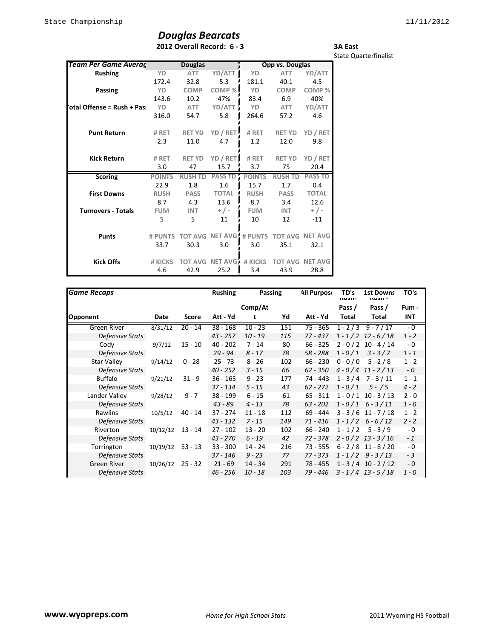## *Douglas Bearcats* **2012 Overall Record: 6 - 3**

**3A East** State Quarterfinalist

| <b>Team Per Game Averag</b> |               | <b>Douglas</b> |                         |               | Opp vs. Douglas |                        |
|-----------------------------|---------------|----------------|-------------------------|---------------|-----------------|------------------------|
| <b>Rushing</b>              | YD            | <b>ATT</b>     | YD/ATT                  | YD            | <b>ATT</b>      | YD/ATT                 |
|                             | 172.4         | 32.8           | 5.3                     | 181.1         | 40.1            | 4.5                    |
| Passing                     | YD            | <b>COMP</b>    | COMP%                   | <b>YD</b>     | <b>COMP</b>     | COMP%                  |
|                             | 143.6         | 10.2           | 47%                     | 83.4          | 6.9             | 40%                    |
| otal Offense = Rush + Pas:  | YD            | ATT            | YD/ATT                  | YD            | <b>ATT</b>      | YD/ATT                 |
|                             | 316.0         | 54.7           | 5.8                     | 264.6         | 57.2            | 4.6                    |
| <b>Punt Return</b>          | # RET         | <b>RET YD</b>  | YD / RET                | # RET         | <b>RET YD</b>   | YD / RET               |
|                             | 2.3           | 11.0           | 4.7                     | 1.2           | 12.0            | 9.8                    |
| <b>Kick Return</b>          | # RET         | <b>RET YD</b>  | YD / RET                | # RET         | <b>RET YD</b>   | YD / RET               |
|                             | 3.0           | 47             | 15.7                    | 3.7           | 75              | 20.4                   |
| <b>Scoring</b>              | <b>POINTS</b> | <b>RUSH TD</b> | <b>PASS TD</b>          | <b>POINTS</b> | <b>RUSH TD</b>  | <b>PASS TD</b>         |
|                             | 22.9          | 1.8            | 1.6                     | 15.7          | 1.7             | 0.4                    |
| <b>First Downs</b>          | <b>RUSH</b>   | <b>PASS</b>    | <b>TOTAL</b>            | <b>RUSH</b>   | <b>PASS</b>     | <b>TOTAL</b>           |
|                             | 8.7           | 4.3            | 13.6                    | 8.7           | 3.4             | 12.6                   |
| <b>Turnovers - Totals</b>   | <b>FUM</b>    | <b>INT</b>     | $+/-$                   | <b>FUM</b>    | <b>INT</b>      | $+$ / -                |
|                             | 5             | 5.             | 11                      | 10            | 12              | $-11$                  |
| <b>Punts</b>                | # PUNTS       |                | TOT AVG NET AVG # PUNTS |               |                 | <b>TOT AVG NET AVG</b> |
|                             | 33.7          | 30.3           | 3.0                     | 3.0           | 35.1            | 32.1                   |
| <b>Kick Offs</b>            | # KICKS       |                | <b>TOT AVG NET AVG</b>  | # KICKS       |                 | <b>TOT AVG NET AVG</b> |
|                             | 4.6           | 42.9           | 25.2                    | 3.4           | 43.9            | 28.8                   |

| <b>Game Recaps</b>     |          |           | <b>Rushing</b> | Passing   |     | <b>All Purpose</b> | TD's<br>nusii- | <b>1st Downs</b><br>nusii - | TO's    |
|------------------------|----------|-----------|----------------|-----------|-----|--------------------|----------------|-----------------------------|---------|
|                        |          |           |                | Comp/At   |     |                    | Pass /         | Pass /                      | Fum -   |
| Opponent               | Date     | Score     | Att - Yd       | t         | Yd  | Att - Yd           | Total          | Total                       | INT     |
| Green River            | 8/31/12  | $20 - 14$ | $38 - 168$     | $10 - 23$ | 151 | 75 - 365           |                | $1 - 2/3$ 9 - 7/17          | $-0$    |
| Defensive Stats        |          |           | $43 - 257$     | $10 - 19$ | 115 | 77 - 437           |                | $1 - 1/2$ 12 - 6/18         | $1 - 2$ |
| Cody                   | 9/7/12   | $15 - 10$ | $40 - 202$     | $7 - 14$  | 80  | $66 - 325$         |                | $2 - 0 / 2 10 - 4 / 14$     | - 0     |
| <b>Defensive Stats</b> |          |           | $29 - 94$      | $8 - 17$  | 78  | 58 - 288           | $1 - 0/1$      | $3 - 3/7$                   | $1 - 1$ |
| <b>Star Valley</b>     | 9/14/12  | $0 - 28$  | $25 - 73$      | $8 - 26$  | 102 | $66 - 230$         | $0 - 0 / 0$    | $5 - 2/8$                   | $1 - 2$ |
| <b>Defensive Stats</b> |          |           | $40 - 252$     | $3 - 15$  | 66  | $62 - 350$         |                | $4 - 0/4$ 11 - 2/13         | $-0$    |
| <b>Buffalo</b>         | 9/21/12  | $31 - 9$  | $36 - 165$     | $9 - 23$  | 177 | 74 - 443           |                | $1 - 3/4$ 7 - 3/11          | $1 - 1$ |
| <b>Defensive Stats</b> |          |           | 37 - 134       | $5 - 15$  | 43  | $62 - 272$         | $1 - 0/1$      | $5 - / 5$                   | $4 - 2$ |
| Lander Valley          | 9/28/12  | $9 - 7$   | $38 - 199$     | $6 - 15$  | 61  | $65 - 311$         |                | $1 - 0/1$ 10 - 3/13         | $2 - 0$ |
| <b>Defensive Stats</b> |          |           | $43 - 89$      | $4 - 13$  | 78  | $63 - 202$         |                | $1 - 0/1$ 6 - 3/11          | $1 - 0$ |
| Rawlins                | 10/5/12  | $40 - 14$ | 37 - 274       | $11 - 18$ | 112 | 69 - 444           |                | $3 - 3 / 6$ 11 - 7/18       | $1 - 2$ |
| Defensive Stats        |          |           | $43 - 132$     | $7 - 15$  | 149 | $71 - 416$         |                | $1 - 1/2$ 6 - 6/12          | $2 - 2$ |
| Riverton               | 10/12/12 | $13 - 14$ | $27 - 102$     | $13 - 20$ | 102 | $66 - 240$         | $1 - 1/2$      | $5 - 3/9$                   | $-0$    |
| Defensive Stats        |          |           | $43 - 270$     | $6 - 19$  | 42  | 72 - 378           |                | $2 - 0/2$ 13 - 3/16         | $-1$    |
| Torrington             | 10/19/12 | $53 - 13$ | $33 - 300$     | $14 - 24$ | 216 | $73 - 555$         |                | $6 - 2 / 8$ 11 - 8/20       | $-0$    |
| Defensive Stats        |          |           | 37 - 146       | $9 - 23$  | 77  | 77 - 373           |                | $1 - 1/2$ 9 - 3/13          | $-3$    |
| Green River            | 10/26/12 | $25 - 32$ | $21 - 69$      | $14 - 34$ | 291 | 78 - 455           |                | $1 - 3 / 4 10 - 2 / 12$     | - 0     |
| <b>Defensive Stats</b> |          |           | $46 - 256$     | $10 - 18$ | 103 | 79 - 446           |                | $3 - 1/4$ 13 - 5/18         | $1 - 0$ |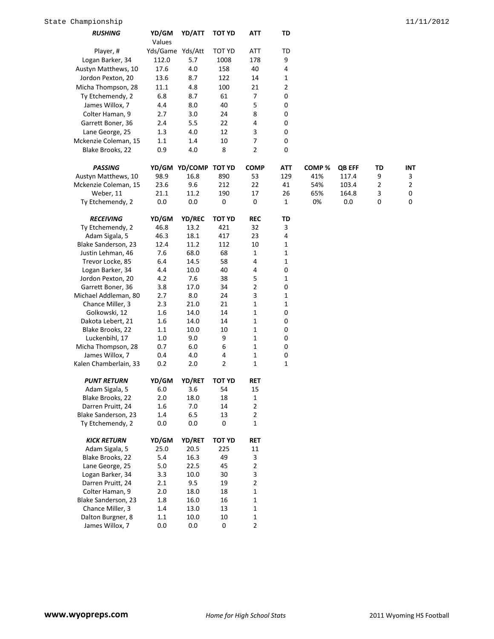| <b>RUSHING</b>        | YD/GM<br>Values  | YD/ATT               | <b>TOT YD</b> | ATT            | TD             |       |               |    |            |
|-----------------------|------------------|----------------------|---------------|----------------|----------------|-------|---------------|----|------------|
| Player, #             | Yds/Game Yds/Att |                      | TOT YD        | ATT            | TD             |       |               |    |            |
| Logan Barker, 34      | 112.0            | 5.7                  | 1008          | 178            | 9              |       |               |    |            |
| Austyn Matthews, 10   | 17.6             | 4.0                  | 158           | 40             | 4              |       |               |    |            |
| Jordon Pexton, 20     | 13.6             | 8.7                  | 122           | 14             | 1              |       |               |    |            |
| Micha Thompson, 28    | 11.1             | 4.8                  | 100           | 21             | $\overline{2}$ |       |               |    |            |
| Ty Etchemendy, 2      | 6.8              | 8.7                  | 61            | $\overline{7}$ | 0              |       |               |    |            |
| James Willox, 7       | 4.4              | 8.0                  | 40            | 5              | 0              |       |               |    |            |
| Colter Haman, 9       | 2.7              | 3.0                  | 24            | 8              | 0              |       |               |    |            |
|                       |                  |                      |               |                |                |       |               |    |            |
| Garrett Boner, 36     | 2.4              | 5.5                  | 22            | 4              | $\pmb{0}$      |       |               |    |            |
| Lane George, 25       | 1.3              | 4.0                  | 12            | 3              | $\pmb{0}$      |       |               |    |            |
| Mckenzie Coleman, 15  | 1.1              | 1.4                  | 10            | 7              | $\mathbf 0$    |       |               |    |            |
| Blake Brooks, 22      | 0.9              | 4.0                  | 8             | $\overline{2}$ | 0              |       |               |    |            |
| <b>PASSING</b>        |                  | YD/GM YD/COMP TOT YD |               | <b>COMP</b>    | <b>ATT</b>     | COMP% | <b>QB EFF</b> | TD | <b>INT</b> |
| Austyn Matthews, 10   | 98.9             | 16.8                 | 890           | 53             | 129            | 41%   | 117.4         | 9  | 3          |
| Mckenzie Coleman, 15  | 23.6             | 9.6                  | 212           | 22             | 41             | 54%   | 103.4         | 2  | 2          |
| Weber, 11             | 21.1             | 11.2                 | 190           | 17             | 26             | 65%   | 164.8         | 3  | 0          |
| Ty Etchemendy, 2      | 0.0              | $0.0\,$              | 0             | $\mathbf 0$    | $\mathbf{1}$   | 0%    | 0.0           | 0  | 0          |
| <b>RECEIVING</b>      | YD/GM            | <b>YD/REC</b>        | <b>TOT YD</b> | <b>REC</b>     | TD             |       |               |    |            |
| Ty Etchemendy, 2      | 46.8             | 13.2                 | 421           | 32             | 3              |       |               |    |            |
| Adam Sigala, 5        | 46.3             | 18.1                 | 417           | 23             | 4              |       |               |    |            |
| Blake Sanderson, 23   | 12.4             | 11.2                 | 112           | 10             | 1              |       |               |    |            |
| Justin Lehman, 46     | 7.6              | 68.0                 | 68            | 1              | $\mathbf{1}$   |       |               |    |            |
| Trevor Locke, 85      | 6.4              | 14.5                 | 58            | 4              | 1              |       |               |    |            |
| Logan Barker, 34      | 4.4              | 10.0                 | 40            | 4              | 0              |       |               |    |            |
| Jordon Pexton, 20     | 4.2              | 7.6                  | 38            | 5              | 1              |       |               |    |            |
| Garrett Boner, 36     | 3.8              | 17.0                 | 34            | $\mathbf 2$    | $\pmb{0}$      |       |               |    |            |
| Michael Addleman, 80  | 2.7              | 8.0                  | 24            | 3              | $\mathbf{1}$   |       |               |    |            |
| Chance Miller, 3      | 2.3              | 21.0                 | 21            | 1              | 1              |       |               |    |            |
| Golkowski, 12         | 1.6              | 14.0                 | 14            | 1              | 0              |       |               |    |            |
| Dakota Lebert, 21     | 1.6              | 14.0                 | 14            | $\mathbf{1}$   | $\pmb{0}$      |       |               |    |            |
| Blake Brooks, 22      | 1.1              | 10.0                 | 10            | $\mathbf{1}$   | $\pmb{0}$      |       |               |    |            |
| Luckenbihl, 17        | 1.0              | 9.0                  | 9             | 1              | $\pmb{0}$      |       |               |    |            |
| Micha Thompson, 28    | 0.7              | 6.0                  | 6             | 1              | 0              |       |               |    |            |
| James Willox, 7       | 0.4              | 4.0                  | 4             | $\mathbf{1}$   | $\pmb{0}$      |       |               |    |            |
| Kalen Chamberlain, 33 | 0.2              | 2.0                  | 2             | $\mathbf{1}$   | $\mathbf{1}$   |       |               |    |            |
| <b>PUNT RETURN</b>    | YD/GM            | YD/RET               | <b>TOT YD</b> | <b>RET</b>     |                |       |               |    |            |
| Adam Sigala, 5        | 6.0              | 3.6                  | 54            | 15             |                |       |               |    |            |
| Blake Brooks, 22      | 2.0              | 18.0                 | 18            | 1              |                |       |               |    |            |
| Darren Pruitt, 24     | 1.6              | $7.0$                | 14            | $\mathbf 2$    |                |       |               |    |            |
| Blake Sanderson, 23   | 1.4              | $6.5\,$              | 13            | $\mathbf 2$    |                |       |               |    |            |
| Ty Etchemendy, 2      | 0.0              | $0.0\,$              | 0             | 1              |                |       |               |    |            |
| <b>KICK RETURN</b>    | YD/GM            | YD/RET               | <b>TOT YD</b> | <b>RET</b>     |                |       |               |    |            |
| Adam Sigala, 5        | 25.0             | 20.5                 | 225           | 11             |                |       |               |    |            |
| Blake Brooks, 22      | 5.4              | 16.3                 | 49            | 3              |                |       |               |    |            |
| Lane George, 25       | 5.0              | 22.5                 | 45            | $\mathbf 2$    |                |       |               |    |            |
| Logan Barker, 34      | 3.3              | 10.0                 | 30            | 3              |                |       |               |    |            |
| Darren Pruitt, 24     | 2.1              | 9.5                  | 19            | $\overline{2}$ |                |       |               |    |            |
| Colter Haman, 9       | 2.0              | 18.0                 | 18            | 1              |                |       |               |    |            |
| Blake Sanderson, 23   | 1.8              | 16.0                 | 16            | $\mathbf{1}$   |                |       |               |    |            |
| Chance Miller, 3      | 1.4              | 13.0                 | 13            | $\mathbf{1}$   |                |       |               |    |            |
| Dalton Burgner, 8     | 1.1              | 10.0                 | 10            | 1              |                |       |               |    |            |
| James Willox, 7       | 0.0              | 0.0                  | 0             | $\overline{2}$ |                |       |               |    |            |
|                       |                  |                      |               |                |                |       |               |    |            |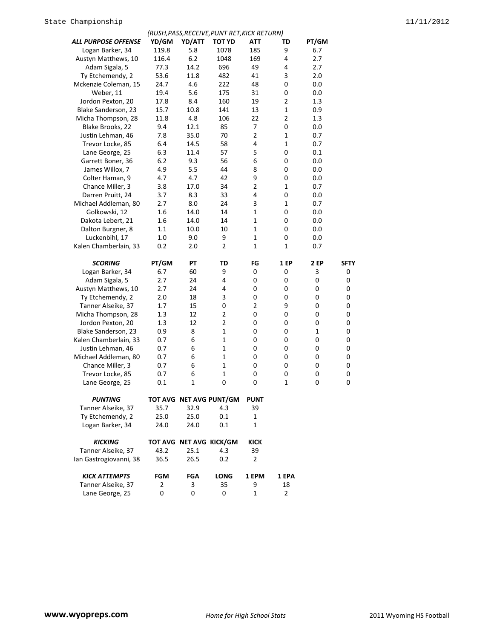|                            |                |                         | (RUSH, PASS, RECEIVE, PUNT RET, KICK RETURN) |                |                |       |             |
|----------------------------|----------------|-------------------------|----------------------------------------------|----------------|----------------|-------|-------------|
| <b>ALL PURPOSE OFFENSE</b> | YD/GM          | YD/ATT                  | <b>TOT YD</b>                                | <b>ATT</b>     | TD             | PT/GM |             |
| Logan Barker, 34           | 119.8          | 5.8                     | 1078                                         | 185            | 9              | 6.7   |             |
| Austyn Matthews, 10        | 116.4          | 6.2                     | 1048                                         | 169            | 4              | 2.7   |             |
| Adam Sigala, 5             | 77.3           | 14.2                    | 696                                          | 49             | 4              | 2.7   |             |
| Ty Etchemendy, 2           | 53.6           | 11.8                    | 482                                          | 41             | 3              | 2.0   |             |
| Mckenzie Coleman, 15       | 24.7           | 4.6                     | 222                                          | 48             | 0              | 0.0   |             |
| Weber, 11                  | 19.4           | 5.6                     | 175                                          | 31             | 0              | 0.0   |             |
| Jordon Pexton, 20          | 17.8           | 8.4                     | 160                                          | 19             | $\overline{2}$ | 1.3   |             |
| Blake Sanderson, 23        | 15.7           | 10.8                    | 141                                          | 13             | $\mathbf{1}$   | 0.9   |             |
| Micha Thompson, 28         | 11.8           | 4.8                     | 106                                          | 22             | $\overline{2}$ | 1.3   |             |
| Blake Brooks, 22           | 9.4            | 12.1                    | 85                                           | 7              | 0              | 0.0   |             |
| Justin Lehman, 46          | 7.8            | 35.0                    | 70                                           | $\overline{2}$ | $\mathbf{1}$   | 0.7   |             |
| Trevor Locke, 85           | 6.4            | 14.5                    | 58                                           | 4              | 1              | 0.7   |             |
| Lane George, 25            | 6.3            | 11.4                    | 57                                           | 5              | 0              | 0.1   |             |
| Garrett Boner, 36          | 6.2            | 9.3                     | 56                                           | 6              | 0              | 0.0   |             |
| James Willox, 7            | 4.9            | 5.5                     | 44                                           | 8              | 0              | 0.0   |             |
| Colter Haman, 9            | 4.7            | 4.7                     | 42                                           | 9              | 0              | 0.0   |             |
| Chance Miller, 3           | 3.8            | 17.0                    | 34                                           | 2              | 1              | 0.7   |             |
| Darren Pruitt, 24          | 3.7            | 8.3                     | 33                                           | 4              | 0              | 0.0   |             |
| Michael Addleman, 80       | 2.7            | 8.0                     | 24                                           | 3              | $\mathbf{1}$   | 0.7   |             |
| Golkowski, 12              | 1.6            | 14.0                    | 14                                           | 1              | 0              | 0.0   |             |
| Dakota Lebert, 21          | 1.6            | 14.0                    | 14                                           | 1              | 0              | 0.0   |             |
| Dalton Burgner, 8          | 1.1            | 10.0                    | 10                                           | $\mathbf 1$    | 0              | 0.0   |             |
| Luckenbihl, 17             | 1.0            | 9.0                     | 9                                            | 1              | 0              | 0.0   |             |
| Kalen Chamberlain, 33      | 0.2            | 2.0                     | $\overline{2}$                               | $\mathbf 1$    | 1              | 0.7   |             |
|                            |                |                         |                                              |                |                |       |             |
| <b>SCORING</b>             | PT/GM          | ΡT                      | TD                                           | FG             | 1 EP           | 2 EP  | <b>SFTY</b> |
| Logan Barker, 34           | 6.7            | 60                      | 9                                            | 0              | 0              | 3     | 0           |
| Adam Sigala, 5             | 2.7            | 24                      | 4                                            | 0              | 0              | 0     | 0           |
| Austyn Matthews, 10        | 2.7            | 24                      | 4                                            | 0              | 0              | 0     | 0           |
| Ty Etchemendy, 2           | 2.0            | 18                      | 3                                            | 0              | 0              | 0     | 0           |
| Tanner Alseike, 37         | 1.7            | 15                      | 0                                            | 2              | 9              | 0     | 0           |
| Micha Thompson, 28         | 1.3            | 12                      | $\overline{\mathbf{c}}$                      | 0              | 0              | 0     | 0           |
| Jordon Pexton, 20          | 1.3            | 12                      | $\overline{2}$                               | 0              | 0              | 0     | 0           |
| Blake Sanderson, 23        | 0.9            | 8                       | 1                                            | 0              | 0              | 1     | 0           |
| Kalen Chamberlain, 33      | 0.7            | 6                       | $\mathbf{1}$                                 | 0              | 0              | 0     | 0           |
| Justin Lehman, 46          | 0.7            | 6                       | $\mathbf{1}$                                 | 0              | 0              | 0     | 0           |
| Michael Addleman, 80       | 0.7            | 6                       | $\mathbf{1}$                                 | 0              | 0              | 0     | 0           |
| Chance Miller, 3           | 0.7            | 6                       | 1                                            | 0              | 0              | 0     | 0           |
| Trevor Locke, 85           | 0.7            | 6                       | $\mathbf 1$                                  | 0              | 0              | 0     | 0           |
| Lane George, 25            | 0.1            | 1                       | 0                                            | 0              | 1              | 0     | 0           |
|                            |                |                         |                                              |                |                |       |             |
| <b>PUNTING</b>             |                |                         | TOT AVG NET AVG PUNT/GM                      | <b>PUNT</b>    |                |       |             |
| Tanner Alseike, 37         | 35.7           | 32.9                    | 4.3                                          | 39             |                |       |             |
| Ty Etchemendy, 2           | 25.0           | 25.0                    | 0.1                                          | 1              |                |       |             |
| Logan Barker, 34           | 24.0           | 24.0                    | 0.1                                          | $\mathbf 1$    |                |       |             |
|                            |                |                         |                                              |                |                |       |             |
| <b>KICKING</b>             |                | TOT AVG NET AVG KICK/GM |                                              | <b>KICK</b>    |                |       |             |
| Tanner Alseike, 37         | 43.2           | 25.1                    | 4.3                                          | 39             |                |       |             |
| Ian Gastrogiovanni, 38     | 36.5           | 26.5                    | 0.2                                          | $\overline{2}$ |                |       |             |
|                            |                |                         |                                              |                |                |       |             |
| <b>KICK ATTEMPTS</b>       | <b>FGM</b>     | <b>FGA</b>              | <b>LONG</b>                                  | 1 EPM          | 1 EPA          |       |             |
| Tanner Alseike, 37         | $\overline{2}$ | 3                       | 35                                           | 9              | 18             |       |             |
| Lane George, 25            | 0              | 0                       | 0                                            | 1              | $\overline{2}$ |       |             |
|                            |                |                         |                                              |                |                |       |             |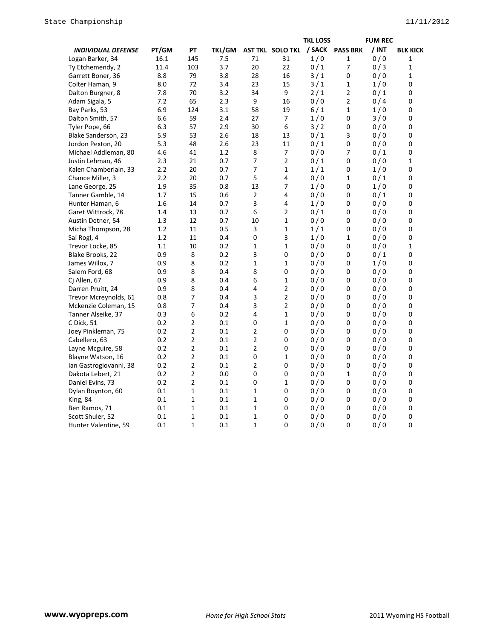|                           |       |                |        |                |                                  | <b>TKL LOSS</b> |              | <b>FUM REC</b> |                  |
|---------------------------|-------|----------------|--------|----------------|----------------------------------|-----------------|--------------|----------------|------------------|
| <b>INDIVIDUAL DEFENSE</b> | PT/GM | PT             | TKL/GM |                | AST TKL SOLO TKL / SACK PASS BRK |                 |              | / INT          | <b>BLK KICK</b>  |
| Logan Barker, 34          | 16.1  | 145            | 7.5    | 71             | 31                               | 1/0             | $\mathbf{1}$ | 0/0            | 1                |
| Ty Etchemendy, 2          | 11.4  | 103            | 3.7    | 20             | 22                               | 0/1             | 7            | 0/3            | $\mathbf{1}$     |
| Garrett Boner, 36         | 8.8   | 79             | 3.8    | 28             | 16                               | 3/1             | 0            | 0/0            | $\mathbf{1}$     |
| Colter Haman, 9           | 8.0   | 72             | 3.4    | 23             | 15                               | 3/1             | $\mathbf 1$  | 1/0            | 0                |
| Dalton Burgner, 8         | 7.8   | 70             | 3.2    | 34             | 9                                | 2/1             | $\mathbf 2$  | 0/1            | 0                |
| Adam Sigala, 5            | 7.2   | 65             | 2.3    | 9              | 16                               | 0/0             | 2            | 0/4            | 0                |
| Bay Parks, 53             | 6.9   | 124            | 3.1    | 58             | 19                               | 6/1             | $\mathbf{1}$ | 1/0            | 0                |
| Dalton Smith, 57          | 6.6   | 59             | 2.4    | 27             | $\overline{7}$                   | 1/0             | 0            | 3/0            | 0                |
| Tyler Pope, 66            | 6.3   | 57             | 2.9    | 30             | 6                                | 3/2             | 0            | 0/0            | $\pmb{0}$        |
| Blake Sanderson, 23       | 5.9   | 53             | 2.6    | 18             | 13                               | 0/1             | 3            | 0/0            | $\mathbf 0$      |
| Jordon Pexton, 20         | 5.3   | 48             | 2.6    | 23             | 11                               | 0/1             | 0            | 0/0            | 0                |
| Michael Addleman, 80      | 4.6   | 41             | 1.2    | 8              | 7                                | 0/0             | 7            | 0/1            | 0                |
| Justin Lehman, 46         | 2.3   | 21             | 0.7    | 7              | $\overline{2}$                   | 0/1             | 0            | 0/0            | $\mathbf{1}$     |
| Kalen Chamberlain, 33     | 2.2   | 20             | 0.7    | 7              | 1                                | 1/1             | 0            | 1/0            | 0                |
| Chance Miller, 3          | 2.2   | 20             | 0.7    | 5              | 4                                | 0/0             | $\mathbf{1}$ | 0/1            | 0                |
| Lane George, 25           | 1.9   | 35             | 0.8    | 13             | 7                                | 1/0             | 0            | 1/0            | 0                |
| Tanner Gamble, 14         | 1.7   | 15             | 0.6    | 2              | 4                                | 0/0             | 0            | 0/1            | 0                |
| Hunter Haman, 6           | 1.6   | 14             | 0.7    | 3              | 4                                | 1/0             | 0            | 0/0            | 0                |
| Garet Wittrock, 78        | 1.4   | 13             | 0.7    | 6              | 2                                | 0/1             | 0            | 0/0            | 0                |
| Austin Detner, 54         | 1.3   | 12             | 0.7    | 10             | $\mathbf{1}$                     | 0/0             | 0            | 0/0            | $\boldsymbol{0}$ |
| Micha Thompson, 28        | 1.2   | 11             | 0.5    | 3              | $\mathbf{1}$                     | 1/1             | 0            | 0/0            | 0                |
| Sai Rogl, 4               | 1.2   | 11             | 0.4    | 0              | 3                                | 1/0             | $\mathbf{1}$ | 0/0            | $\mathbf 0$      |
| Trevor Locke, 85          | 1.1   | 10             | 0.2    | $\mathbf{1}$   | $\mathbf{1}$                     | 0/0             | 0            | 0/0            | $\mathbf 1$      |
| Blake Brooks, 22          | 0.9   | 8              | 0.2    | 3              | 0                                | 0/0             | 0            | 0/1            | 0                |
| James Willox, 7           | 0.9   | 8              | 0.2    | $\mathbf{1}$   | $\mathbf{1}$                     | 0/0             | 0            | 1/0            | 0                |
| Salem Ford, 68            | 0.9   | 8              | 0.4    | 8              | 0                                | 0/0             | 0            | 0/0            | $\boldsymbol{0}$ |
| Cj Allen, 67              | 0.9   | 8              | 0.4    | 6              | $\mathbf{1}$                     | 0/0             | 0            | 0/0            | 0                |
| Darren Pruitt, 24         | 0.9   | 8              | 0.4    | 4              | $\overline{2}$                   | 0/0             | 0            | 0/0            | $\pmb{0}$        |
| Trevor Mcreynolds, 61     | 0.8   | 7              | 0.4    | 3              | $\overline{2}$                   | 0/0             | 0            | 0/0            | 0                |
| Mckenzie Coleman, 15      | 0.8   | 7              | 0.4    | 3              | $\overline{\mathbf{c}}$          | 0/0             | 0            | 0/0            | 0                |
| Tanner Alseike, 37        | 0.3   | 6              | 0.2    | 4              | $\mathbf{1}$                     | 0/0             | 0            | 0/0            | 0                |
| C Dick, 51                | 0.2   | $\overline{2}$ | 0.1    | 0              | $\mathbf{1}$                     | 0/0             | 0            | 0/0            | 0                |
| Joey Pinkleman, 75        | 0.2   | 2              | 0.1    | 2              | 0                                | 0/0             | 0            | 0/0            | 0                |
| Cabellero, 63             | 0.2   | 2              | 0.1    | $\overline{2}$ | 0                                | 0/0             | 0            | 0/0            | 0                |
| Layne Mcguire, 58         | 0.2   | 2              | 0.1    | $\overline{2}$ | 0                                | 0/0             | 0            | 0/0            | 0                |
| Blayne Watson, 16         | 0.2   | $\overline{2}$ | 0.1    | 0              | $\mathbf{1}$                     | 0/0             | 0            | 0/0            | 0                |
| Ian Gastrogiovanni, 38    | 0.2   | 2              | 0.1    | $\overline{2}$ | 0                                | 0/0             | 0            | 0/0            | 0                |
| Dakota Lebert, 21         | 0.2   | $\overline{2}$ | 0.0    | 0              | 0                                | 0/0             | $\mathbf{1}$ | 0/0            | 0                |
| Daniel Evins, 73          | 0.2   | $\overline{2}$ | 0.1    | 0              | $\mathbf{1}$                     | 0/0             | 0            | 0/0            | 0                |
| Dylan Boynton, 60         | 0.1   | 1              | 0.1    | $\mathbf{1}$   | 0                                | 0/0             | 0            | 0/0            | 0                |
| King, 84                  | 0.1   | 1              | 0.1    | $\mathbf{1}$   | 0                                | 0/0             | 0            | 0/0            | $\mathbf 0$      |
| Ben Ramos, 71             | 0.1   | 1              | 0.1    | $\mathbf{1}$   | 0                                | 0/0             | 0            | 0/0            | 0                |
| Scott Shuler, 52          | 0.1   | 1              | 0.1    | 1              | 0                                | 0/0             | 0            | 0/0            | 0                |
| Hunter Valentine, 59      | 0.1   | $\mathbf{1}$   | 0.1    | $\mathbf{1}$   | 0                                | 0/0             | 0            | 0/0            | 0                |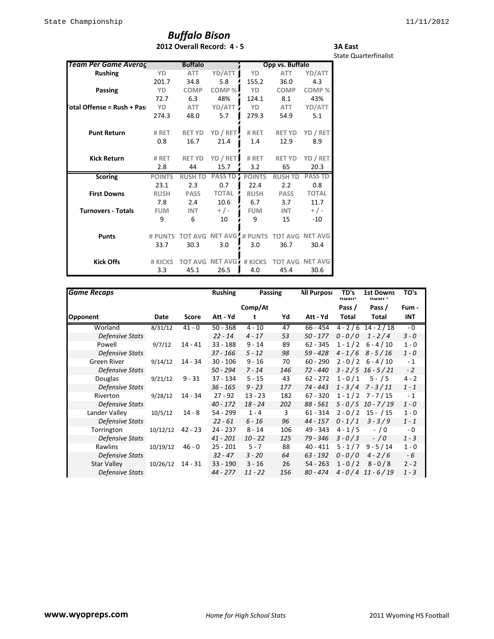## *Buffalo Bison* **2012 Overall Record: 4 - 5**

#### **3A East** State Quarterfinalist

| <b>Team Per Game Averag</b> |               | <b>Buffalo</b> |                                |               | Opp vs. Buffalo |                |
|-----------------------------|---------------|----------------|--------------------------------|---------------|-----------------|----------------|
| <b>Rushing</b>              | YD            | <b>ATT</b>     | YD/ATT                         | YD            | <b>ATT</b>      | YD/ATT         |
|                             | 201.7         | 34.8           | 5.8                            | 155.2         | 36.0            | 4.3            |
| Passing                     | YD            | <b>COMP</b>    | COMP%                          | YD            | <b>COMP</b>     | COMP%          |
|                             | 72.7          | 6.3            | 48%                            | 124.1         | 8.1             | 43%            |
| otal Offense = Rush + Pas:  | YD            | ATT            | YD/ATT                         | YD            | <b>ATT</b>      | YD/ATT         |
|                             | 274.3         | 48.0           | 5.7                            | 279.3         | 54.9            | 5.1            |
| <b>Punt Return</b>          | # RET         | <b>RET YD</b>  | YD / RET                       | # RET         | <b>RET YD</b>   | YD / RET       |
|                             | 0.8           | 16.7           | 21.4                           | 1.4           | 12.9            | 8.9            |
| <b>Kick Return</b>          | # RET         | <b>RET YD</b>  | YD / RET                       | # RET         | <b>RET YD</b>   | YD / RET       |
|                             | 2.8           | 44             | 15.7                           | 3.2           | 65              | 20.3           |
| <b>Scoring</b>              | <b>POINTS</b> | <b>RUSH TD</b> | <b>PASS TD</b>                 | <b>POINTS</b> | <b>RUSH TD</b>  | <b>PASS TD</b> |
|                             | 23.1          | 2.3            | 0.7                            | 22.4          | 2.2             | 0.8            |
| <b>First Downs</b>          | <b>RUSH</b>   | <b>PASS</b>    | <b>TOTAL</b>                   | <b>RUSH</b>   | <b>PASS</b>     | <b>TOTAL</b>   |
|                             | 7.8           | 2.4            | 10.6                           | 6.7           | 3.7             | 11.7           |
| <b>Turnovers - Totals</b>   | <b>FUM</b>    | <b>INT</b>     | $+/-$                          | <b>FUM</b>    | <b>INT</b>      | $+/-$          |
|                             | 9             | 6              | 10                             | 9             | 15              | $-10$          |
| <b>Punts</b>                | # PUNTS       |                | <b>TOT AVG NET AVG # PUNTS</b> |               | <b>TOT AVG</b>  | <b>NET AVG</b> |
|                             | 33.7          | 30.3           | 3.0                            | 3.0           | 36.7            | 30.4           |
| <b>Kick Offs</b>            | # KICKS       | <b>TOT AVG</b> | NET AVG                        | # KICKS       | <b>TOT AVG</b>  | <b>NET AVG</b> |
|                             | 3.3           | 45.1           | 26.5                           | 4.0           | 45.4            | 30.6           |

| <b>Game Recaps</b>     |          |           | <b>Rushing</b><br>Passing |           | <b>All Purpose</b> | TD's<br>nusii- | <b>1st Downs</b><br>nusii - | TO's                  |         |
|------------------------|----------|-----------|---------------------------|-----------|--------------------|----------------|-----------------------------|-----------------------|---------|
|                        |          |           |                           | Comp/At   |                    |                | Pass /                      | Pass /                | Fum -   |
| Opponent               | Date     | Score     | Att - Yd                  | t         | Yd                 | Att - Yd       | Total                       | Total                 | INT     |
| Worland                | 8/31/12  | $41 - 0$  | $50 - 368$                | $4 - 10$  | 47                 | 66 - 454       |                             | $4 - 2 / 6$ 14 - 2/18 | $-0$    |
| Defensive Stats        |          |           | $22 - 14$                 | $4 - 17$  | 53                 | $50 - 177$     | $0 - 0 / 0$                 | $1 - 2/4$             | $3 - 0$ |
| Powell                 | 9/7/12   | $14 - 41$ | $33 - 188$                | $9 - 14$  | 89                 | $62 - 345$     | $1 - 1/2$                   | $6 - 4 / 10$          | $1 - 0$ |
| Defensive Stats        |          |           | $37 - 166$                | $5 - 12$  | 98                 | $59 - 428$     |                             | $4 - 1/6$ $8 - 5/16$  | $1 - 0$ |
| Green River            | 9/14/12  | 14 - 34   | $30 - 106$                | $9 - 16$  | 70                 | $60 - 290$     | $2 - 0 / 2$                 | $6 - 4 / 10$          | $-1$    |
| Defensive Stats        |          |           | $50 - 294$                | $7 - 14$  | 146                | 72 - 440       |                             | $3 - 2/5$ 16 - 5/21   | $-2$    |
| Douglas                | 9/21/12  | $9 - 31$  | 37 - 134                  | $5 - 15$  | 43                 | $62 - 272$     | $1 - 0/1$                   | $5 - / 5$             | $4 - 2$ |
| Defensive Stats        |          |           | $36 - 165$                | $9 - 23$  | 177                | 74 - 443       | $1 - 3/4$                   | 7 - 3 / 11            | $1 - 1$ |
| Riverton               | 9/28/12  | 14 - 34   | $27 - 92$                 | $13 - 23$ | 182                | $67 - 320$     |                             | $1 - 1/2$ 7 - 7/15    | $-1$    |
| Defensive Stats        |          |           | $40 - 172$                | $18 - 24$ | 202                | 88 - 561       |                             | $5 - 0/5$ 10 - 7/19   | $1 - 0$ |
| Lander Valley          | 10/5/12  | $14 - 8$  | 54 - 299                  | $1 - 4$   | 3                  | $61 - 314$     | $2 - 0 / 2$                 | $15 - / 15$           | $1 - 0$ |
| <b>Defensive Stats</b> |          |           | $22 - 61$                 | $6 - 16$  | 96                 | $44 - 157$     | $0 - 1/1$                   | $3 - 3/9$             | $1 - 1$ |
| Torrington             | 10/12/12 | $42 - 23$ | 24 - 237                  | $8 - 14$  | 106                | 49 - 343       | $4 - 1/5$                   | $-$ / 0               | $-0$    |
| Defensive Stats        |          |           | $41 - 201$                | $10 - 22$ | 125                | 79 - 346       | $3 - 0/3$                   | $-70$                 | $1 - 3$ |
| Rawlins                | 10/19/12 | $46 - 0$  | $25 - 201$                | $5 - 7$   | 88                 | $40 - 411$     | $5 - 1/7$                   | $9 - 5 / 14$          | $1 - 0$ |
| Defensive Stats        |          |           | $32 - 47$                 | $3 - 20$  | 64                 | $63 - 192$     | $0 - 0 / 0$                 | $4 - 2/6$             | - 6     |
| <b>Star Valley</b>     | 10/26/12 | 14 - 31   | $33 - 190$                | 3 - 16    | 26                 | 54 - 263       | $1 - 0/2$                   | $8 - 0/8$             | $2 - 2$ |
| <b>Defensive Stats</b> |          |           | 44 - 277                  | $11 - 22$ | 156                | $80 - 474$     |                             | $4 - 0/4$ 11 - 6/19   | $1 - 3$ |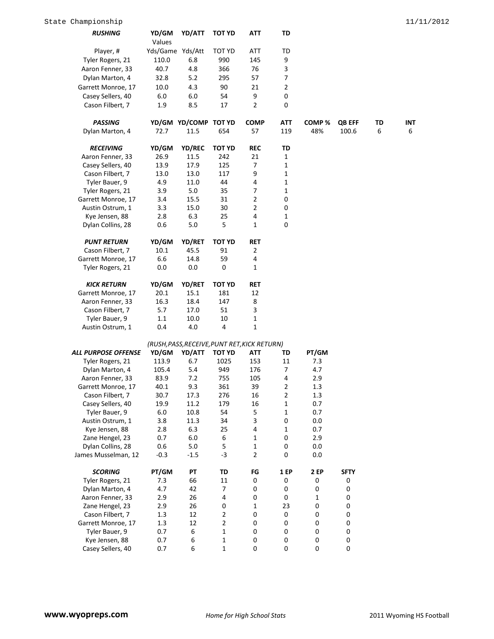| <b>RUSHING</b>             | YD/GM<br>Values  | YD/ATT                                       | <b>TOT YD</b>  | ATT                     | TD             |             |               |    |            |
|----------------------------|------------------|----------------------------------------------|----------------|-------------------------|----------------|-------------|---------------|----|------------|
| Player, #                  | Yds/Game Yds/Att |                                              | <b>TOT YD</b>  | <b>ATT</b>              | TD             |             |               |    |            |
| Tyler Rogers, 21           | 110.0            | 6.8                                          | 990            | 145                     | 9              |             |               |    |            |
| Aaron Fenner, 33           | 40.7             | 4.8                                          | 366            | 76                      | 3              |             |               |    |            |
| Dylan Marton, 4            | 32.8             | $5.2$                                        | 295            | 57                      | $\overline{7}$ |             |               |    |            |
| Garrett Monroe, 17         | 10.0             | 4.3                                          | 90             | 21                      | $\overline{2}$ |             |               |    |            |
| Casey Sellers, 40          | 6.0              | 6.0                                          | 54             | 9                       | 0              |             |               |    |            |
| Cason Filbert, 7           | 1.9              | 8.5                                          | 17             | 2                       | 0              |             |               |    |            |
|                            |                  |                                              |                |                         |                |             |               |    |            |
| <b>PASSING</b>             |                  | YD/GM YD/COMP TOT YD                         |                | <b>COMP</b>             | <b>ATT</b>     | COMP%       | <b>QB EFF</b> | TD | <b>INT</b> |
| Dylan Marton, 4            | 72.7             | 11.5                                         | 654            | 57                      | 119            | 48%         | 100.6         | 6  | 6          |
| <b>RECEIVING</b>           | YD/GM            | YD/REC                                       | <b>TOT YD</b>  | <b>REC</b>              | TD             |             |               |    |            |
| Aaron Fenner, 33           | 26.9             | 11.5                                         | 242            | 21                      | 1              |             |               |    |            |
| Casey Sellers, 40          | 13.9             | 17.9                                         | 125            | 7                       | 1              |             |               |    |            |
| Cason Filbert, 7           | 13.0             | 13.0                                         | 117            | 9                       | 1              |             |               |    |            |
| Tyler Bauer, 9             | 4.9              | 11.0                                         | 44             | $\overline{\mathbf{4}}$ | 1              |             |               |    |            |
| Tyler Rogers, 21           | 3.9              | 5.0                                          | 35             | 7                       | 1              |             |               |    |            |
| Garrett Monroe, 17         | 3.4              | 15.5                                         | 31             | 2                       | 0              |             |               |    |            |
| Austin Ostrum, 1           | 3.3              | 15.0                                         | 30             | 2                       | 0              |             |               |    |            |
| Kye Jensen, 88             | 2.8              | 6.3                                          | 25             | 4                       | 1              |             |               |    |            |
| Dylan Collins, 28          | 0.6              | 5.0                                          | 5              | $\mathbf{1}$            | 0              |             |               |    |            |
| <b>PUNT RETURN</b>         | YD/GM            | <b>YD/RET</b>                                | <b>TOT YD</b>  | <b>RET</b>              |                |             |               |    |            |
| Cason Filbert, 7           | 10.1             | 45.5                                         | 91             | $\overline{2}$          |                |             |               |    |            |
| Garrett Monroe, 17         | 6.6              | 14.8                                         | 59             | 4                       |                |             |               |    |            |
| Tyler Rogers, 21           | 0.0              | 0.0                                          | 0              | $\mathbf{1}$            |                |             |               |    |            |
|                            |                  |                                              |                |                         |                |             |               |    |            |
| <b>KICK RETURN</b>         | YD/GM            | YD/RET                                       | <b>TOT YD</b>  | <b>RET</b>              |                |             |               |    |            |
| Garrett Monroe, 17         | 20.1             | 15.1                                         | 181            | 12                      |                |             |               |    |            |
| Aaron Fenner, 33           | 16.3             | 18.4                                         | 147            | 8                       |                |             |               |    |            |
| Cason Filbert, 7           | 5.7              | 17.0                                         | 51             | 3                       |                |             |               |    |            |
| Tyler Bauer, 9             | 1.1              | 10.0                                         | 10             | $\mathbf 1$             |                |             |               |    |            |
| Austin Ostrum, 1           | 0.4              | 4.0                                          | 4              | $\mathbf 1$             |                |             |               |    |            |
|                            |                  | (RUSH, PASS, RECEIVE, PUNT RET, KICK RETURN) |                |                         |                |             |               |    |            |
| <b>ALL PURPOSE OFFENSE</b> | YD/GM            | YD/ATT                                       | <b>TOT YD</b>  | ATT                     | TD             | PT/GM       |               |    |            |
| Tyler Rogers, 21           | 113.9            | 6.7                                          | 1025           | 153                     | 11             | 7.3         |               |    |            |
| Dylan Marton, 4            | 105.4            | 5.4                                          | 949            | 176                     | 7              | 4.7         |               |    |            |
| Aaron Fenner, 33           | 83.9             | 7.2                                          | 755            | 105                     | 4              | 2.9         |               |    |            |
| Garrett Monroe, 17         | 40.1             | 9.3                                          | 361            | 39                      | $\overline{2}$ | 1.3         |               |    |            |
| Cason Filbert, 7           | 30.7             | 17.3                                         | 276            | 16                      | $\overline{2}$ | 1.3         |               |    |            |
| Casey Sellers, 40          | 19.9             | 11.2                                         | 179            | 16                      | 1              | 0.7         |               |    |            |
| Tyler Bauer, 9             | 6.0              | 10.8                                         | 54             | 5                       | 1              | 0.7         |               |    |            |
| Austin Ostrum, 1           | 3.8              | 11.3                                         | 34             | 3                       | 0              | 0.0         |               |    |            |
| Kye Jensen, 88             | 2.8              | 6.3                                          | 25             | $\overline{4}$          | 1              | 0.7         |               |    |            |
| Zane Hengel, 23            | 0.7              | 6.0                                          | 6              | 1                       | 0              | 2.9         |               |    |            |
| Dylan Collins, 28          | 0.6              | $5.0\,$                                      | 5              | $\mathbf 1$             | 0              | 0.0         |               |    |            |
| James Musselman, 12        | $-0.3$           | $-1.5$                                       | $-3$           | $\overline{2}$          | 0              | 0.0         |               |    |            |
| <b>SCORING</b>             | PT/GM            | PT                                           | TD             | FG                      | <b>1 EP</b>    | <b>2 EP</b> | <b>SFTY</b>   |    |            |
| Tyler Rogers, 21           | 7.3              | 66                                           | 11             | 0                       | 0              | 0           | 0             |    |            |
| Dylan Marton, 4            | 4.7              | 42                                           | 7              | $\pmb{0}$               | 0              | 0           | 0             |    |            |
| Aaron Fenner, 33           | 2.9              | 26                                           | 4              | 0                       | 0              | 1           | 0             |    |            |
| Zane Hengel, 23            | 2.9              | 26                                           | 0              | 1                       | 23             | 0           | $\pmb{0}$     |    |            |
| Cason Filbert, 7           | 1.3              | 12                                           | $\overline{2}$ | 0                       | 0              | 0           | 0             |    |            |
| Garrett Monroe, 17         | 1.3              | 12                                           | $\overline{2}$ | $\pmb{0}$               | 0              | 0           | $\pmb{0}$     |    |            |
| Tyler Bauer, 9             | 0.7              | 6                                            | 1              | $\pmb{0}$               | 0              | 0           | $\mathbf 0$   |    |            |
| Kye Jensen, 88             | 0.7              | 6                                            | 1              | $\pmb{0}$               | 0              | 0           | $\pmb{0}$     |    |            |
| Casey Sellers, 40          | 0.7              | 6                                            | $\mathbf{1}$   | $\mathbf 0$             | 0              | 0           | $\mathbf 0$   |    |            |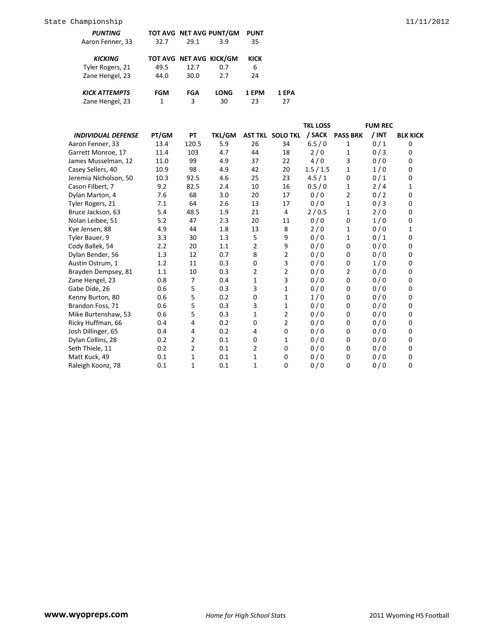| <b>PUNTING</b>       |      |                         | TOT AVG NET AVG PUNT/GM | PUNT  |       |
|----------------------|------|-------------------------|-------------------------|-------|-------|
| Aaron Fenner, 33     | 32.7 | 29.1                    | 3.9                     | 35    |       |
| <b>KICKING</b>       |      | TOT AVG NET AVG KICK/GM |                         | KICK  |       |
| Tyler Rogers, 21     | 49.5 | 12.7                    | 0.7                     | 6     |       |
| Zane Hengel, 23      | 44.0 | 30.0                    | 27                      | 24    |       |
| <b>KICK ATTEMPTS</b> | FGM  | FGA                     | LONG                    | 1 FPM | 1 EPA |
| Zane Hengel, 23      | 1    | 3                       | 30                      | 23    | 27    |

|                           |       |                |               |                |                         | <b>TKL LOSS</b> |                 | <b>FUM REC</b> |                 |
|---------------------------|-------|----------------|---------------|----------------|-------------------------|-----------------|-----------------|----------------|-----------------|
| <b>INDIVIDUAL DEFENSE</b> | PT/GM | <b>PT</b>      | <b>TKL/GM</b> |                | <b>AST TKL SOLO TKL</b> | / SACK          | <b>PASS BRK</b> | $/$ INT        | <b>BLK KICK</b> |
| Aaron Fenner, 33          | 13.4  | 120.5          | 5.9           | 26             | 34                      | 6.5/0           | 1               | 0/1            | 0               |
| Garrett Monroe, 17        | 11.4  | 103            | 4.7           | 44             | 18                      | 2/0             | 1               | 0/3            | 0               |
| James Musselman, 12       | 11.0  | 99             | 4.9           | 37             | 22                      | 4/0             | 3               | 0/0            | 0               |
| Casey Sellers, 40         | 10.9  | 98             | 4.9           | 42             | 20                      | 1.5/1.5         | $\mathbf{1}$    | 1/0            | 0               |
| Jeremia Nicholson, 50     | 10.3  | 92.5           | 4.6           | 25             | 23                      | 4.5/1           | 0               | 0/1            | 0               |
| Cason Filbert, 7          | 9.2   | 82.5           | 2.4           | 10             | 16                      | 0.5/0           | 1               | 2/4            | 1               |
| Dylan Marton, 4           | 7.6   | 68             | 3.0           | 20             | 17                      | 0/0             | 2               | 0/2            | 0               |
| Tyler Rogers, 21          | 7.1   | 64             | 2.6           | 13             | 17                      | 0/0             | $\mathbf{1}$    | 0/3            | 0               |
| Bruce Jackson, 63         | 5.4   | 48.5           | 1.9           | 21             | 4                       | 2/0.5           | $\mathbf{1}$    | 2/0            | $\mathbf 0$     |
| Nolan Leibee, 51          | 5.2   | 47             | 2.3           | 20             | 11                      | 0/0             | 0               | 1/0            | 0               |
| Kye Jensen, 88            | 4.9   | 44             | 1.8           | 13             | 8                       | 2/0             | $\mathbf{1}$    | 0/0            | 1               |
| Tyler Bauer, 9            | 3.3   | 30             | 1.3           | 5              | 9                       | 0/0             | 1               | 0/1            | $\mathbf 0$     |
| Cody Ballek, 54           | 2.2   | 20             | 1.1           | 2              | 9                       | 0/0             | 0               | 0/0            | 0               |
| Dylan Bender, 56          | 1.3   | 12             | 0.7           | 8              | 2                       | 0/0             | 0               | 0/0            | 0               |
| Austin Ostrum, 1          | 1.2   | 11             | 0.3           | 0              | 3                       | 0/0             | 0               | 1/0            | 0               |
| Brayden Dempsey, 81       | 1.1   | 10             | 0.3           | $\overline{2}$ | 2                       | 0/0             | $\overline{2}$  | 0/0            | 0               |
| Zane Hengel, 23           | 0.8   | 7              | 0.4           | 1              | 3                       | 0/0             | 0               | 0/0            | 0               |
| Gabe Dide, 26             | 0.6   | 5              | 0.3           | 3              | $\mathbf 1$             | 0/0             | 0               | 0/0            | 0               |
| Kenny Burton, 80          | 0.6   | 5              | 0.2           | 0              | 1                       | 1/0             | 0               | 0/0            | 0               |
| Brandon Foss, 71          | 0.6   | 5              | 0.3           | 3              | 1                       | 0/0             | 0               | 0/0            | 0               |
| Mike Burtenshaw, 53       | 0.6   | 5              | 0.3           | 1              | 2                       | 0/0             | 0               | 0/0            | 0               |
| Ricky Huffman, 66         | 0.4   | 4              | 0.2           | 0              | $\overline{2}$          | 0/0             | 0               | 0/0            | $\mathbf 0$     |
| Josh Dillinger, 65        | 0.4   | 4              | 0.2           | 4              | $\mathbf 0$             | 0/0             | $\Omega$        | 0/0            | 0               |
| Dylan Collins, 28         | 0.2   | $\overline{2}$ | 0.1           | 0              | 1                       | 0/0             | 0               | 0/0            | $\mathbf 0$     |
| Seth Thiele, 11           | 0.2   | $\overline{2}$ | 0.1           | 2              | $\mathbf 0$             | 0/0             | 0               | 0/0            | 0               |
| Matt Kuck, 49             | 0.1   | 1              | 0.1           | 1              | 0                       | 0/0             | 0               | 0/0            | 0               |
| Raleigh Koonz, 78         | 0.1   | 1              | 0.1           | 1              | 0                       | 0/0             | 0               | 0/0            | $\mathbf 0$     |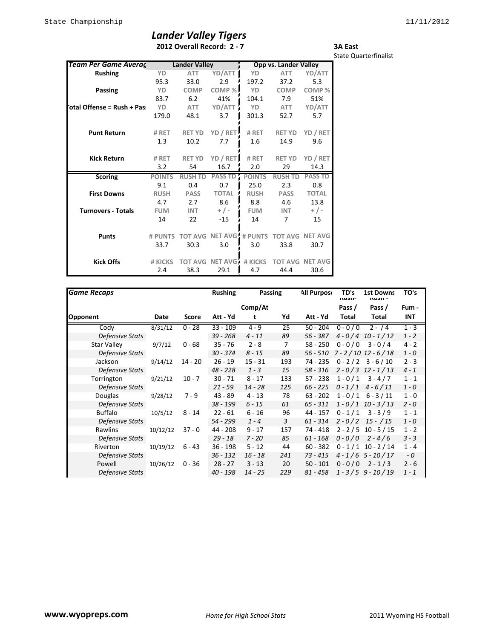## *Lander Valley Tigers*

**2012 Overall Record: 2 - 7**

**3A East** State Quarterfinalist

| <b>Team Per Game Averag</b> |               | <b>Lander Valley</b> |                         |               | <b>Opp vs. Lander Valley</b> |                        |
|-----------------------------|---------------|----------------------|-------------------------|---------------|------------------------------|------------------------|
| <b>Rushing</b>              | YD            | <b>ATT</b>           | YD/ATT                  | YD            | <b>ATT</b>                   | YD/ATT                 |
|                             | 95.3          | 33.0                 | 2.9                     | 197.2         | 37.2                         | 5.3                    |
| Passing                     | YD            | <b>COMP</b>          | COMP%                   | YD            | <b>COMP</b>                  | COMP%                  |
|                             | 83.7          | 6.2                  | 41%                     | 104.1         | 7.9                          | 51%                    |
| otal Offense = Rush + Pas:  | YD            | <b>ATT</b>           | YD/ATT                  | YD            | ATT                          | YD/ATT                 |
|                             | 179.0         | 48.1                 | 3.7                     | 301.3         | 52.7                         | 5.7                    |
| <b>Punt Return</b>          | # RET         | <b>RET YD</b>        | YD / RET                | # RET         | <b>RET YD</b>                | YD / RET               |
|                             | 1.3           | 10.2                 | 7.7                     | 1.6           | 14.9                         | 9.6                    |
| <b>Kick Return</b>          | # RET         | <b>RET YD</b>        | YD / RET                | # RET         | <b>RET YD</b>                | YD / RET               |
|                             | 3.2           | 54                   | 16.7                    | 2.0           | 29                           | 14.3                   |
| <b>Scoring</b>              | <b>POINTS</b> | <b>RUSH TD</b>       | <b>PASS TD</b>          | <b>POINTS</b> | <b>RUSH TD</b>               | <b>PASS TD</b>         |
|                             | 9.1           | 0.4                  | 0.7                     | 25.0          | 2.3                          | 0.8                    |
| <b>First Downs</b>          | <b>RUSH</b>   | <b>PASS</b>          | <b>TOTAL</b>            | <b>RUSH</b>   | <b>PASS</b>                  | <b>TOTAL</b>           |
|                             | 4.7           | 2.7                  | 8.6                     | 8.8           | 4.6                          | 13.8                   |
| <b>Turnovers - Totals</b>   | <b>FUM</b>    | <b>INT</b>           | $+/-$                   | <b>FUM</b>    | <b>INT</b>                   | $+$ / -                |
|                             | 14            | 22                   | $-15$                   | 14            | 7                            | 15                     |
| <b>Punts</b>                | # PUNTS       |                      | TOT AVG NET AVG # PUNTS |               |                              | <b>TOT AVG NET AVG</b> |
|                             | 33.7          | 30.3                 | 3.0                     | 3.0           | 33.8                         | 30.7                   |
| <b>Kick Offs</b>            | # KICKS       | <b>TOT AVG</b>       | NET AVG                 | # KICKS       | <b>TOT AVG</b>               | NET AVG                |
|                             | 2.4           | 38.3                 | 29.1                    | 4.7           | 44.4                         | 30.6                   |

| <b>Game Recaps</b>     |          |          | <b>Rushing</b> |           | Passing | <b>All Purpose</b> | TD's<br>nusii- | <b>1st Downs</b><br>ทนวแ - | TO's    |
|------------------------|----------|----------|----------------|-----------|---------|--------------------|----------------|----------------------------|---------|
|                        |          |          |                | Comp/At   |         |                    | Pass /         | Pass /                     | Fum -   |
| <b>Opponent</b>        | Date     | Score    | Att - Yd       |           | Yd      | Att - Yd           | Total          | Total                      | INT     |
| Cody                   | 8/31/12  | $0 - 28$ | $33 - 109$     | $4 - 9$   | 25      | $50 - 204$         | $0 - 0 / 0$    | $2 - 14$                   | $1 - 3$ |
| Defensive Stats        |          |          | 39 - 268       | $4 - 11$  | 89      | 56 - 387           |                | $4 - 0/4$ 10 - 1/12        | $1 - 2$ |
| <b>Star Valley</b>     | 9/7/12   | $0 - 68$ | $35 - 76$      | $2 - 8$   | 7       | $58 - 250$         | $0 - 0 / 0$    | $3 - 0/4$                  | $4 - 2$ |
| <b>Defensive Stats</b> |          |          | $30 - 374$     | $8 - 15$  | 89      | 56 - 510           |                | $7 - 2 / 10$ 12 - 6/18     | $1 - 0$ |
| Jackson                | 9/14/12  | 14 - 20  | $26 - 19$      | $15 - 31$ | 193     | 74 - 235           |                | $0 - 2/2$ 3 - 6/10         | $2 - 3$ |
| Defensive Stats        |          |          | $48 - 228$     | $1 - 3$   | 15      | $58 - 316$         |                | $2 - 0/3$ 12 - 1/13        | $4 - 1$ |
| Torrington             | 9/21/12  | $10 - 7$ | $30 - 71$      | $8 - 17$  | 133     | $57 - 238$         | $1 - 0/1$      | $3 - 4/7$                  | $1 - 1$ |
| <b>Defensive Stats</b> |          |          | $21 - 59$      | $14 - 28$ | 125     | $66 - 225$         | $0 - 1/1$      | $4 - 6/11$                 | $1 - 0$ |
| Douglas                | 9/28/12  | $7 - 9$  | $43 - 89$      | $4 - 13$  | 78      | $63 - 202$         |                | $1 - 0/1$ 6 - 3/11         | $1 - 0$ |
| Defensive Stats        |          |          | 38 - 199       | $6 - 15$  | 61      | 65 - 311           |                | $1 - 0/1$ 10 - 3/13        | $2 - 0$ |
| <b>Buffalo</b>         | 10/5/12  | 8 - 14   | $22 - 61$      | 6 - 16    | 96      | 44 - 157           | $0 - 1/1$      | $3 - 3/9$                  | $1 - 1$ |
| Defensive Stats        |          |          | 54 - 299       | $1 - 4$   | 3       | $61 - 314$         | $2 - 0/2$      | 15 - / 15                  | $1 - 0$ |
| <b>Rawlins</b>         | 10/12/12 | $37 - 0$ | 44 - 208       | $9 - 17$  | 157     | $74 - 418$         |                | $2 - 2 / 5$ 10 - 5 / 15    | $1 - 2$ |
| Defensive Stats        |          |          | $29 - 18$      | $7 - 20$  | 85      | $61 - 168$         | $0 - 0/0$      | $2 - 4/6$                  | $3 - 3$ |
| Riverton               | 10/19/12 | $6 - 43$ | $36 - 198$     | $5 - 12$  | 44      | $60 - 382$         |                | $0 - 1/1$ 10 - 2/14        | $1 - 4$ |
| <b>Defensive Stats</b> |          |          | $36 - 132$     | $16 - 18$ | 241     | 73 - 415           |                | $4 - 1/6$ 5 - 10/17        | - 0     |
| Powell                 | 10/26/12 | $0 - 36$ | $28 - 27$      | $3 - 13$  | 20      | $50 - 101$         | $0 - 0 / 0$    | $2 - 1/3$                  | $2 - 6$ |
| Defensive Stats        |          |          | 40 - 198       | $14 - 25$ | 229     | $81 - 458$         |                | $1 - 3/5$ 9 - 10/19        | $1 - 1$ |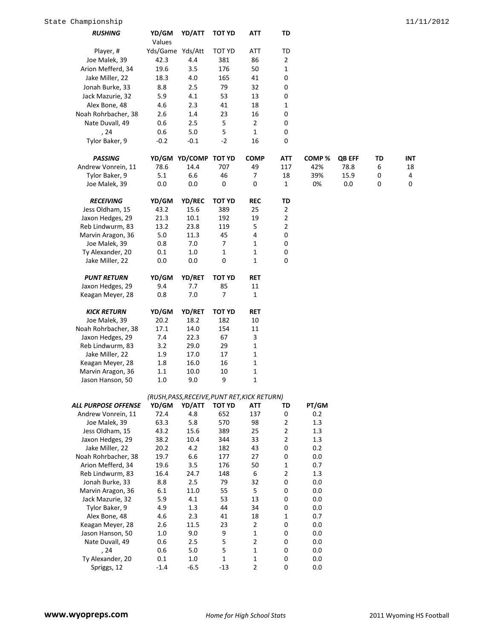| <b>RUSHING</b>             | YD/GM<br>Values  | YD/ATT                                       | <b>TOT YD</b>    | ATT            | TD             |         |               |    |     |
|----------------------------|------------------|----------------------------------------------|------------------|----------------|----------------|---------|---------------|----|-----|
| Player, #                  | Yds/Game Yds/Att |                                              | TOT YD           | ATT            | TD             |         |               |    |     |
| Joe Malek, 39              | 42.3             | 4.4                                          | 381              | 86             | $\mathbf{2}$   |         |               |    |     |
| Arion Mefferd, 34          | 19.6             | 3.5                                          | 176              | 50             | $\mathbf 1$    |         |               |    |     |
| Jake Miller, 22            |                  |                                              |                  |                |                |         |               |    |     |
|                            | 18.3             | 4.0                                          | 165              | 41             | 0              |         |               |    |     |
| Jonah Burke, 33            | 8.8              | 2.5                                          | 79               | 32             | 0              |         |               |    |     |
| Jack Mazurie, 32           | 5.9              | 4.1                                          | 53               | 13             | 0              |         |               |    |     |
| Alex Bone, 48              | 4.6              | 2.3                                          | 41               | 18             | $\mathbf{1}$   |         |               |    |     |
| Noah Rohrbacher, 38        | 2.6              | 1.4                                          | 23               | 16             | 0              |         |               |    |     |
| Nate Duvall, 49            | 0.6              | 2.5                                          | 5                | $\overline{2}$ | 0              |         |               |    |     |
| , 24                       | 0.6              | 5.0                                          | 5                | $\mathbf{1}$   | 0              |         |               |    |     |
| Tylor Baker, 9             | $-0.2$           | $-0.1$                                       | $-2$             | 16             | 0              |         |               |    |     |
| <b>PASSING</b>             |                  | YD/GM YD/COMP TOT YD                         |                  | <b>COMP</b>    | <b>ATT</b>     | COMP%   | <b>QB EFF</b> | TD | INT |
| Andrew Vonrein, 11         | 78.6             | 14.4                                         | 707              | 49             | 117            | 42%     | 78.8          | 6  | 18  |
| Tylor Baker, 9             | 5.1              | 6.6                                          | 46               | $\overline{7}$ | 18             | 39%     | 15.9          | 0  | 4   |
| Joe Malek, 39              | 0.0              | 0.0                                          | 0                | $\pmb{0}$      | $\mathbf{1}$   | 0%      | 0.0           | 0  | 0   |
| <b>RECEIVING</b>           | YD/GM            | YD/REC                                       | <b>TOT YD</b>    | <b>REC</b>     | TD             |         |               |    |     |
| Jess Oldham, 15            | 43.2             | 15.6                                         | 389              | 25             | $\overline{2}$ |         |               |    |     |
| Jaxon Hedges, 29           | 21.3             | 10.1                                         | 192              | 19             | $\overline{2}$ |         |               |    |     |
| Reb Lindwurm, 83           | 13.2             | 23.8                                         | 119              | 5              | $\overline{2}$ |         |               |    |     |
| Marvin Aragon, 36          | 5.0              | 11.3                                         | 45               | 4              | 0              |         |               |    |     |
| Joe Malek, 39              | 0.8              | 7.0                                          | 7                | 1              | 0              |         |               |    |     |
| Ty Alexander, 20           | 0.1              | 1.0                                          | $\mathbf 1$      | 1              | 0              |         |               |    |     |
| Jake Miller, 22            | 0.0              | 0.0                                          | $\boldsymbol{0}$ | 1              | $\mathbf 0$    |         |               |    |     |
| <b>PUNT RETURN</b>         | YD/GM            | YD/RET                                       | <b>TOT YD</b>    | <b>RET</b>     |                |         |               |    |     |
| Jaxon Hedges, 29           | 9.4              | 7.7                                          | 85               | 11             |                |         |               |    |     |
| Keagan Meyer, 28           | 0.8              | 7.0                                          | 7                | 1              |                |         |               |    |     |
| <b>KICK RETURN</b>         | YD/GM            | YD/RET                                       | TOT YD           | <b>RET</b>     |                |         |               |    |     |
| Joe Malek, 39              | 20.2             | 18.2                                         | 182              | 10             |                |         |               |    |     |
| Noah Rohrbacher, 38        | 17.1             | 14.0                                         | 154              | 11             |                |         |               |    |     |
| Jaxon Hedges, 29           | 7.4              | 22.3                                         | 67               | 3              |                |         |               |    |     |
| Reb Lindwurm, 83           | 3.2              | 29.0                                         | 29               | 1              |                |         |               |    |     |
| Jake Miller, 22            | 1.9              | 17.0                                         | 17               | 1              |                |         |               |    |     |
| Keagan Meyer, 28           | 1.8              | 16.0                                         | 16               | $\mathbf 1$    |                |         |               |    |     |
| Marvin Aragon, 36          | 1.1              | 10.0                                         | 10               | 1              |                |         |               |    |     |
| Jason Hanson, 50           | 1.0              | 9.0                                          | 9                | 1              |                |         |               |    |     |
|                            |                  | (RUSH, PASS, RECEIVE, PUNT RET, KICK RETURN) |                  |                |                |         |               |    |     |
| <b>ALL PURPOSE OFFENSE</b> | YD/GM            | YD/ATT                                       | <b>TOT YD</b>    | <b>ATT</b>     | TD             | PT/GM   |               |    |     |
| Andrew Vonrein, 11         | 72.4             | 4.8                                          | 652              | 137            | 0              | 0.2     |               |    |     |
| Joe Malek, 39              | 63.3             | 5.8                                          | 570              | 98             | $\overline{2}$ | 1.3     |               |    |     |
| Jess Oldham, 15            | 43.2             | 15.6                                         | 389              | 25             | $\overline{2}$ | 1.3     |               |    |     |
| Jaxon Hedges, 29           | 38.2             | 10.4                                         | 344              | 33             | $\overline{2}$ | 1.3     |               |    |     |
| Jake Miller, 22            | 20.2             | 4.2                                          | 182              | 43             | 0              | 0.2     |               |    |     |
| Noah Rohrbacher, 38        | 19.7             | 6.6                                          | 177              | 27             | 0              | 0.0     |               |    |     |
| Arion Mefferd, 34          | 19.6             | 3.5                                          | 176              | 50             | $\mathbf 1$    | 0.7     |               |    |     |
| Reb Lindwurm, 83           | 16.4             | 24.7                                         | 148              | 6              | $\overline{2}$ | 1.3     |               |    |     |
| Jonah Burke, 33            | 8.8              | $2.5\,$                                      | 79               | 32             | 0              | 0.0     |               |    |     |
| Marvin Aragon, 36          | 6.1              | 11.0                                         | 55               | 5              | 0              | $0.0\,$ |               |    |     |
| Jack Mazurie, 32           | 5.9              | 4.1                                          | 53               | 13             | 0              | 0.0     |               |    |     |
| Tylor Baker, 9             | 4.9              | 1.3                                          | 44               | 34             | 0              | 0.0     |               |    |     |
| Alex Bone, 48              | 4.6              | 2.3                                          | 41               | 18             | $\mathbf{1}$   | 0.7     |               |    |     |
| Keagan Meyer, 28           | 2.6              | 11.5                                         | 23               | 2              | 0              | 0.0     |               |    |     |
| Jason Hanson, 50           | 1.0              | 9.0                                          | 9                | $\mathbf 1$    | 0              | 0.0     |               |    |     |
| Nate Duvall, 49            | 0.6              | 2.5                                          | 5                | 2              | 0              | $0.0\,$ |               |    |     |
| , 24                       | 0.6              | 5.0                                          | 5                | $\mathbf 1$    | 0              | 0.0     |               |    |     |
| Ty Alexander, 20           | 0.1              | 1.0                                          | 1                | 1              | 0              | 0.0     |               |    |     |
| Spriggs, 12                | $-1.4$           | $-6.5$                                       | $-13$            | $\overline{2}$ | 0              | 0.0     |               |    |     |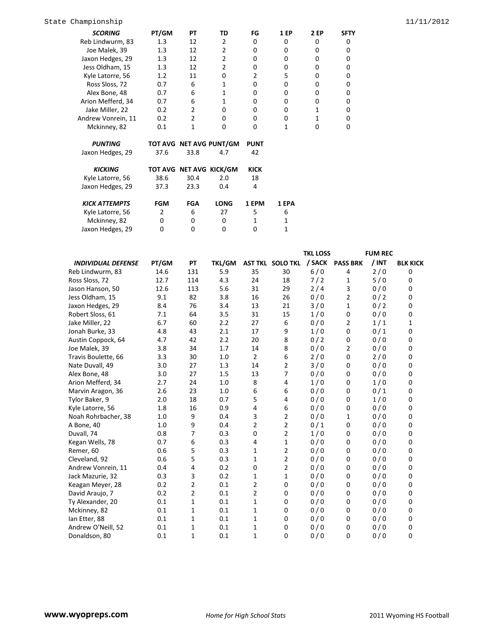| State Championship |                    |       |    |    |    |             |          |             | 11/11/2012 |
|--------------------|--------------------|-------|----|----|----|-------------|----------|-------------|------------|
|                    | <b>SCORING</b>     | PT/GM | PТ | TD | FG | <b>1 EP</b> | 2 EP     | <b>SFTY</b> |            |
|                    | Reb Lindwurm, 83   | 1.3   | 12 |    | 0  | 0           | 0        | 0           |            |
|                    | Joe Malek, 39      | 1.3   | 12 |    |    | 0           |          |             |            |
|                    | Jaxon Hedges, 29   | 1.3   | 12 | 2  |    | 0           |          |             |            |
|                    | Jess Oldham, 15    | 1.3   | 12 |    | 0  | 0           | 0        | 0           |            |
|                    | Kyle Latorre, 56   | 1.2   | 11 | 0  |    |             | 0        | O           |            |
|                    | Ross Sloss, 72     | 0.7   | 6  |    |    | 0           |          |             |            |
|                    | Alex Bone, 48      | 0.7   | 6  |    |    | 0           |          |             |            |
|                    | Arion Mefferd, 34  | 0.7   | 6  |    | 0  | 0           | $\Omega$ | 0           |            |
|                    | Jake Miller, 22    | 0.2   |    | 0  | 0  | 0           |          | O           |            |
|                    | Andrew Vonrein, 11 | 0.2   |    | 0  | 0  | 0           |          |             |            |
|                    | Mckinney, 82       | 0.1   |    |    |    |             |          |             |            |

| <b>PUNTING</b>       |            |                         | TOT AVG NET AVG PUNT/GM | <b>PUNT</b> |       |
|----------------------|------------|-------------------------|-------------------------|-------------|-------|
| Jaxon Hedges, 29     | 37.6       | 33.8                    | 4.7                     | 42          |       |
| <b>KICKING</b>       |            | TOT AVG NET AVG KICK/GM |                         | KICK        |       |
| Kyle Latorre, 56     | 38.6       | 30.4                    | 2.0                     | 18          |       |
| Jaxon Hedges, 29     | 37.3       | 23.3                    | 0.4                     | 4           |       |
| <b>KICK ATTEMPTS</b> | <b>FGM</b> | FGA                     | <b>LONG</b>             | 1 EPM       | 1 EPA |
| Kyle Latorre, 56     | 2          | 6                       | 27                      | 5           | 6     |
| .<br>$\sim$          | $\sim$     |                         |                         |             |       |

| Kyle Latorre, 56 |  |  |  |
|------------------|--|--|--|
| Mckinney, 82     |  |  |  |
| Jaxon Hedges, 29 |  |  |  |
|                  |  |  |  |

|                           |       |             |               |                |                  | <b>TKL LOSS</b> |                 | <b>FUM REC</b> |                 |
|---------------------------|-------|-------------|---------------|----------------|------------------|-----------------|-----------------|----------------|-----------------|
| <b>INDIVIDUAL DEFENSE</b> | PT/GM | PT          | <b>TKL/GM</b> |                | AST TKL SOLO TKL | / SACK          | <b>PASS BRK</b> | $/$ INT        | <b>BLK KICK</b> |
| Reb Lindwurm, 83          | 14.6  | 131         | 5.9           | 35             | 30               | 6/0             | 4               | 2/0            | 0               |
| Ross Sloss, 72            | 12.7  | 114         | 4.3           | 24             | 18               | 7/2             | 1               | 5/0            | 0               |
| Jason Hanson, 50          | 12.6  | 113         | 5.6           | 31             | 29               | 2/4             | 3               | 0/0            | 0               |
| Jess Oldham, 15           | 9.1   | 82          | 3.8           | 16             | 26               | 0/0             | 2               | 0/2            | 0               |
| Jaxon Hedges, 29          | 8.4   | 76          | 3.4           | 13             | 21               | 3/0             | 1               | 0/2            | 0               |
| Robert Sloss, 61          | 7.1   | 64          | 3.5           | 31             | 15               | 1/0             | 0               | 0/0            | 0               |
| Jake Miller, 22           | 6.7   | 60          | 2.2           | 27             | 6                | 0/0             | 2               | 1/1            | 1               |
| Jonah Burke, 33           | 4.8   | 43          | 2.1           | 17             | 9                | 1/0             | 0               | 0/1            | 0               |
| Austin Coppock, 64        | 4.7   | 42          | 2.2           | 20             | 8                | 0/2             | 0               | 0/0            | 0               |
| Joe Malek, 39             | 3.8   | 34          | 1.7           | 14             | 8                | 0/0             | 2               | 0/0            | 0               |
| Travis Boulette, 66       | 3.3   | 30          | 1.0           | $\overline{2}$ | 6                | 2/0             | 0               | 2/0            | 0               |
| Nate Duvall, 49           | 3.0   | 27          | 1.3           | 14             | $\overline{2}$   | 3/0             | 0               | 0/0            | 0               |
| Alex Bone, 48             | 3.0   | 27          | 1.5           | 13             | 7                | 0/0             | 0               | 0/0            | 0               |
| Arion Mefferd, 34         | 2.7   | 24          | 1.0           | 8              | 4                | 1/0             | 0               | 1/0            | 0               |
| Marvin Aragon, 36         | 2.6   | 23          | 1.0           | 6              | 6                | 0/0             | 0               | 0/1            | 0               |
| Tylor Baker, 9            | 2.0   | 18          | 0.7           | 5              | 4                | 0/0             | 0               | 1/0            | 0               |
| Kyle Latorre, 56          | 1.8   | 16          | 0.9           | 4              | 6                | 0/0             | 0               | 0/0            | 0               |
| Noah Rohrbacher, 38       | 1.0   | 9           | 0.4           | 3              | $\overline{2}$   | 0/0             | 1               | 0/0            | 0               |
| A Bone, 40                | 1.0   | 9           | 0.4           | 2              | $\overline{2}$   | 0/1             | 0               | 0/0            | 0               |
| Duvall, 74                | 0.8   | 7           | 0.3           | $\Omega$       | $\overline{2}$   | 1/0             | 0               | 0/0            | 0               |
| Kegan Wells, 78           | 0.7   | 6           | 0.3           | 4              | 1                | 0/0             | $\mathbf 0$     | 0/0            | 0               |
| Remer, 60                 | 0.6   | 5           | 0.3           | 1              | 2                | 0/0             | 0               | 0/0            | 0               |
| Cleveland, 92             | 0.6   | 5           | 0.3           | 1              | 2                | 0/0             | 0               | 0/0            | 0               |
| Andrew Vonrein, 11        | 0.4   | 4           | 0.2           | 0              | $\overline{2}$   | 0/0             | 0               | 0/0            | 0               |
| Jack Mazurie, 32          | 0.3   | 3           | 0.2           | 1              | $\mathbf{1}$     | 0/0             | 0               | 0/0            | 0               |
| Keagan Meyer, 28          | 0.2   | 2           | 0.1           | 2              | 0                | 0/0             | 0               | 0/0            | 0               |
| David Araujo, 7           | 0.2   | 2           | 0.1           | $\overline{2}$ | 0                | 0/0             | 0               | 0/0            | 0               |
| Ty Alexander, 20          | 0.1   | 1           | 0.1           | 1              | 0                | 0/0             | 0               | 0/0            | 0               |
| Mckinney, 82              | 0.1   | $\mathbf 1$ | 0.1           | 1              | 0                | 0/0             | 0               | 0/0            | 0               |
| lan Etter, 88             | 0.1   | $\mathbf 1$ | 0.1           | 1              | 0                | 0/0             | 0               | 0/0            | 0               |
| Andrew O'Neill, 52        | 0.1   | 1           | 0.1           | $\mathbf{1}$   | 0                | 0/0             | $\mathbf 0$     | 0/0            | 0               |
| Donaldson, 80             | 0.1   | $\mathbf 1$ | 0.1           | 1              | 0                | 0/0             | 0               | 0/0            | 0               |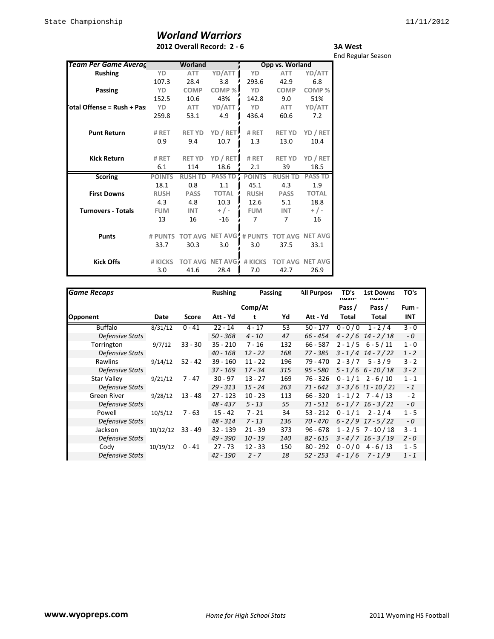## *Worland Warriors* **2012 Overall Record: 2 - 6**

| <b>3A West</b>            |  |
|---------------------------|--|
| <b>End Regular Season</b> |  |

| <u>Team Per Game Averaç</u> |               | Worland        |                        |               | Opp vs. Worland |                        |
|-----------------------------|---------------|----------------|------------------------|---------------|-----------------|------------------------|
| <b>Rushing</b>              | YD            | <b>ATT</b>     | YD/ATT                 | YD            | <b>ATT</b>      | YD/ATT                 |
|                             | 107.3         | 28.4           | 3.8                    | 293.6         | 42.9            | 6.8                    |
| Passing                     | YD.           | <b>COMP</b>    | COMP%                  | YD            | <b>COMP</b>     | COMP%                  |
|                             | 152.5         | 10.6           | 43%                    | 142.8         | 9.0             | 51%                    |
| otal Offense = Rush + Pas:  | YD            | <b>ATT</b>     | YD/ATT                 | YD            | ATT             | YD/ATT                 |
|                             | 259.8         | 53.1           | 4.9                    | 436.4         | 60.6            | 7.2                    |
| <b>Punt Return</b>          | # RET         | <b>RET YD</b>  | YD / RET               | # RET         | <b>RET YD</b>   | YD / RET               |
|                             | 0.9           | 9.4            | 10.7                   | 1.3           | 13.0            | 10.4                   |
| <b>Kick Return</b>          | # RET         | <b>RET YD</b>  | YD / RET               | # RET         | RET YD          | YD / RET               |
|                             | 6.1           | 114            | 18.6                   | 2.1           | 39              | 18.5                   |
| <b>Scoring</b>              | <b>POINTS</b> | <b>RUSH TD</b> | <b>PASS TD</b>         | <b>POINTS</b> | <b>RUSH TD</b>  | <b>PASS TD</b>         |
|                             | 18.1          | 0.8            | 1.1                    | 45.1          | 4.3             | 1.9                    |
| <b>First Downs</b>          | <b>RUSH</b>   | <b>PASS</b>    | <b>TOTAL</b>           | <b>RUSH</b>   | <b>PASS</b>     | <b>TOTAL</b>           |
|                             | 4.3           | 4.8            | 10.3                   | 12.6          | 5.1             | 18.8                   |
| <b>Turnovers - Totals</b>   | <b>FUM</b>    | <b>INT</b>     | $+/-$                  | <b>FUM</b>    | <b>INT</b>      | $+$ / -                |
|                             | 13            | 16             | $-16$                  | 7             | $\overline{7}$  | 16                     |
| <b>Punts</b>                | # PUNTS       | <b>TOT AVG</b> | <b>NET AVG # PUNTS</b> |               |                 | <b>TOT AVG NET AVG</b> |
|                             | 33.7          | 30.3           | 3.0                    | 3.0           | 37.5            | 33.1                   |
| <b>Kick Offs</b>            | # KICKS       |                | TOT AVG NFT AVG        | # KICKS       |                 | <b>TOT AVG NET AVG</b> |
|                             | 3.0           | 41.6           | 28.4                   | 7.0           | 42.7            | 26.9                   |

| <b>Game Recaps</b>     |          |            | <b>Rushing</b> |           | <b>Passing</b> | <b>All Purpose</b> | TD's<br>nusii-      | <b>1st Downs</b><br>nusii - | TO's    |
|------------------------|----------|------------|----------------|-----------|----------------|--------------------|---------------------|-----------------------------|---------|
|                        |          |            |                | Comp/At   |                |                    | Pass /              | Pass /                      | Fum -   |
| <b>Opponent</b>        | Date     | Score      | Att - Yd       | t         | Yd             | Att - Yd           | Total               | Total                       | INT     |
| <b>Buffalo</b>         | 8/31/12  | $0 - 41$   | $22 - 14$      | $4 - 17$  | 53             | $50 - 177$         | $0 - 0 / 0$         | $1 - 2/4$                   | $3 - 0$ |
| Defensive Stats        |          |            | $50 - 368$     | $4 - 10$  | 47             | $66 - 454$         |                     | $4 - 2/6$ 14 - 2/18         | $-0$    |
| Torrington             | 9/7/12   | $33 - 30$  | $35 - 210$     | $7 - 16$  | 132            | $66 - 587$         |                     | $2 - 1/5$ 6 - 5 / 11        | $1 - 0$ |
| Defensive Stats        |          |            | $40 - 168$     | $12 - 22$ | 168            | 77 - 385           |                     | $3 - 1/4$ 14 - 7/22         | $1 - 2$ |
| Rawlins                | 9/14/12  | $52 - 42$  | $39 - 160$     | $11 - 22$ | 196            | 79 - 470           | $2 - 3/7$           | $5 - 3/9$                   | $3 - 2$ |
| Defensive Stats        |          | $37 - 169$ | $17 - 34$      | 315       | $95 - 580$     |                    | $5 - 1/6$ 6 - 10/18 | $3 - 2$                     |         |
| Star Valley            | 9/21/12  | 7 - 47     | $30 - 97$      | $13 - 27$ | 169            | 76 - 326           |                     | $0 - 1/1$ 2 - 6/10          | $1 - 1$ |
| <b>Defensive Stats</b> |          |            | $29 - 313$     | $15 - 24$ | 263            | 71 - 642           |                     | $3 - 3/6$ $11 - 10/21$      | $-1$    |
| Green River            | 9/28/12  | $13 - 48$  | $27 - 123$     | $10 - 23$ | 113            | $66 - 320$         |                     | $1 - 1/2$ 7 - 4/13          | $-2$    |
| Defensive Stats        |          |            | $48 - 437$     | $5 - 13$  | 55             | $71 - 511$         |                     | $6 - 1/7$ 16 - 3/21         | $-0$    |
| Powell                 | 10/5/12  | $7 - 63$   | $15 - 42$      | $7 - 21$  | 34             | $53 - 212$         | $0 - 1/1$           | $2 - 2/4$                   | $1 - 5$ |
| <b>Defensive Stats</b> |          |            | $48 - 314$     | $7 - 13$  | 136            | $70 - 470$         |                     | $6 - 2/9$ 17 - 5/22         | $-0$    |
| Jackson                | 10/12/12 | $33 - 49$  | $32 - 139$     | $21 - 39$ | 373            | $96 - 678$         |                     | $1 - 2 / 5$ 7 - 10 / 18     | $3 - 1$ |
| Defensive Stats        |          |            | $49 - 390$     | $10 - 19$ | 140            | $82 - 615$         |                     | $3 - 4/7$ 16 - 3/19         | $2 - 0$ |
| Cody                   | 10/19/12 | $0 - 41$   | $27 - 73$      | $12 - 33$ | 150            | $80 - 292$         | $0 - 0 / 0$         | $4 - 6/13$                  | $1 - 5$ |
| <b>Defensive Stats</b> |          |            | $42 - 190$     | $2 - 7$   | 18             | $52 - 253$         | $4 - 1/6$           | $7 - 1/9$                   | $1 - 1$ |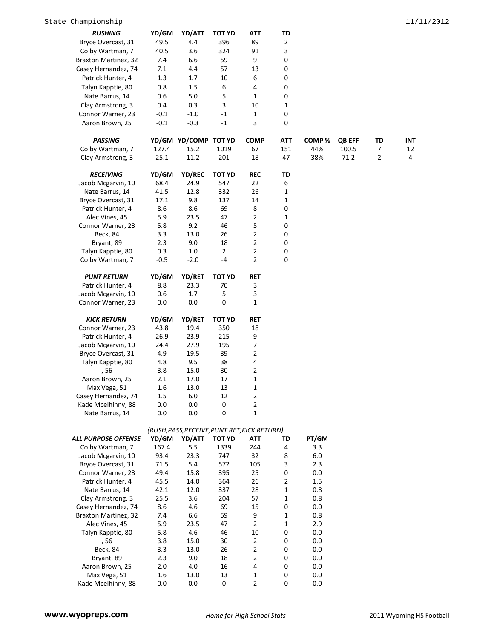| <b>RUSHING</b>                                 | YD/GM          | YD/ATT                                       | TOT YD                | ATT            | TD           |              |               |    |     |
|------------------------------------------------|----------------|----------------------------------------------|-----------------------|----------------|--------------|--------------|---------------|----|-----|
| Bryce Overcast, 31                             | 49.5           | 4.4                                          | 396                   | 89             | $\mathbf{2}$ |              |               |    |     |
| Colby Wartman, 7                               | 40.5           | 3.6                                          | 324                   | 91             | 3            |              |               |    |     |
| Braxton Martinez, 32                           | 7.4            | 6.6                                          | 59                    | 9              | 0            |              |               |    |     |
| Casey Hernandez, 74                            | 7.1            | 4.4                                          | 57                    | 13             | 0            |              |               |    |     |
| Patrick Hunter, 4                              | 1.3            | 1.7                                          | 10                    | 6              | 0            |              |               |    |     |
| Talyn Kapptie, 80                              | 0.8            | 1.5                                          | 6                     | 4              | 0            |              |               |    |     |
| Nate Barrus, 14                                | 0.6            | 5.0                                          | 5                     | $\mathbf{1}$   | 0            |              |               |    |     |
| Clay Armstrong, 3                              | 0.4            | 0.3                                          | 3                     | 10             | 1            |              |               |    |     |
| Connor Warner, 23                              | $-0.1$         | $-1.0$                                       | $-1$                  | 1              | 0            |              |               |    |     |
| Aaron Brown, 25                                | $-0.1$         | $-0.3$                                       | $-1$                  | 3              | $\mathbf 0$  |              |               |    |     |
|                                                |                |                                              |                       |                |              |              |               |    |     |
| <b>PASSING</b>                                 |                | YD/GM YD/COMP TOT YD                         |                       | <b>COMP</b>    | <b>ATT</b>   | COMP%        | <b>QB EFF</b> | TD | INT |
| Colby Wartman, 7                               | 127.4          | 15.2                                         | 1019                  | 67             | 151          | 44%          | 100.5         | 7  | 12  |
| Clay Armstrong, 3                              | 25.1           | 11.2                                         | 201                   | 18             | 47           | 38%          | 71.2          | 2  | 4   |
| <b>RECEIVING</b>                               | YD/GM          | <b>YD/REC</b>                                | <b>TOT YD</b>         | <b>REC</b>     | TD           |              |               |    |     |
| Jacob Mcgarvin, 10                             | 68.4           | 24.9                                         | 547                   | 22             | 6            |              |               |    |     |
| Nate Barrus, 14                                | 41.5           | 12.8                                         | 332                   | 26             | 1            |              |               |    |     |
| Bryce Overcast, 31                             | 17.1           | 9.8                                          | 137                   | 14             | 1            |              |               |    |     |
| Patrick Hunter, 4                              | 8.6            | 8.6                                          | 69                    | 8              | 0            |              |               |    |     |
| Alec Vines, 45                                 | 5.9            | 23.5                                         | 47                    | $\overline{2}$ | 1            |              |               |    |     |
| Connor Warner, 23                              | 5.8            | 9.2                                          | 46                    | 5              | 0            |              |               |    |     |
| Beck, 84                                       | 3.3            | 13.0                                         | 26                    | $\overline{2}$ | 0            |              |               |    |     |
| Bryant, 89                                     | 2.3            | 9.0                                          | 18                    | $\mathbf 2$    | 0            |              |               |    |     |
| Talyn Kapptie, 80                              | 0.3            | 1.0                                          | $\overline{2}$        | $\overline{2}$ | 0            |              |               |    |     |
| Colby Wartman, 7                               | $-0.5$         | $-2.0$                                       | -4                    | $\overline{2}$ | $\mathbf 0$  |              |               |    |     |
|                                                |                |                                              |                       |                |              |              |               |    |     |
| <b>PUNT RETURN</b>                             | YD/GM          | <b>YD/RET</b>                                | <b>TOT YD</b>         | RET            |              |              |               |    |     |
| Patrick Hunter, 4                              | 8.8            | 23.3                                         | 70                    | 3              |              |              |               |    |     |
| Jacob Mcgarvin, 10                             | 0.6            | 1.7                                          | 5                     | 3              |              |              |               |    |     |
| Connor Warner, 23                              | 0.0            | 0.0                                          | 0                     | 1              |              |              |               |    |     |
| <b>KICK RETURN</b>                             | YD/GM          | <b>YD/RET</b>                                | <b>TOT YD</b>         | RET            |              |              |               |    |     |
| Connor Warner, 23                              | 43.8           | 19.4                                         | 350                   | 18             |              |              |               |    |     |
| Patrick Hunter, 4                              | 26.9           | 23.9                                         | 215                   | 9              |              |              |               |    |     |
| Jacob Mcgarvin, 10                             | 24.4           | 27.9                                         | 195                   | $\overline{7}$ |              |              |               |    |     |
| Bryce Overcast, 31                             | 4.9            | 19.5                                         | 39                    | $\overline{2}$ |              |              |               |    |     |
| Talyn Kapptie, 80                              | 4.8            | 9.5                                          | 38                    | 4              |              |              |               |    |     |
| , 56                                           | 3.8            | 15.0                                         | 30                    | $\overline{2}$ |              |              |               |    |     |
| Aaron Brown, 25                                | 2.1            | 17.0                                         | 17                    | $\mathbf 1$    |              |              |               |    |     |
| Max Vega, 51                                   | 1.6            | 13.0                                         | 13                    | $\mathbf{1}$   |              |              |               |    |     |
| Casey Hernandez, 74                            | 1.5            | 6.0                                          | 12                    | 2              |              |              |               |    |     |
| Kade Mcelhinny, 88                             | $0.0\,$        | 0.0                                          | $\boldsymbol{0}$      | $\overline{2}$ |              |              |               |    |     |
| Nate Barrus, 14                                | $0.0\,$        | $0.0\,$                                      | 0                     | $\mathbf{1}$   |              |              |               |    |     |
|                                                |                |                                              |                       |                |              |              |               |    |     |
|                                                |                | (RUSH, PASS, RECEIVE, PUNT RET, KICK RETURN) |                       |                |              |              |               |    |     |
| <b>ALL PURPOSE OFFENSE</b><br>Colby Wartman, 7 | YD/GM<br>167.4 | YD/ATT<br>5.5                                | <b>TOT YD</b><br>1339 | ATT<br>244     | TD<br>4      | PT/GM<br>3.3 |               |    |     |
| Jacob Mcgarvin, 10                             | 93.4           | 23.3                                         | 747                   | 32             | 8            | 6.0          |               |    |     |
| Bryce Overcast, 31                             | 71.5           | $5.4\,$                                      | 572                   | 105            | 3            | 2.3          |               |    |     |
| Connor Warner, 23                              | 49.4           | 15.8                                         | 395                   | 25             | 0            | 0.0          |               |    |     |
| Patrick Hunter, 4                              | 45.5           | 14.0                                         | 364                   | 26             | 2            | 1.5          |               |    |     |
| Nate Barrus, 14                                | 42.1           | 12.0                                         | 337                   | 28             | 1            | 0.8          |               |    |     |
| Clay Armstrong, 3                              | 25.5           | 3.6                                          | 204                   | 57             | 1            | 0.8          |               |    |     |
| Casey Hernandez, 74                            | 8.6            | 4.6                                          | 69                    | 15             | 0            | 0.0          |               |    |     |
| <b>Braxton Martinez, 32</b>                    | 7.4            | 6.6                                          | 59                    | 9              | 1            | 0.8          |               |    |     |
| Alec Vines, 45                                 | 5.9            | 23.5                                         | 47                    | $\overline{2}$ | $\mathbf{1}$ | 2.9          |               |    |     |
| Talyn Kapptie, 80                              | 5.8            | 4.6                                          | 46                    | 10             | 0            | 0.0          |               |    |     |
| , 56                                           | 3.8            | 15.0                                         | 30                    | $\overline{2}$ | 0            | 0.0          |               |    |     |
| Beck, 84                                       | 3.3            | 13.0                                         | 26                    | $\overline{2}$ | 0            | 0.0          |               |    |     |
| Bryant, 89                                     | 2.3            | 9.0                                          | 18                    | $\overline{2}$ | 0            | 0.0          |               |    |     |
| Aaron Brown, 25                                | 2.0            | 4.0                                          | 16                    | 4              | 0            | 0.0          |               |    |     |
| Max Vega, 51                                   | 1.6            | 13.0                                         | 13                    | $\mathbf{1}$   | 0            | 0.0          |               |    |     |
| Kade Mcelhinny, 88                             | 0.0            | 0.0                                          | 0                     | $\overline{2}$ | 0            | 0.0          |               |    |     |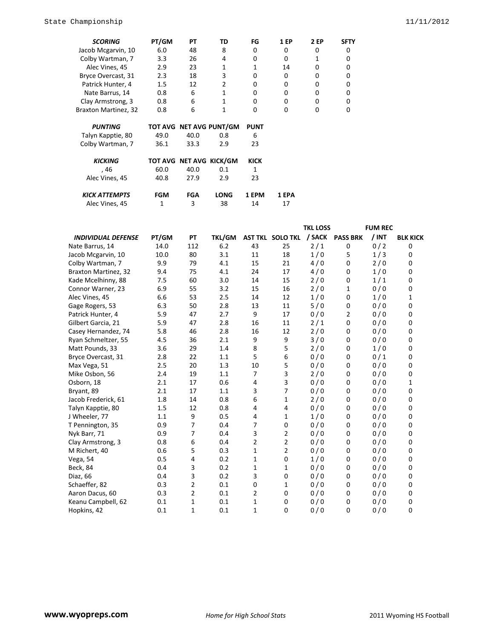| <b>SCORING</b>       | PT/GM | PТ   | TD                      | FG          | <b>1 EP</b> | <b>2 EP</b> | <b>SFTY</b> |
|----------------------|-------|------|-------------------------|-------------|-------------|-------------|-------------|
| Jacob Mcgarvin, 10   | 6.0   | 48   | 8                       | 0           | 0           | 0           | 0           |
| Colby Wartman, 7     | 3.3   | 26   | 4                       | 0           | 0           |             | 0           |
| Alec Vines, 45       | 2.9   | 23   | 1                       | 1           | 14          | 0           | 0           |
| Bryce Overcast, 31   | 2.3   | 18   | 3                       | 0           | 0           | 0           |             |
| Patrick Hunter, 4    | 1.5   | 12   | 2                       | 0           | 0           | 0           | 0           |
| Nate Barrus, 14      | 0.8   | 6    |                         | 0           | 0           | 0           | 0           |
| Clay Armstrong, 3    | 0.8   | 6    | 1                       | 0           | 0           | 0           |             |
| Braxton Martinez, 32 | 0.8   | 6    | 1                       | 0           | $\Omega$    | 0           | n           |
| <b>PUNTING</b>       |       |      | TOT AVG NET AVG PUNT/GM | <b>PUNT</b> |             |             |             |
| Talyn Kapptie, 80    | 49.0  | 40.0 | 0.8                     | 6           |             |             |             |
| Colby Wartman, 7     | 36.1  | 33.3 | 2.9                     | 23          |             |             |             |
| <b>KICKING</b>       |       |      | TOT AVG NET AVG KICK/GM | <b>KICK</b> |             |             |             |
| , 46                 | 60.0  | 40.0 | 0.1                     |             |             |             |             |

| Alec Vines, 45       | 40.8 | 27.9 | 2.9         | 23    |       |
|----------------------|------|------|-------------|-------|-------|
| <b>KICK ATTEMPTS</b> | FGM  | FGA  | <b>LONG</b> | 1 EPM | 1 EPA |
| Alec Vines, 45       |      |      | 38          | 14    |       |

|                           |       |     |               |                |                         | <b>TKL LOSS</b> |                 | <b>FUM REC</b> |                 |
|---------------------------|-------|-----|---------------|----------------|-------------------------|-----------------|-----------------|----------------|-----------------|
| <b>INDIVIDUAL DEFENSE</b> | PT/GM | PT  | <b>TKL/GM</b> |                | <b>AST TKL SOLO TKL</b> |                 | / SACK PASS BRK | $/$ INT        | <b>BLK KICK</b> |
| Nate Barrus, 14           | 14.0  | 112 | 6.2           | 43             | 25                      | 2/1             | 0               | 0/2            | 0               |
| Jacob Mcgarvin, 10        | 10.0  | 80  | 3.1           | 11             | 18                      | 1/0             | 5               | 1/3            | 0               |
| Colby Wartman, 7          | 9.9   | 79  | 4.1           | 15             | 21                      | 4/0             | 0               | 2/0            | 0               |
| Braxton Martinez, 32      | 9.4   | 75  | 4.1           | 24             | 17                      | 4/0             | 0               | 1/0            | 0               |
| Kade Mcelhinny, 88        | 7.5   | 60  | 3.0           | 14             | 15                      | 2/0             | 0               | 1/1            | 0               |
| Connor Warner, 23         | 6.9   | 55  | 3.2           | 15             | 16                      | 2/0             | 1               | 0/0            | 0               |
| Alec Vines, 45            | 6.6   | 53  | 2.5           | 14             | 12                      | 1/0             | 0               | 1/0            | 1               |
| Gage Rogers, 53           | 6.3   | 50  | 2.8           | 13             | 11                      | 5/0             | 0               | 0/0            | 0               |
| Patrick Hunter, 4         | 5.9   | 47  | 2.7           | 9              | 17                      | 0/0             | $\overline{2}$  | 0/0            | 0               |
| Gilbert Garcia, 21        | 5.9   | 47  | 2.8           | 16             | 11                      | 2/1             | 0               | 0/0            | 0               |
| Casey Hernandez, 74       | 5.8   | 46  | 2.8           | 16             | 12                      | 2/0             | 0               | 0/0            | 0               |
| Ryan Schmeltzer, 55       | 4.5   | 36  | 2.1           | 9              | 9                       | 3/0             | 0               | 0/0            | 0               |
| Matt Pounds, 33           | 3.6   | 29  | 1.4           | 8              | 5                       | 2/0             | 0               | 1/0            | 0               |
| Bryce Overcast, 31        | 2.8   | 22  | 1.1           | 5              | 6                       | 0/0             | 0               | 0/1            | 0               |
| Max Vega, 51              | 2.5   | 20  | 1.3           | 10             | 5                       | 0/0             | 0               | 0/0            | 0               |
| Mike Osbon, 56            | 2.4   | 19  | 1.1           | $\overline{7}$ | 3                       | 2/0             | 0               | 0/0            | 0               |
| Osborn, 18                | 2.1   | 17  | 0.6           | 4              | $\overline{3}$          | 0/0             | 0               | 0/0            | 1               |
| Bryant, 89                | 2.1   | 17  | 1.1           | 3              | 7                       | 0/0             | 0               | 0/0            | 0               |
| Jacob Frederick, 61       | 1.8   | 14  | 0.8           | 6              | $1\,$                   | 2/0             | 0               | 0/0            | 0               |
| Talyn Kapptie, 80         | 1.5   | 12  | 0.8           | 4              | 4                       | 0/0             | 0               | 0/0            | 0               |
| J Wheeler, 77             | 1.1   | 9   | 0.5           | 4              | $\mathbf{1}$            | 1/0             | 0               | 0/0            | 0               |
| T Pennington, 35          | 0.9   | 7   | 0.4           | $\overline{7}$ | $\mathbf 0$             | 0/0             | 0               | 0/0            | 0               |
| Nyk Barr, 71              | 0.9   | 7   | 0.4           | 3              | $\overline{2}$          | 0/0             | 0               | 0/0            | 0               |
| Clay Armstrong, 3         | 0.8   | 6   | 0.4           | $\overline{2}$ | $\overline{2}$          | 0/0             | 0               | 0/0            | 0               |
| M Richert, 40             | 0.6   | 5   | 0.3           | $\mathbf{1}$   | $\overline{2}$          | 0/0             | 0               | 0/0            | 0               |
| Vega, 54                  | 0.5   | 4   | 0.2           | $\mathbf{1}$   | $\mathbf 0$             | 1/0             | 0               | 0/0            | 0               |
| Beck, 84                  | 0.4   | 3   | 0.2           | $\mathbf{1}$   | $\mathbf{1}$            | 0/0             | 0               | 0/0            | 0               |
| Diaz, 66                  | 0.4   | 3   | 0.2           | 3              | $\mathbf 0$             | 0/0             | 0               | 0/0            | 0               |
| Schaeffer, 82             | 0.3   | 2   | 0.1           | $\mathbf 0$    | $\mathbf{1}$            | 0/0             | 0               | 0/0            | 0               |
| Aaron Dacus, 60           | 0.3   | 2   | 0.1           | $\overline{2}$ | 0                       | 0/0             | 0               | 0/0            | 0               |
| Keanu Campbell, 62        | 0.1   | 1   | 0.1           | $\mathbf{1}$   | $\mathbf 0$             | 0/0             | 0               | 0/0            | 0               |
| Hopkins, 42               | 0.1   | 1   | 0.1           | $\mathbf{1}$   | 0                       | 0/0             | 0               | 0/0            | 0               |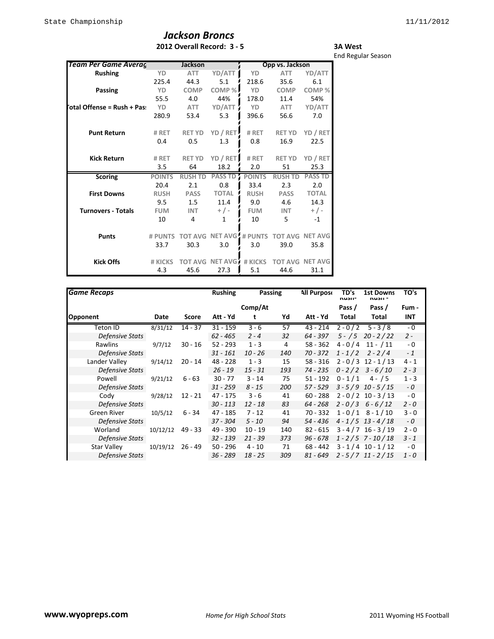## *Jackson Broncs* **2012 Overall Record: 3 - 5**

#### **3A West** End Regular Season

| Team Per Game Averag        |               | <b>Jackson</b> |                         |               | Opp vs. Jackson |                        |
|-----------------------------|---------------|----------------|-------------------------|---------------|-----------------|------------------------|
| <b>Rushing</b>              | YD            | <b>ATT</b>     | YD/ATT                  | YD            | <b>ATT</b>      | YD/ATT                 |
|                             | 225.4         | 44.3           | 5.1                     | 218.6         | 35.6            | 6.1                    |
| Passing                     | YD            | <b>COMP</b>    | COMP%                   | YD            | <b>COMP</b>     | COMP%                  |
|                             | 55.5          | 4.0            | 44%                     | 178.0         | 11.4            | 54%                    |
| 'otal Offense = Rush + Pas: | YD            | ATT            | YD/ATT                  | YD            | ATT             | YD/ATT                 |
|                             | 280.9         | 53.4           | 5.3                     | 396.6         | 56.6            | 7.0                    |
| <b>Punt Return</b>          | # RET         | <b>RET YD</b>  | YD / RET                | # RET         | <b>RET YD</b>   | YD / RET               |
|                             | 0.4           | 0.5            | 1.3                     | 0.8           | 16.9            | 22.5                   |
| <b>Kick Return</b>          | # RET         | <b>RET YD</b>  | YD / RET                | # RET         | <b>RET YD</b>   | YD / RET               |
|                             | 3.5           | 64             | 18.2                    | 2.0           | 51              | 25.3                   |
| <b>Scoring</b>              | <b>POINTS</b> | <b>RUSH TD</b> | <b>PASS TD</b>          | <b>POINTS</b> | <b>RUSH TD</b>  | <b>PASS TD</b>         |
|                             | 20.4          | 2.1            | 0.8                     | 33.4          | 2.3             | 2.0                    |
| <b>First Downs</b>          | <b>RUSH</b>   | <b>PASS</b>    | <b>TOTAL</b>            | <b>RUSH</b>   | <b>PASS</b>     | <b>TOTAL</b>           |
|                             | 9.5           | 1.5            | 11.4                    | 9.0           | 4.6             | 14.3                   |
| <b>Turnovers - Totals</b>   | <b>FUM</b>    | <b>INT</b>     | $+$ / -                 | <b>FUM</b>    | <b>INT</b>      | $+$ / -                |
|                             | 10            | 4              | 1                       | 10            | 5.              | $-1$                   |
| <b>Punts</b>                | # PUNTS       | <b>TOT AVG</b> | <b>NET AVG: # PUNTS</b> |               |                 | <b>TOT AVG NET AVG</b> |
|                             | 33.7          | 30.3           | 3.0                     | 3.0           | 39.0            | 35.8                   |
| <b>Kick Offs</b>            | # KICKS       |                | <b>TOT AVG NET AVG</b>  | # KICKS       |                 | <b>TOT AVG NET AVG</b> |
|                             | 4.3           | 45.6           | 27.3                    | 5.1           | 44.6            | 31.1                   |

| <b>Game Recaps</b>     |          |              | <b>Rushing</b> | <b>Passing</b>     |     | <b>All Purpose</b> | TD's<br>nusii- | <b>1st Downs</b><br>nusii - | TO's    |
|------------------------|----------|--------------|----------------|--------------------|-----|--------------------|----------------|-----------------------------|---------|
|                        |          |              |                | Comp/At            |     |                    | Pass /         | Pass /                      | Fum -   |
| <b>Opponent</b>        | Date     | <b>Score</b> | Att - Yd       | t                  | Yd  | Att - Yd           | Total          | Total                       | INT     |
| Teton ID               | 8/31/12  | $14 - 37$    | $31 - 159$     | $\overline{3} - 6$ | 57  | 43 - 214           | $2 - 0/2$      | $5 - 3/8$                   | $-0$    |
| Defensive Stats        |          |              | $62 - 465$     | $2 - 4$            | 32  | 64 - 397           | $5 - / 5$      | $20 - 2 / 22$               | $2 -$   |
| Rawlins                | 9/7/12   | $30 - 16$    | $52 - 293$     | $1 - 3$            | 4   | $58 - 362$         | $4 - 0/4$      | $11 - / 11$                 | - 0     |
| Defensive Stats        |          |              | $31 - 161$     | $10 - 26$          | 140 | $70 - 372$         | $1 - 1/2$      | $2 - 2/4$                   | $-1$    |
| Lander Valley          | 9/14/12  | $20 - 14$    | $48 - 228$     | $1 - 3$            | 15  | $58 - 316$         |                | $2 - 0/3$ 12 - 1/13         | $4 - 1$ |
| <b>Defensive Stats</b> |          |              | $26 - 19$      | $15 - 31$          | 193 | 74 - 235           |                | $0 - 2/2$ 3 - 6/10          | $2 - 3$ |
| Powell                 | 9/21/12  | $6 - 63$     | $30 - 77$      | $3 - 14$           | 75  | $51 - 192$         | $0 - 1/1$      | $4 - 15$                    | $1 - 3$ |
| Defensive Stats        |          |              | $31 - 259$     | $8 - 15$           | 200 | 57 - 529           |                | $3 - 5/9$ 10 - $5/15$       | $-0$    |
| Cody                   | 9/28/12  | $12 - 21$    | 47 - 175       | $3 - 6$            | 41  | $60 - 288$         |                | $2 - 0 / 2 10 - 3 / 13$     | $-0$    |
| Defensive Stats        |          |              | $30 - 113$     | $12 - 18$          | 83  | 64 - 268           |                | $2 - 0/3$ 6 - 6/12          | $2 - 0$ |
| Green River            | 10/5/12  | $6 - 34$     | 47 - 185       | $7 - 12$           | 41  | 70 - 332           |                | $1 - 0/1$ 8 - 1/10          | $3 - 0$ |
| Defensive Stats        |          |              | $37 - 304$     | $5 - 10$           | 94  | 54 - 436           |                | $4 - 1/5$ 13 - 4/18         | - 0     |
| Worland                | 10/12/12 | 49 - 33      | 49 - 390       | $10 - 19$          | 140 | $82 - 615$         |                | $3 - 4/7$ 16 - 3/19         | $2 - 0$ |
| Defensive Stats        |          |              | $32 - 139$     | $21 - 39$          | 373 | $96 - 678$         |                | $1 - 2/5$ 7 - 10/18         | $3 - 1$ |
| Star Valley            | 10/19/12 | $26 - 49$    | $50 - 296$     | $4 - 10$           | 71  | $68 - 442$         |                | $3 - 1/4$ 10 - 1/12         | - 0     |
| <b>Defensive Stats</b> |          |              | $36 - 289$     | $18 - 25$          | 309 | 81 - 649           |                | $2 - 5/7$ 11 - 2/15         | $1 - 0$ |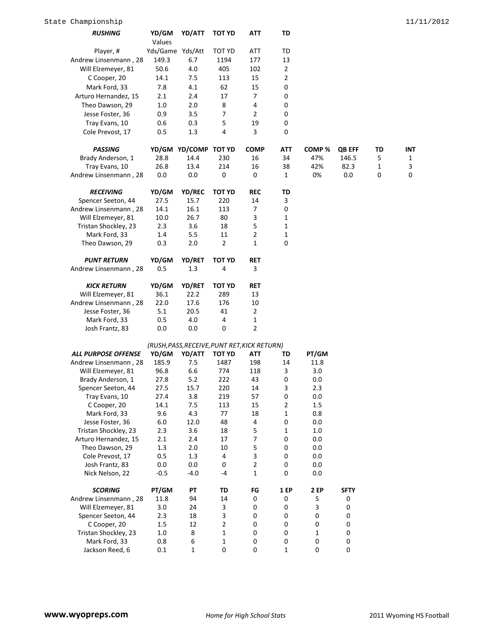| <i><b>RUSHING</b></i>      | YD/GM            | YD/ATT                                       | TOT YD         | ATT            | TD               |             |             |              |              |
|----------------------------|------------------|----------------------------------------------|----------------|----------------|------------------|-------------|-------------|--------------|--------------|
|                            | Values           |                                              |                |                |                  |             |             |              |              |
| Player, #                  | Yds/Game Yds/Att |                                              | TOT YD         | <b>ATT</b>     | TD               |             |             |              |              |
| Andrew Linsenmann, 28      | 149.3            | 6.7                                          | 1194           | 177            | 13               |             |             |              |              |
| Will Elzemeyer, 81         | 50.6             | 4.0                                          | 405            | 102            | $\mathbf{2}$     |             |             |              |              |
| C Cooper, 20               | 14.1             | 7.5                                          | 113            | 15             | $\overline{2}$   |             |             |              |              |
| Mark Ford, 33              | 7.8              | 4.1                                          | 62             | 15             | 0                |             |             |              |              |
| Arturo Hernandez, 15       | 2.1              | 2.4                                          | 17             | 7              | 0                |             |             |              |              |
| Theo Dawson, 29            | 1.0              | 2.0                                          | 8              | 4              | 0                |             |             |              |              |
| Jesse Foster, 36           | 0.9              | 3.5                                          | 7              | 2              | 0                |             |             |              |              |
| Tray Evans, 10             | 0.6              | 0.3                                          | 5              | 19             | 0                |             |             |              |              |
| Cole Prevost, 17           | 0.5              | 1.3                                          | 4              | 3              | 0                |             |             |              |              |
|                            |                  |                                              |                |                |                  |             |             |              |              |
| <b>PASSING</b>             |                  | YD/GM YD/COMP TOT YD                         |                | <b>COMP</b>    | ATT              | COMP %      | QB EFF      | TD           | INT          |
| Brady Anderson, 1          | 28.8             | 14.4                                         | 230            | 16             | 34               | 47%         | 146.5       | 5            | $\mathbf{1}$ |
| Tray Evans, 10             | 26.8             | 13.4                                         | 214            | 16             | 38               | 42%         | 82.3        | $\mathbf{1}$ | 3<br>0       |
| Andrew Linsenmann, 28      | 0.0              | 0.0                                          | 0              | 0              | 1                | 0%          | 0.0         | 0            |              |
| <b>RECEIVING</b>           | YD/GM            | YD/REC                                       | <b>TOT YD</b>  | <b>REC</b>     | TD               |             |             |              |              |
| Spencer Seeton, 44         | 27.5             | 15.7                                         | 220            | 14             | 3                |             |             |              |              |
| Andrew Linsenmann, 28      | 14.1             | 16.1                                         | 113            | 7              | 0                |             |             |              |              |
| Will Elzemeyer, 81         | 10.0             | 26.7                                         | 80             | 3              | 1                |             |             |              |              |
| Tristan Shockley, 23       | 2.3              | 3.6                                          | 18             | 5              | 1                |             |             |              |              |
| Mark Ford, 33              | 1.4              | 5.5                                          | 11             | 2              | 1                |             |             |              |              |
| Theo Dawson, 29            | 0.3              | 2.0                                          | $\overline{2}$ | 1              | 0                |             |             |              |              |
| <b>PUNT RETURN</b>         | YD/GM            | YD/RET                                       | TOT YD         | <b>RET</b>     |                  |             |             |              |              |
| Andrew Linsenmann, 28      | 0.5              | 1.3                                          | 4              | 3              |                  |             |             |              |              |
|                            |                  |                                              |                |                |                  |             |             |              |              |
| <b>KICK RETURN</b>         | YD/GM            | <b>YD/RET</b>                                | <b>TOT YD</b>  | <b>RET</b>     |                  |             |             |              |              |
| Will Elzemeyer, 81         | 36.1             | 22.2                                         | 289            | 13             |                  |             |             |              |              |
| Andrew Linsenmann, 28      | 22.0             | 17.6                                         | 176            | 10             |                  |             |             |              |              |
| Jesse Foster, 36           | 5.1              | 20.5                                         | 41             | $\overline{2}$ |                  |             |             |              |              |
| Mark Ford, 33              | 0.5              | 4.0                                          | 4              | 1              |                  |             |             |              |              |
| Josh Frantz, 83            | 0.0              | 0.0                                          | 0              | $\overline{2}$ |                  |             |             |              |              |
|                            |                  | (RUSH, PASS, RECEIVE, PUNT RET, KICK RETURN) |                |                |                  |             |             |              |              |
| <b>ALL PURPOSE OFFENSE</b> | YD/GM            | YD/ATT                                       | TOT YD         | ATT            | TD               | PT/GM       |             |              |              |
| Andrew Linsenmann, 28      | 185.9            | 7.5                                          | 1487           | 198            | 14               | 11.8        |             |              |              |
| Will Elzemeyer, 81         | 96.8             | 6.6                                          | 774            | 118            | 3                | 3.0         |             |              |              |
| Brady Anderson, 1          | 27.8             | 5.2                                          | 222            | 43             | 0                | 0.0         |             |              |              |
| Spencer Seeton, 44         | 27.5             | 15.7                                         | 220            | 14             | 3                | 2.3         |             |              |              |
| Tray Evans, 10             | 27.4             | 3.8                                          | 219            | 57             | $\pmb{0}$        | 0.0         |             |              |              |
| C Cooper, 20               | 14.1             | 7.5                                          | 113            | 15             | $\mathbf{2}$     | 1.5         |             |              |              |
| Mark Ford, 33              | 9.6              | 4.3                                          | 77             | 18             | 1                | $0.8\,$     |             |              |              |
| Jesse Foster, 36           | 6.0              | 12.0                                         | 48             | 4              | 0                | 0.0         |             |              |              |
| Tristan Shockley, 23       | 2.3              | 3.6                                          | 18             | 5              | 1                | 1.0         |             |              |              |
| Arturo Hernandez, 15       | 2.1              | 2.4                                          | 17             | 7              | 0                | 0.0         |             |              |              |
| Theo Dawson, 29            | 1.3              | 2.0                                          | 10             | 5              | 0                | 0.0         |             |              |              |
| Cole Prevost, 17           | 0.5              | 1.3                                          | 4              | 3              | 0                | 0.0         |             |              |              |
| Josh Frantz, 83            | 0.0              | 0.0                                          | $\mathbf 0$    | $\mathbf 2$    | 0                | 0.0         |             |              |              |
| Nick Nelson, 22            | $-0.5$           | $-4.0$                                       | $-4$           | 1              | 0                | 0.0         |             |              |              |
| <b>SCORING</b>             | PT/GM            | ΡT                                           | TD             | FG             | 1 EP             | 2 EP        | <b>SFTY</b> |              |              |
| Andrew Linsenmann, 28      | 11.8             | 94                                           | 14             | 0              | 0                | 5           | 0           |              |              |
| Will Elzemeyer, 81         | 3.0              | 24                                           | 3              | 0              | 0                | 3           | 0           |              |              |
| Spencer Seeton, 44         | 2.3              | 18                                           | 3              | 0              | $\boldsymbol{0}$ | 0           | 0           |              |              |
| C Cooper, 20               | 1.5              | 12                                           | $\overline{2}$ | $\mathbf 0$    | 0                | 0           | 0           |              |              |
| Tristan Shockley, 23       | $1.0\,$          | 8                                            | $\mathbf{1}$   | 0              | 0                | $\mathbf 1$ | $\pmb{0}$   |              |              |
| Mark Ford, 33              | 0.8              | 6                                            | $\mathbf 1$    | 0              | 0                | $\pmb{0}$   | 0           |              |              |

Jackson Reed, 6 0.1 1 0 0 1 0 0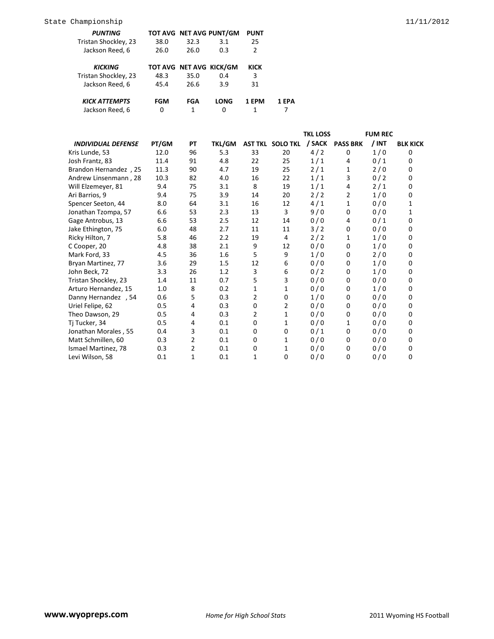| <i><b>PUNTING</b></i> |      |                         | TOT AVG NET AVG PUNT/GM | <b>PUNT</b> |
|-----------------------|------|-------------------------|-------------------------|-------------|
| Tristan Shockley, 23  | 38.0 | 32.3                    | 3.1                     | 25          |
| Jackson Reed, 6       | 26.0 | 26.0                    | 0.3                     | 2           |
|                       |      |                         |                         |             |
| KICKING               |      | TOT AVG NET AVG KICK/GM |                         | KICK        |
| Tristan Shockley, 23  | 48.3 | 35.0                    | 0.4                     | 3           |
| Jackson Reed, 6       | 45.4 | 26.6                    | 3.9                     | 31          |
|                       |      |                         |                         |             |
| KICK ATTEMPTS         | FGM  | FGA                     | <b>LONG</b>             | 1 FPM       |

Jackson Reed, 6 0 1 0 1 7

|                               |       |    |               |                |                         | <b>TKL LOSS</b> |                 | <b>FUM REC</b> |                 |
|-------------------------------|-------|----|---------------|----------------|-------------------------|-----------------|-----------------|----------------|-----------------|
| <b>INDIVIDUAL DEFENSE</b>     | PT/GM | PT | <b>TKL/GM</b> |                | <b>AST TKL SOLO TKL</b> | / SACK          | <b>PASS BRK</b> | / INT          | <b>BLK KICK</b> |
| Kris Lunde, 53                | 12.0  | 96 | 5.3           | 33             | 20                      | 4/2             | $\Omega$        | 1/0            | 0               |
| Josh Frantz, 83               | 11.4  | 91 | 4.8           | 22             | 25                      | 1/1             | 4               | 0/1            | 0               |
| <b>Brandon Hernandez</b> , 25 | 11.3  | 90 | 4.7           | 19             | 25                      | 2/1             | 1               | 2/0            | 0               |
| Andrew Linsenmann, 28         | 10.3  | 82 | 4.0           | 16             | 22                      | 1/1             | 3               | 0/2            | 0               |
| Will Elzemeyer, 81            | 9.4   | 75 | 3.1           | 8              | 19                      | 1/1             | 4               | 2/1            | 0               |
| Ari Barrios, 9                | 9.4   | 75 | 3.9           | 14             | 20                      | 2/2             | $\overline{2}$  | 1/0            | 0               |
| Spencer Seeton, 44            | 8.0   | 64 | 3.1           | 16             | 12                      | 4/1             | $\mathbf{1}$    | 0/0            | 1               |
| Jonathan Tzompa, 57           | 6.6   | 53 | 2.3           | 13             | 3                       | 9/0             | 0               | 0/0            | 1               |
| Gage Antrobus, 13             | 6.6   | 53 | 2.5           | 12             | 14                      | 0/0             | 4               | 0/1            | 0               |
| Jake Ethington, 75            | 6.0   | 48 | 2.7           | 11             | 11                      | 3/2             | 0               | 0/0            | 0               |
| Ricky Hilton, 7               | 5.8   | 46 | 2.2           | 19             | 4                       | 2/2             | 1               | 1/0            | 0               |
| C Cooper, 20                  | 4.8   | 38 | 2.1           | 9              | 12                      | 0/0             | 0               | 1/0            | 0               |
| Mark Ford, 33                 | 4.5   | 36 | 1.6           | 5              | 9                       | 1/0             | 0               | 2/0            | 0               |
| Bryan Martinez, 77            | 3.6   | 29 | 1.5           | 12             | 6                       | 0/0             | 0               | 1/0            | 0               |
| John Beck, 72                 | 3.3   | 26 | 1.2           | 3              | 6                       | 0/2             | 0               | 1/0            | 0               |
| Tristan Shockley, 23          | 1.4   | 11 | 0.7           | 5              | 3                       | 0/0             | $\Omega$        | 0/0            | 0               |
| Arturo Hernandez, 15          | 1.0   | 8  | 0.2           | 1              | $\mathbf{1}$            | 0/0             | 0               | 1/0            | 0               |
| Danny Hernandez , 54          | 0.6   | 5  | 0.3           | 2              | $\mathbf 0$             | 1/0             | 0               | 0/0            | 0               |
| Uriel Felipe, 62              | 0.5   | 4  | 0.3           | $\mathbf 0$    | $\overline{2}$          | 0/0             | 0               | 0/0            | 0               |
| Theo Dawson, 29               | 0.5   | 4  | 0.3           | $\overline{2}$ | $\mathbf{1}$            | 0/0             | 0               | 0/0            | 0               |
| Tj Tucker, 34                 | 0.5   | 4  | 0.1           | $\Omega$       | 1                       | 0/0             | 1               | 0/0            | 0               |
| Jonathan Morales, 55          | 0.4   | 3  | 0.1           | $\Omega$       | $\mathbf 0$             | 0/1             | 0               | 0/0            | 0               |
| Matt Schmillen, 60            | 0.3   | 2  | 0.1           | 0              | 1                       | 0/0             | 0               | 0/0            | 0               |
| Ismael Martinez, 78           | 0.3   | 2  | 0.1           | 0              | 1                       | 0/0             | 0               | 0/0            | 0               |
| Levi Wilson, 58               | 0.1   | 1  | 0.1           | 1              | $\Omega$                | 0/0             | 0               | 0/0            | 0               |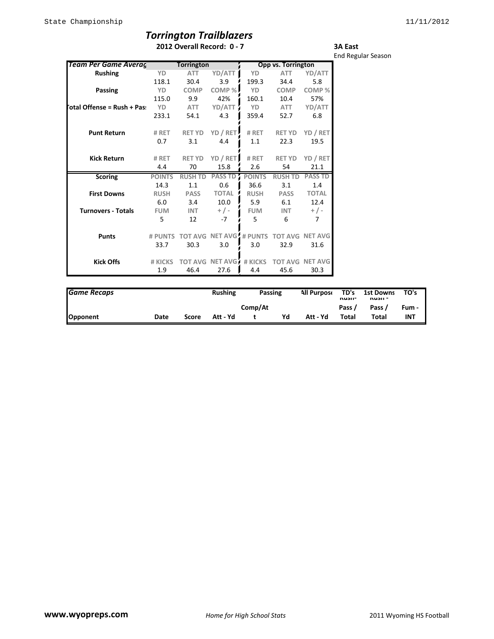## *Torrington Trailblazers*

**2012 Overall Record: 0 - 7**

**3A East** End Regular Season

| Team Per Game Averag       |               | <b>Torrington</b> |                |               | Opp vs. Torrington                       |                |
|----------------------------|---------------|-------------------|----------------|---------------|------------------------------------------|----------------|
|                            |               |                   |                |               |                                          |                |
| <b>Rushing</b>             | YD            | <b>ATT</b>        | YD/ATT         | YD            | <b>ATT</b>                               | YD/ATT         |
|                            | 118.1         | 30.4              | 3.9            | 199.3         | 34.4                                     | 5.8            |
| Passing                    | YD            | <b>COMP</b>       | COMP%          | YD            | <b>COMP</b>                              | COMP%          |
|                            | 115.0         | 9.9               | 42%            | 160.1         | 10.4                                     | 57%            |
| otal Offense = Rush + Pas: | YD            | ATT               | YD/ATT         | YD            | <b>ATT</b>                               | YD/ATT         |
|                            | 233.1         | 54.1              | 4.3            | 359.4         | 52.7                                     | 6.8            |
| <b>Punt Return</b>         | # RET         | <b>RET YD</b>     | YD / RET       | # RET         | <b>RET YD</b>                            | YD / RET       |
|                            | 0.7           | 3.1               | 4.4            | 1.1           | 22.3                                     | 19.5           |
|                            |               |                   |                |               |                                          |                |
| <b>Kick Return</b>         | # RET         | <b>RET YD</b>     | YD / RET       | # RET         | <b>RET YD</b>                            | YD / RET       |
|                            | 4.4           | 70                | 15.8           | 2.6           | 54                                       | 21.1           |
| <b>Scoring</b>             | <b>POINTS</b> | <b>RUSH TD</b>    | <b>PASS TD</b> | <b>POINTS</b> | <b>RUSH TD</b>                           | <b>PASS TD</b> |
|                            | 14.3          | 1.1               | 0.6            | 36.6          | 3.1                                      | 1.4            |
| <b>First Downs</b>         | <b>RUSH</b>   | <b>PASS</b>       | <b>TOTAL</b>   | <b>RUSH</b>   | <b>PASS</b>                              | <b>TOTAL</b>   |
|                            | 6.0           | 3.4               | 10.0           | 5.9           | 6.1                                      | 12.4           |
| <b>Turnovers - Totals</b>  | <b>FUM</b>    | <b>INT</b>        | $+/-$          | <b>FUM</b>    | <b>INT</b>                               | $+/-$          |
|                            | 5             | 12                | $-7$           | 5             | 6                                        | 7              |
| <b>Punts</b>               | # PUNTS       |                   |                |               | TOT AVG NET AVG, # PUNTS TOT AVG NET AVG |                |
|                            | 33.7          | 30.3              | 3.0            | 3.0           | 32.9                                     | 31.6           |
| <b>Kick Offs</b>           | # KICKS       | <b>TOT AVG</b>    | NET AVG        | # KICKS       | <b>TOT AVG</b>                           | <b>NET AVG</b> |
|                            | 1.9           | 46.4              | 27.6           | 4.4           | 45.6                                     | 30.3           |

| <b>Game Recaps</b> |      |       | <b>Rushing</b> |         | Passing | <b>All Purpose</b> | TD's<br><b>NUSII-</b> | 1st Downs<br>nusii - | TO's       |
|--------------------|------|-------|----------------|---------|---------|--------------------|-----------------------|----------------------|------------|
|                    |      |       |                | Comp/At |         |                    | Pass /                | Pass /               | Fum -      |
| Opponent           | Date | Score | Att - Yd       |         | Yd      | Att - Yd           | Total                 | Total                | <b>INT</b> |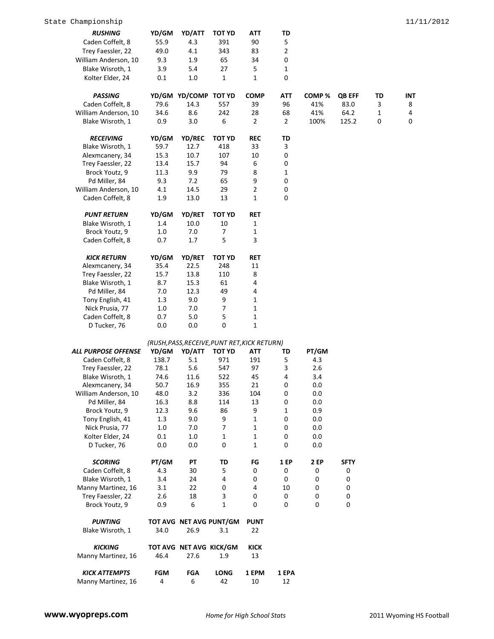| <b>RUSHING</b>                           | YD/GM      | YD/ATT                  | TOT YD                                       | ATT            | TD             |                   |               |              |     |
|------------------------------------------|------------|-------------------------|----------------------------------------------|----------------|----------------|-------------------|---------------|--------------|-----|
| Caden Coffelt, 8                         | 55.9       | 4.3                     | 391                                          | 90             | 5              |                   |               |              |     |
| Trey Faessler, 22                        | 49.0       | 4.1                     | 343                                          | 83             | $\mathbf 2$    |                   |               |              |     |
| William Anderson, 10                     | 9.3        | $1.9\,$                 | 65                                           | 34             | 0              |                   |               |              |     |
|                                          | 3.9        | 5.4                     | 27                                           | 5              | $\mathbf{1}$   |                   |               |              |     |
| Blake Wisroth, 1                         |            |                         |                                              |                |                |                   |               |              |     |
| Kolter Elder, 24                         | 0.1        | $1.0\,$                 | $\mathbf{1}$                                 | 1              | 0              |                   |               |              |     |
| <b>PASSING</b>                           |            | YD/GM YD/COMP TOT YD    |                                              | <b>COMP</b>    | <b>ATT</b>     | COMP <sup>%</sup> | <b>QB EFF</b> | TD           | INT |
| Caden Coffelt, 8                         | 79.6       | 14.3                    | 557                                          | 39             | 96             | 41%               | 83.0          | 3            | 8   |
| William Anderson, 10                     | 34.6       | 8.6                     | 242                                          | 28             | 68             | 41%               | 64.2          | $\mathbf{1}$ | 4   |
| Blake Wisroth, 1                         | 0.9        | 3.0                     | 6                                            | $\overline{2}$ | $\overline{2}$ | 100%              | 125.2         | 0            | 0   |
| <b>RECEIVING</b>                         | YD/GM      | <b>YD/REC</b>           | <b>TOT YD</b>                                | <b>REC</b>     | TD             |                   |               |              |     |
| Blake Wisroth, 1                         | 59.7       | 12.7                    | 418                                          | 33             | 3              |                   |               |              |     |
| Alexmcanery, 34                          | 15.3       | 10.7                    | 107                                          | 10             | 0              |                   |               |              |     |
| Trey Faessler, 22                        | 13.4       | 15.7                    | 94                                           | 6              | 0              |                   |               |              |     |
| Brock Youtz, 9                           | 11.3       | 9.9                     | 79                                           | 8              | 1              |                   |               |              |     |
|                                          | 9.3        | 7.2                     | 65                                           | 9              | $\mathbf 0$    |                   |               |              |     |
| Pd Miller, 84                            |            |                         |                                              |                |                |                   |               |              |     |
| William Anderson, 10<br>Caden Coffelt, 8 | 4.1        | 14.5                    | 29                                           | $\overline{2}$ | 0<br>0         |                   |               |              |     |
|                                          | 1.9        | 13.0                    | 13                                           | 1              |                |                   |               |              |     |
| <b>PUNT RETURN</b>                       | YD/GM      | YD/RET                  | <b>TOT YD</b>                                | <b>RET</b>     |                |                   |               |              |     |
| Blake Wisroth, 1                         | 1.4        | 10.0                    | 10                                           | 1              |                |                   |               |              |     |
| Brock Youtz, 9                           | 1.0        | 7.0                     | 7                                            | 1              |                |                   |               |              |     |
| Caden Coffelt, 8                         | 0.7        | 1.7                     | 5                                            | 3              |                |                   |               |              |     |
| <b>KICK RETURN</b>                       | YD/GM      | <b>YD/RET</b>           | <b>TOT YD</b>                                | RET            |                |                   |               |              |     |
| Alexmcanery, 34                          | 35.4       | 22.5                    | 248                                          | 11             |                |                   |               |              |     |
| Trey Faessler, 22                        | 15.7       | 13.8                    | 110                                          | 8              |                |                   |               |              |     |
| Blake Wisroth, 1                         | 8.7        | 15.3                    | 61                                           | 4              |                |                   |               |              |     |
| Pd Miller, 84                            | 7.0        | 12.3                    | 49                                           | 4              |                |                   |               |              |     |
| Tony English, 41                         | 1.3        | 9.0                     | 9                                            | 1              |                |                   |               |              |     |
| Nick Prusia, 77                          | 1.0        | 7.0                     | 7                                            | 1              |                |                   |               |              |     |
| Caden Coffelt, 8                         | 0.7        | 5.0                     | 5                                            | 1              |                |                   |               |              |     |
| D Tucker, 76                             | 0.0        | 0.0                     | $\mathbf 0$                                  | $\mathbf{1}$   |                |                   |               |              |     |
|                                          |            |                         | (RUSH, PASS, RECEIVE, PUNT RET, KICK RETURN) |                |                |                   |               |              |     |
| <b>ALL PURPOSE OFFENSE</b>               | YD/GM      | YD/ATT                  | <b>TOT YD</b>                                | ATT            | TD             | PT/GM             |               |              |     |
| Caden Coffelt, 8                         | 138.7      | 5.1                     | 971                                          | 191            | 5              | 4.3               |               |              |     |
| Trey Faessler, 22                        | 78.1       | 5.6                     | 547                                          | 97             | 3              | 2.6               |               |              |     |
| Blake Wisroth, 1                         | 74.6       | 11.6                    | 522                                          | 45             | 4              | 3.4               |               |              |     |
| Alexmcanery, 34                          | 50.7       | 16.9                    | 355                                          | 21             | 0              | 0.0               |               |              |     |
| William Anderson, 10                     | 48.0       | $3.2$                   | 336                                          | 104            | 0              | 0.0               |               |              |     |
| Pd Miller, 84                            | 16.3       | 8.8                     | 114                                          | 13             | 0              | 0.0               |               |              |     |
| Brock Youtz, 9                           | 12.3       | 9.6                     | 86                                           | 9              | 1              | 0.9               |               |              |     |
| Tony English, 41                         | 1.3        | 9.0                     | 9                                            | $\mathbf{1}$   | 0              | 0.0               |               |              |     |
| Nick Prusia, 77                          | $1.0\,$    | 7.0                     | 7                                            | $\mathbf{1}$   | 0              | 0.0               |               |              |     |
| Kolter Elder, 24                         | 0.1        | $1.0\,$                 | $\mathbf{1}$                                 | $\mathbf{1}$   | 0              | 0.0               |               |              |     |
| D Tucker, 76                             | 0.0        | 0.0                     | 0                                            | $\mathbf{1}$   | 0              | 0.0               |               |              |     |
| <b>SCORING</b>                           | PT/GM      | PT                      | TD                                           | FG             | <b>1 EP</b>    | <b>2 EP</b>       | <b>SFTY</b>   |              |     |
| Caden Coffelt, 8                         | 4.3        | 30                      | 5                                            | 0              | 0              | 0                 | 0             |              |     |
| Blake Wisroth, 1                         | 3.4        | 24                      | 4                                            | 0              | $\mathbf 0$    | $\boldsymbol{0}$  | $\mathbf 0$   |              |     |
| Manny Martinez, 16                       | 3.1        | 22                      | 0                                            | 4              | 10             | 0                 | 0             |              |     |
| Trey Faessler, 22                        | 2.6        | 18                      | 3                                            | 0              | 0              | 0                 | 0             |              |     |
| Brock Youtz, 9                           | 0.9        | 6                       | $\mathbf{1}$                                 | 0              | 0              | 0                 | $\mathbf 0$   |              |     |
|                                          |            |                         |                                              |                |                |                   |               |              |     |
| <b>PUNTING</b>                           |            |                         | TOT AVG NET AVG PUNT/GM                      | <b>PUNT</b>    |                |                   |               |              |     |
| Blake Wisroth, 1                         | 34.0       | 26.9                    | 3.1                                          | 22             |                |                   |               |              |     |
| <b>KICKING</b>                           |            | TOT AVG NET AVG KICK/GM |                                              | <b>KICK</b>    |                |                   |               |              |     |
| Manny Martinez, 16                       | 46.4       | 27.6                    | 1.9                                          | 13             |                |                   |               |              |     |
| <b>KICK ATTEMPTS</b>                     | <b>FGM</b> | <b>FGA</b>              | <b>LONG</b>                                  | 1 EPM          | 1 EPA          |                   |               |              |     |
| Manny Martinez, 16                       | 4          | 6                       | 42                                           | 10             | 12             |                   |               |              |     |
|                                          |            |                         |                                              |                |                |                   |               |              |     |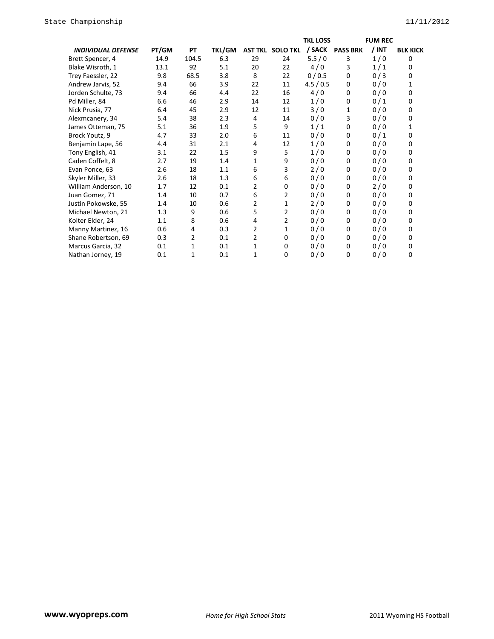|                           |         |       |               |    |                         | <b>TKL LOSS</b> |                 | <b>FUM REC</b> |                 |
|---------------------------|---------|-------|---------------|----|-------------------------|-----------------|-----------------|----------------|-----------------|
| <b>INDIVIDUAL DEFENSE</b> | PT/GM   | PT    | <b>TKL/GM</b> |    | <b>AST TKL SOLO TKL</b> | / SACK          | <b>PASS BRK</b> | / INT          | <b>BLK KICK</b> |
| Brett Spencer, 4          | 14.9    | 104.5 | 6.3           | 29 | 24                      | 5.5/0           | 3               | 1/0            | 0               |
| Blake Wisroth, 1          | 13.1    | 92    | 5.1           | 20 | 22                      | 4/0             | 3               | 1/1            | 0               |
| Trey Faessler, 22         | 9.8     | 68.5  | 3.8           | 8  | 22                      | 0/0.5           | 0               | 0/3            | $\mathbf 0$     |
| Andrew Jarvis, 52         | 9.4     | 66    | 3.9           | 22 | 11                      | 4.5/0.5         | 0               | 0/0            | 1               |
| Jorden Schulte, 73        | 9.4     | 66    | 4.4           | 22 | 16                      | 4/0             | 0               | 0/0            | 0               |
| Pd Miller, 84             | 6.6     | 46    | 2.9           | 14 | 12                      | 1/0             | 0               | 0/1            | 0               |
| Nick Prusia, 77           | 6.4     | 45    | 2.9           | 12 | 11                      | 3/0             | 1               | 0/0            | 0               |
| Alexmcanery, 34           | 5.4     | 38    | 2.3           | 4  | 14                      | 0/0             | 3               | 0/0            | $\Omega$        |
| James Otteman, 75         | 5.1     | 36    | 1.9           | 5  | 9                       | 1/1             | 0               | 0/0            | 1               |
| Brock Youtz, 9            | 4.7     | 33    | 2.0           | 6  | 11                      | 0/0             | 0               | 0/1            | $\Omega$        |
| Benjamin Lape, 56         | 4.4     | 31    | 2.1           | 4  | 12                      | 1/0             | 0               | 0/0            | 0               |
| Tony English, 41          | 3.1     | 22    | 1.5           | 9  | 5                       | 1/0             | 0               | 0/0            | 0               |
| Caden Coffelt, 8          | 2.7     | 19    | 1.4           | 1  | 9                       | 0/0             | 0               | 0/0            | 0               |
| Evan Ponce, 63            | 2.6     | 18    | 1.1           | 6  | 3                       | 2/0             | 0               | 0/0            | 0               |
| Skyler Miller, 33         | 2.6     | 18    | 1.3           | 6  | 6                       | 0/0             | 0               | 0/0            | $\Omega$        |
| William Anderson, 10      | 1.7     | 12    | 0.1           | 2  | $\Omega$                | 0/0             | 0               | 2/0            | 0               |
| Juan Gomez, 71            | 1.4     | 10    | 0.7           | 6  | $\overline{2}$          | 0/0             | 0               | 0/0            | $\Omega$        |
| Justin Pokowske, 55       | $1.4\,$ | 10    | 0.6           | 2  | 1                       | 2/0             | 0               | 0/0            | 0               |
| Michael Newton, 21        | 1.3     | 9     | 0.6           | 5  | 2                       | 0/0             | 0               | 0/0            | 0               |
| Kolter Elder, 24          | 1.1     | 8     | 0.6           | 4  | $\overline{2}$          | 0/0             | 0               | 0/0            | 0               |
| Manny Martinez, 16        | 0.6     | 4     | 0.3           | 2  | 1                       | 0/0             | 0               | 0/0            | $\Omega$        |
| Shane Robertson, 69       | 0.3     | 2     | 0.1           | 2  | 0                       | 0/0             | 0               | 0/0            | 0               |
| Marcus Garcia, 32         | 0.1     | 1     | 0.1           | 1  | 0                       | 0/0             | 0               | 0/0            | 0               |
| Nathan Jorney, 19         | 0.1     | 1     | 0.1           | 1  | $\Omega$                | 0/0             | 0               | 0/0            | 0               |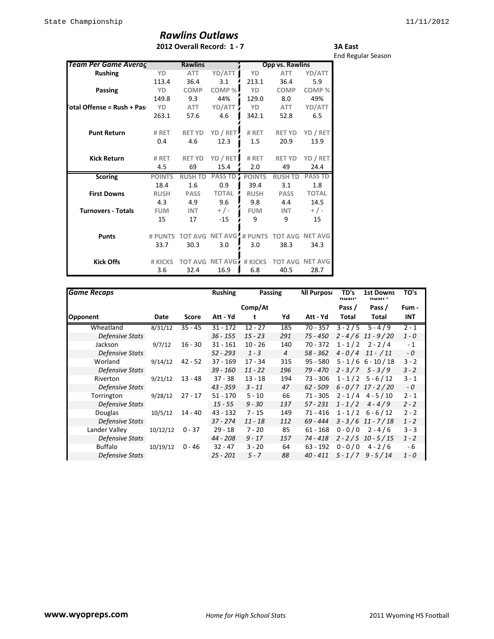## *Rawlins Outlaws* **2012 Overall Record: 1 - 7**

**3A East** End Regular Season

| Team Per Game Averac       |               | <b>Rawlins</b> |                          |               | Opp vs. Rawlins |                |
|----------------------------|---------------|----------------|--------------------------|---------------|-----------------|----------------|
| <b>Rushing</b>             | YD            | <b>ATT</b>     | YD/ATT                   | YD            | <b>ATT</b>      | YD/ATT         |
|                            | 113.4         | 36.4           | 3.1                      | 213.1         | 36.4            | 5.9            |
| <b>Passing</b>             | YD            | <b>COMP</b>    | COMP%                    | YD            | <b>COMP</b>     | COMP%          |
|                            | 149.8         | 9.3            | 44%                      | 129.0         | 8.0             | 49%            |
| otal Offense = Rush + Pas: | YD            | ATT            | YD/ATT                   | YD            | ATT             | YD/ATT         |
|                            | 263.1         | 57.6           | 4.6                      | 342.1         | 52.8            | 6.5            |
| <b>Punt Return</b>         | # RET         | <b>RET YD</b>  | YD / RET                 | # RET         | <b>RET YD</b>   | YD / RET       |
|                            | 0.4           | 4.6            | 12.3                     | $1.5\,$       | 20.9            | 13.9           |
| <b>Kick Return</b>         | # RET         | <b>RET YD</b>  | YD / RET                 | # RET         | <b>RET YD</b>   | YD / RET       |
|                            | 4.5           | 69             | 15.4                     | 2.0           | 49              | 24.4           |
| <b>Scoring</b>             | <b>POINTS</b> | <b>RUSH TD</b> | <b>PASS TD</b>           | <b>POINTS</b> | <b>RUSH TD</b>  | <b>PASS TD</b> |
|                            | 18.4          | 1.6            | 0.9                      | 39.4          | 3.1             | 1.8            |
| <b>First Downs</b>         | <b>RUSH</b>   | <b>PASS</b>    | <b>TOTAL</b>             | <b>RUSH</b>   | <b>PASS</b>     | <b>TOTAL</b>   |
|                            | 4.3           | 4.9            | 9.6                      | 9.8           | 4.4             | 14.5           |
| <b>Turnovers - Totals</b>  | <b>FUM</b>    | <b>INT</b>     | $+/-$                    | <b>FUM</b>    | <b>INT</b>      | $+/-$          |
|                            | 15            | 17             | $-15$                    | 9             | 9               | 15             |
| <b>Punts</b>               | # PUNTS       | <b>TOT AVG</b> | <b>NET AVG</b> : # PUNTS |               | <b>TOT AVG</b>  | <b>NET AVG</b> |
|                            | 33.7          | 30.3           | 3.0                      | 3.0           | 38.3            | 34.3           |
| <b>Kick Offs</b>           | # KICKS       | <b>TOT AVG</b> | NET AVG                  | # KICKS       | <b>TOT AVG</b>  | <b>NET AVG</b> |
|                            | 3.6           | 32.4           | 16.9                     | 6.8           | 40.5            | 28.7           |

| <b>Game Recaps</b>     |          |           | <b>Rushing</b> | <b>Passing</b> |                | <b>All Purpose</b> | TD's<br>nusii- | <b>1st Downs</b><br>nusii - | TO's    |
|------------------------|----------|-----------|----------------|----------------|----------------|--------------------|----------------|-----------------------------|---------|
|                        |          |           |                | Comp/At        |                |                    | Pass /         | Pass /                      | Fum -   |
| Opponent               | Date     | Score     | Att - Yd       | t              | Yd             | Att - Yd           | Total          | Total                       | INT     |
| Wheatland              | 8/31/12  | $35 - 45$ | $31 - 172$     | $12 - 27$      | 185            | $70 - 357$         |                | $3 - 2/5$ 5 - 4/9           | $2 - 1$ |
| Defensive Stats        |          |           | $36 - 155$     | $15 - 23$      | 291            | $75 - 450$         |                | $2 - 4/6$ 11 - 9/20         | $1 - 0$ |
| Jackson                | 9/7/12   | $16 - 30$ | $31 - 161$     | $10 - 26$      | 140            | 70 - 372           | $1 - 1/2$      | $2 - 2/4$                   | $-1$    |
| Defensive Stats        |          |           | $52 - 293$     | $1 - 3$        | $\overline{4}$ | $58 - 362$         | $4 - 0/4$      | $11 - 11$                   | $-0$    |
| Worland                | 9/14/12  | $42 - 52$ | $37 - 169$     | $17 - 34$      | 315            | $95 - 580$         |                | $5 - 1/6$ 6 - 10 / 18       | $3 - 2$ |
| <b>Defensive Stats</b> |          |           | $39 - 160$     | $11 - 22$      | 196            | $79 - 470$         |                | $2 - 3/7$ $5 - 3/9$         | $3 - 2$ |
| Riverton               | 9/21/12  | $13 - 48$ | $37 - 38$      | $13 - 18$      | 194            | 73 - 306           |                | $1 - 1/2$ 5 - 6/12          | $3 - 1$ |
| Defensive Stats        |          |           | $43 - 359$     | $3 - 11$       | 47             | $62 - 509$         |                | $6 - 0/7$ 17 - 2/20         | $-0$    |
| Torrington             | 9/28/12  | $27 - 17$ | $51 - 170$     | $5 - 10$       | 66             | 71 - 305           |                | $2 - 1/4$ 4 - 5/10          | $2 - 1$ |
| Defensive Stats        |          |           | $15 - 55$      | $9 - 30$       | 137            | $57 - 231$         | $1 - 1/2$      | $4 - 4/9$                   | $2 - 2$ |
| Douglas                | 10/5/12  | $14 - 40$ | 43 - 132       | $7 - 15$       | 149            | 71 - 416           | $1 - 1/2$      | $6 - 6 / 12$                | $2 - 2$ |
| Defensive Stats        |          |           | $37 - 274$     | $11 - 18$      | 112            | 69 - 444           |                | $3 - 3/6$ 11 - 7/18         | $1 - 2$ |
| Lander Valley          | 10/12/12 | $0 - 37$  | $29 - 18$      | $7 - 20$       | 85             | $61 - 168$         | $0 - 0 / 0$    | $2 - 4/6$                   | $3 - 3$ |
| <b>Defensive Stats</b> |          |           | 44 - 208       | $9 - 17$       | 157            | 74 - 418           |                | $2 - 2/5$ 10 - 5/15         | $1 - 2$ |
| <b>Buffalo</b>         | 10/19/12 | $0 - 46$  | $32 - 47$      | $3 - 20$       | 64             | $63 - 192$         | $0 - 0 / 0$    | $4 - 2/6$                   | - 6     |
| <b>Defensive Stats</b> |          |           | $25 - 201$     | $5 - 7$        | 88             | $40 - 411$         |                | $5 - 1/7$ 9 - $5/14$        | $1 - 0$ |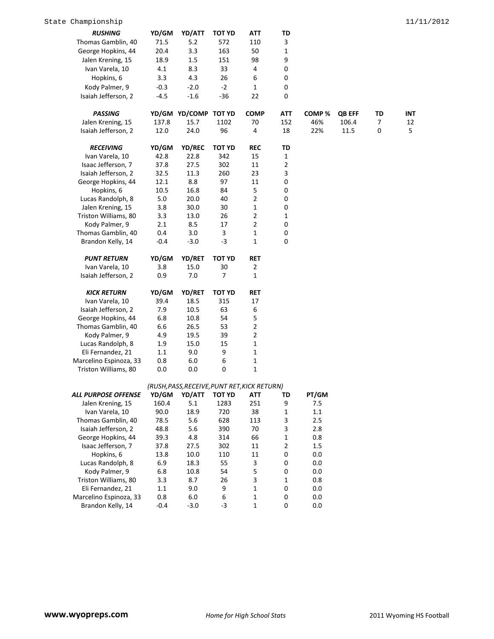| <b>RUSHING</b>         | YD/GM   | YD/ATT                                       | <b>TOT YD</b> | ATT          | TD             |         |               |    |     |
|------------------------|---------|----------------------------------------------|---------------|--------------|----------------|---------|---------------|----|-----|
| Thomas Gamblin, 40     | 71.5    | 5.2                                          | 572           | 110          | 3              |         |               |    |     |
| George Hopkins, 44     | 20.4    | 3.3                                          | 163           | 50           | $\mathbf{1}$   |         |               |    |     |
| Jalen Krening, 15      | 18.9    | 1.5                                          | 151           | 98           | 9              |         |               |    |     |
| Ivan Varela, 10        | 4.1     | 8.3                                          | 33            | 4            | 0              |         |               |    |     |
| Hopkins, 6             | 3.3     | 4.3                                          | 26            | 6            | 0              |         |               |    |     |
| Kody Palmer, 9         | $-0.3$  | $-2.0$                                       | $-2$          | 1            | 0              |         |               |    |     |
| Isaiah Jefferson, 2    | $-4.5$  | $-1.6$                                       | $-36$         | 22           | 0              |         |               |    |     |
|                        |         |                                              |               |              |                |         |               |    |     |
| <b>PASSING</b>         |         | YD/GM YD/COMP TOT YD                         |               | <b>COMP</b>  | ATT            | COMP%   | <b>QB EFF</b> | TD | INT |
| Jalen Krening, 15      | 137.8   | 15.7                                         | 1102          | 70           | 152            | 46%     | 106.4         | 7  | 12  |
| Isaiah Jefferson, 2    | 12.0    | 24.0                                         | 96            | 4            | 18             | 22%     | 11.5          | 0  | 5   |
|                        |         |                                              |               |              |                |         |               |    |     |
| <b>RECEIVING</b>       | YD/GM   | YD/REC                                       | <b>TOT YD</b> | <b>REC</b>   | TD             |         |               |    |     |
| Ivan Varela, 10        | 42.8    | 22.8                                         | 342           | 15           | $\mathbf{1}$   |         |               |    |     |
| Isaac Jefferson, 7     | 37.8    | 27.5                                         | 302           | 11           | $\overline{2}$ |         |               |    |     |
| Isaiah Jefferson, 2    | 32.5    | 11.3                                         | 260           | 23           | 3              |         |               |    |     |
| George Hopkins, 44     | 12.1    | 8.8                                          | 97            | 11           | 0              |         |               |    |     |
| Hopkins, 6             | 10.5    | 16.8                                         | 84            | 5            | 0              |         |               |    |     |
| Lucas Randolph, 8      | 5.0     | 20.0                                         | 40            | 2            | 0              |         |               |    |     |
| Jalen Krening, 15      | 3.8     | 30.0                                         | 30            | $\mathbf 1$  | 0              |         |               |    |     |
| Triston Williams, 80   | 3.3     | 13.0                                         | 26            | $\mathbf 2$  | $\mathbf{1}$   |         |               |    |     |
| Kody Palmer, 9         | 2.1     | 8.5                                          | 17            | $\mathbf 2$  | 0              |         |               |    |     |
| Thomas Gamblin, 40     | 0.4     | 3.0                                          | 3             | $\mathbf 1$  | 0              |         |               |    |     |
| Brandon Kelly, 14      | $-0.4$  | $-3.0$                                       | $-3$          | $\mathbf 1$  | $\mathbf 0$    |         |               |    |     |
|                        |         |                                              |               |              |                |         |               |    |     |
| <b>PUNT RETURN</b>     | YD/GM   | YD/RET                                       | <b>TOT YD</b> | <b>RET</b>   |                |         |               |    |     |
| Ivan Varela, 10        | 3.8     | 15.0                                         | 30            | 2            |                |         |               |    |     |
| Isaiah Jefferson, 2    | 0.9     | 7.0                                          | 7             | 1            |                |         |               |    |     |
| <b>KICK RETURN</b>     | YD/GM   | YD/RET                                       | <b>TOT YD</b> | <b>RET</b>   |                |         |               |    |     |
| Ivan Varela, 10        | 39.4    | 18.5                                         | 315           | 17           |                |         |               |    |     |
| Isaiah Jefferson, 2    | 7.9     | 10.5                                         | 63            | 6            |                |         |               |    |     |
| George Hopkins, 44     | 6.8     | 10.8                                         | 54            | 5            |                |         |               |    |     |
| Thomas Gamblin, 40     | 6.6     | 26.5                                         | 53            | $\mathbf 2$  |                |         |               |    |     |
| Kody Palmer, 9         | 4.9     | 19.5                                         | 39            | $\mathbf 2$  |                |         |               |    |     |
| Lucas Randolph, 8      | 1.9     | 15.0                                         | 15            | $\mathbf 1$  |                |         |               |    |     |
| Eli Fernandez, 21      | 1.1     | 9.0                                          | 9             | $\mathbf 1$  |                |         |               |    |     |
| Marcelino Espinoza, 33 | 0.8     | 6.0                                          | $\,6$         | $\mathbf 1$  |                |         |               |    |     |
| Triston Williams, 80   | 0.0     | 0.0                                          | 0             | $\mathbf{1}$ |                |         |               |    |     |
|                        |         |                                              |               |              |                |         |               |    |     |
|                        |         | (RUSH, PASS, RECEIVE, PUNT RET, KICK RETURN) |               |              |                |         |               |    |     |
| ALL PURPOSE OFFENSE    | YD/GM   | YD/ATT                                       | <b>TOT YD</b> | ATT          | TD             | PT/GM   |               |    |     |
| Jalen Krening, 15      | 160.4   | 5.1                                          | 1283          | 251          | 9              | 7.5     |               |    |     |
| Ivan Varela, 10        | 90.0    | 18.9                                         | 720           | 38           | 1              | $1.1\,$ |               |    |     |
| Thomas Gamblin, 40     | 78.5    | 5.6                                          | 628           | 113          | 3              | 2.5     |               |    |     |
| Isaiah Jefferson, 2    | 48.8    | 5.6                                          | 390           | 70           | 3              | 2.8     |               |    |     |
| George Hopkins, 44     | 39.3    | 4.8                                          | 314           | 66           | $\mathbf{1}$   | 0.8     |               |    |     |
| Isaac Jefferson, 7     | 37.8    | 27.5                                         | 302           | 11           | $\overline{2}$ | 1.5     |               |    |     |
| Hopkins, 6             | 13.8    | 10.0                                         | 110           | 11           | 0              | 0.0     |               |    |     |
| Lucas Randolph, 8      | 6.9     | 18.3                                         | 55            | 3            | 0              | 0.0     |               |    |     |
| Kody Palmer, 9         | 6.8     | 10.8                                         | 54            | 5            | 0              | 0.0     |               |    |     |
| Triston Williams, 80   | 3.3     | 8.7                                          | 26            | 3            | 1              | 0.8     |               |    |     |
| Eli Fernandez, 21      | $1.1\,$ | 9.0                                          | 9             | $\mathbf 1$  | 0              | 0.0     |               |    |     |
| Marcelino Espinoza, 33 | 0.8     | $6.0\,$                                      | 6             | $\mathbf 1$  | 0              | 0.0     |               |    |     |

Brandon Kelly, 14 -0.4 -3.0 -3 1 0 0.0